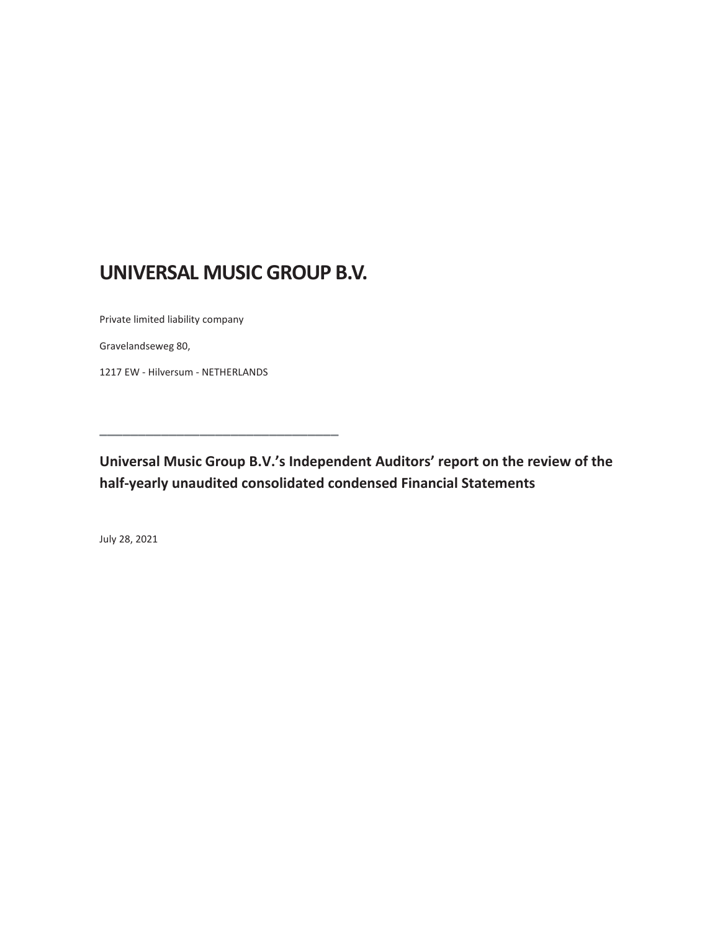## **UNIVERSAL MUSIC GROUP B.V.**

**\_\_\_\_\_\_\_\_\_\_\_\_\_\_\_\_\_\_\_\_\_\_\_\_\_\_\_\_\_\_\_**

Private limited liability company

Gravelandseweg 80,

1217 EW - Hilversum - NETHERLANDS

**Universal Music Group B.V.'s Independent Auditors' report on the review of the half-yearly unaudited consolidated condensed Financial Statements**

July 28, 2021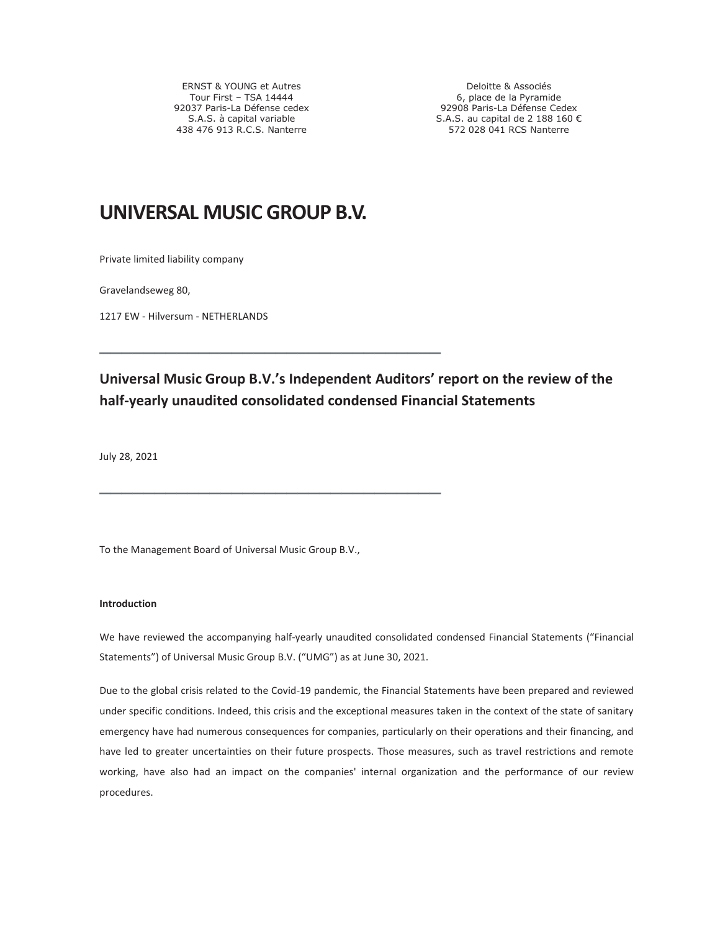ERNST & YOUNG et Autres Tour First – TSA 14444 92037 Paris-La Défense cedex S.A.S. à capital variable 438 476 913 R.C.S. Nanterre

Deloitte & Associés 6, place de la Pyramide 92908 Paris-La Défense Cedex S.A.S. au capital de 2 188 160 € 572 028 041 RCS Nanterre

## **UNIVERSAL MUSIC GROUP B.V.**

**\_\_\_\_\_\_\_\_\_\_\_\_\_\_\_\_\_\_\_\_\_\_\_\_\_\_\_\_\_\_\_**

**\_\_\_\_\_\_\_\_\_\_\_\_\_\_\_\_\_\_\_\_\_\_\_\_\_\_\_\_\_\_\_**

Private limited liability company

Gravelandseweg 80,

1217 EW - Hilversum - NETHERLANDS

## **Universal Music Group B.V.'s Independent Auditors' report on the review of the half-yearly unaudited consolidated condensed Financial Statements**

July 28, 2021

To the Management Board of Universal Music Group B.V.,

#### **Introduction**

We have reviewed the accompanying half-yearly unaudited consolidated condensed Financial Statements ("Financial Statements") of Universal Music Group B.V. ("UMG") as at June 30, 2021.

Due to the global crisis related to the Covid-19 pandemic, the Financial Statements have been prepared and reviewed under specific conditions. Indeed, this crisis and the exceptional measures taken in the context of the state of sanitary emergency have had numerous consequences for companies, particularly on their operations and their financing, and have led to greater uncertainties on their future prospects. Those measures, such as travel restrictions and remote working, have also had an impact on the companies' internal organization and the performance of our review procedures.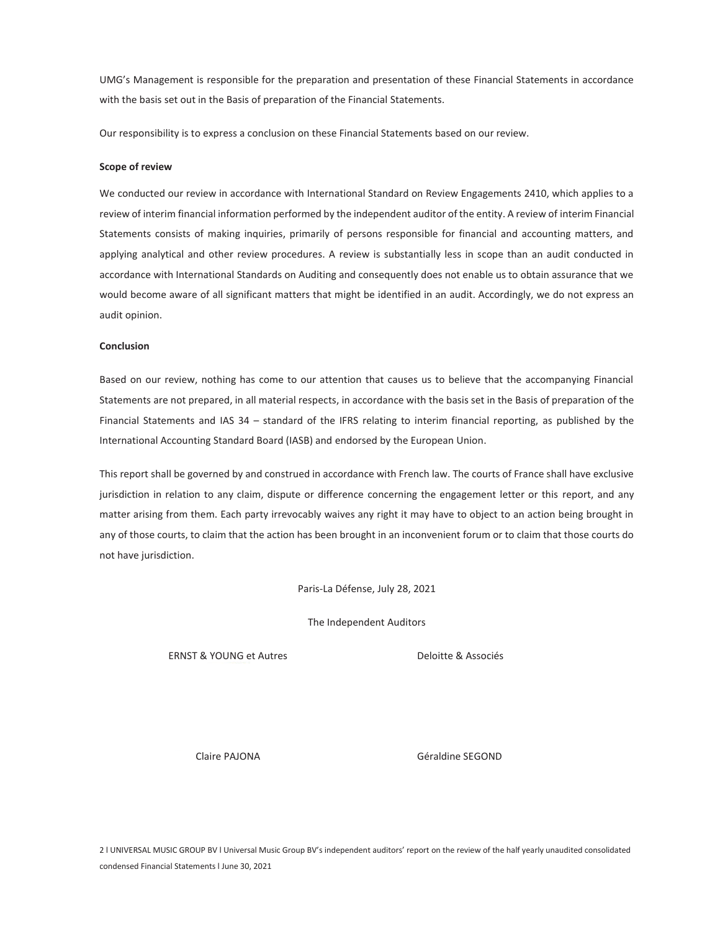UMG's Management is responsible for the preparation and presentation of these Financial Statements in accordance with the basis set out in the Basis of preparation of the Financial Statements.

Our responsibility is to express a conclusion on these Financial Statements based on our review.

#### **Scope of review**

We conducted our review in accordance with International Standard on Review Engagements 2410, which applies to a review of interim financial information performed by the independent auditor of the entity. A review of interim Financial Statements consists of making inquiries, primarily of persons responsible for financial and accounting matters, and applying analytical and other review procedures. A review is substantially less in scope than an audit conducted in accordance with International Standards on Auditing and consequently does not enable us to obtain assurance that we would become aware of all significant matters that might be identified in an audit. Accordingly, we do not express an audit opinion.

#### **Conclusion**

Based on our review, nothing has come to our attention that causes us to believe that the accompanying Financial Statements are not prepared, in all material respects, in accordance with the basis set in the Basis of preparation of the Financial Statements and IAS 34 – standard of the IFRS relating to interim financial reporting, as published by the International Accounting Standard Board (IASB) and endorsed by the European Union.

This report shall be governed by and construed in accordance with French law. The courts of France shall have exclusive jurisdiction in relation to any claim, dispute or difference concerning the engagement letter or this report, and any matter arising from them. Each party irrevocably waives any right it may have to object to an action being brought in any of those courts, to claim that the action has been brought in an inconvenient forum or to claim that those courts do not have jurisdiction.

Paris-La Défense, July 28, 2021

The Independent Auditors

ERNST & YOUNG et Autres Deloitte & Associés

Claire PAJONA Géraldine SEGOND

2 l UNIVERSAL MUSIC GROUP BV l Universal Music Group BV's independent auditors' report on the review of the half yearly unaudited consolidated condensed Financial Statements l June 30, 2021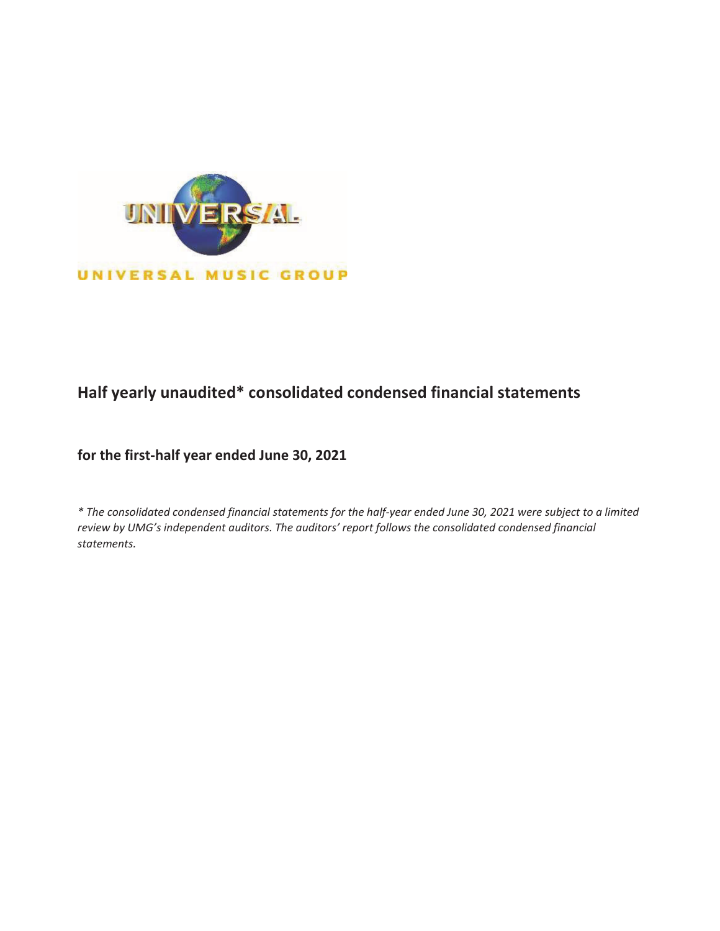

## Half yearly unaudited\* consolidated condensed financial statements

for the first-half year ended June 30, 2021

*\* The consolidated condensed financial statements for the half-year ended June 30, 2021 were subject to a limited review by UMG's independent auditors. The auditors' report follows the consolidated condensed financial statements.*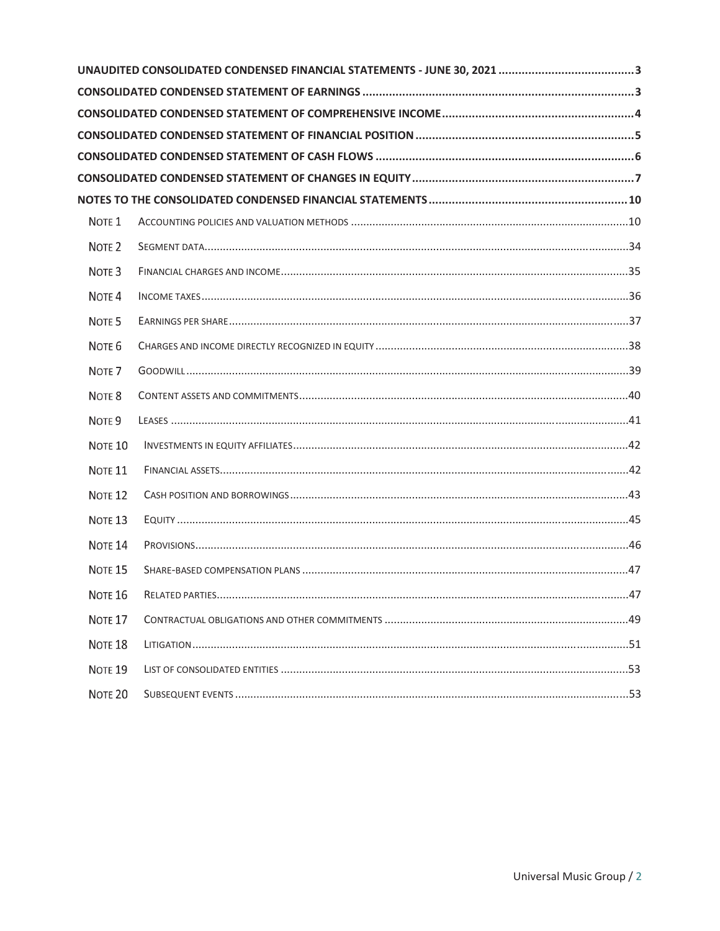| NOTE <sub>1</sub>  |  |
|--------------------|--|
| NOTE <sub>2</sub>  |  |
| NOTE <sub>3</sub>  |  |
| NOTE <sub>4</sub>  |  |
| NOTE <sub>5</sub>  |  |
| NOTE <sub>6</sub>  |  |
| NOTE <sub>7</sub>  |  |
| NOTE <sub>8</sub>  |  |
| NOTE <sub>9</sub>  |  |
| NOTE <sub>10</sub> |  |
| NOTE <sub>11</sub> |  |
| NOTE <sub>12</sub> |  |
| NOTE <sub>13</sub> |  |
| NOTE <sub>14</sub> |  |
| NOTE <sub>15</sub> |  |
| NOTE <sub>16</sub> |  |
| NOTE <sub>17</sub> |  |
| NOTE <sub>18</sub> |  |
| NOTE <sub>19</sub> |  |
| NOTE <sub>20</sub> |  |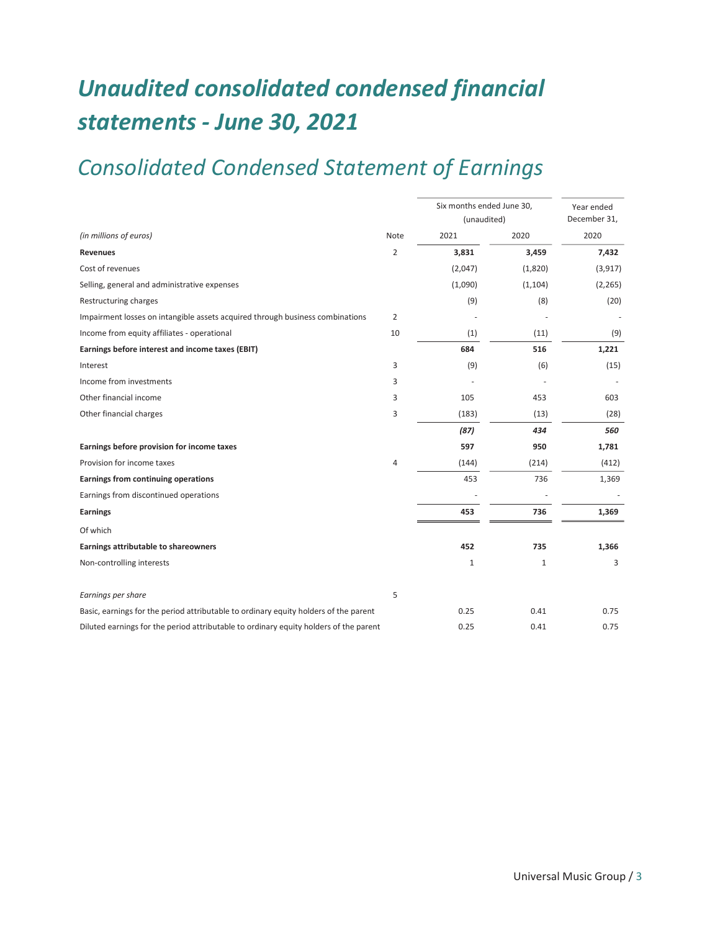# *Unaudited consolidated condensed financial statements - June 30, 2021*

## *Consolidated Condensed Statement of Earnings*

|                                                                                       |                | Six months ended June 30, | Year ended |              |
|---------------------------------------------------------------------------------------|----------------|---------------------------|------------|--------------|
|                                                                                       |                | (unaudited)               |            | December 31, |
| (in millions of euros)                                                                | Note           | 2021                      | 2020       | 2020         |
| <b>Revenues</b>                                                                       | $\overline{2}$ | 3,831                     | 3,459      | 7,432        |
| Cost of revenues                                                                      |                | (2,047)                   | (1,820)    | (3, 917)     |
| Selling, general and administrative expenses                                          |                | (1,090)                   | (1, 104)   | (2, 265)     |
| Restructuring charges                                                                 |                | (9)                       | (8)        | (20)         |
| Impairment losses on intangible assets acquired through business combinations         | 2              |                           |            |              |
| Income from equity affiliates - operational                                           | 10             | (1)                       | (11)       | (9)          |
| Earnings before interest and income taxes (EBIT)                                      |                | 684                       | 516        | 1,221        |
| Interest                                                                              | 3              | (9)                       | (6)        | (15)         |
| Income from investments                                                               | 3              |                           |            |              |
| Other financial income                                                                | 3              | 105                       | 453        | 603          |
| Other financial charges                                                               | 3              | (183)                     | (13)       | (28)         |
|                                                                                       |                | (87)                      | 434        | 560          |
| Earnings before provision for income taxes                                            |                | 597                       | 950        | 1,781        |
| Provision for income taxes                                                            | 4              | (144)                     | (214)      | (412)        |
| Earnings from continuing operations                                                   |                | 453                       | 736        | 1,369        |
| Earnings from discontinued operations                                                 |                |                           |            |              |
| <b>Earnings</b>                                                                       |                | 453                       | 736        | 1,369        |
| Of which                                                                              |                |                           |            |              |
| Earnings attributable to shareowners                                                  |                | 452                       | 735        | 1,366        |
| Non-controlling interests                                                             |                | $\mathbf{1}$              | 1          | 3            |
| Earnings per share                                                                    | 5              |                           |            |              |
| Basic, earnings for the period attributable to ordinary equity holders of the parent  |                | 0.25                      | 0.41       | 0.75         |
| Diluted earnings for the period attributable to ordinary equity holders of the parent |                | 0.25                      | 0.41       | 0.75         |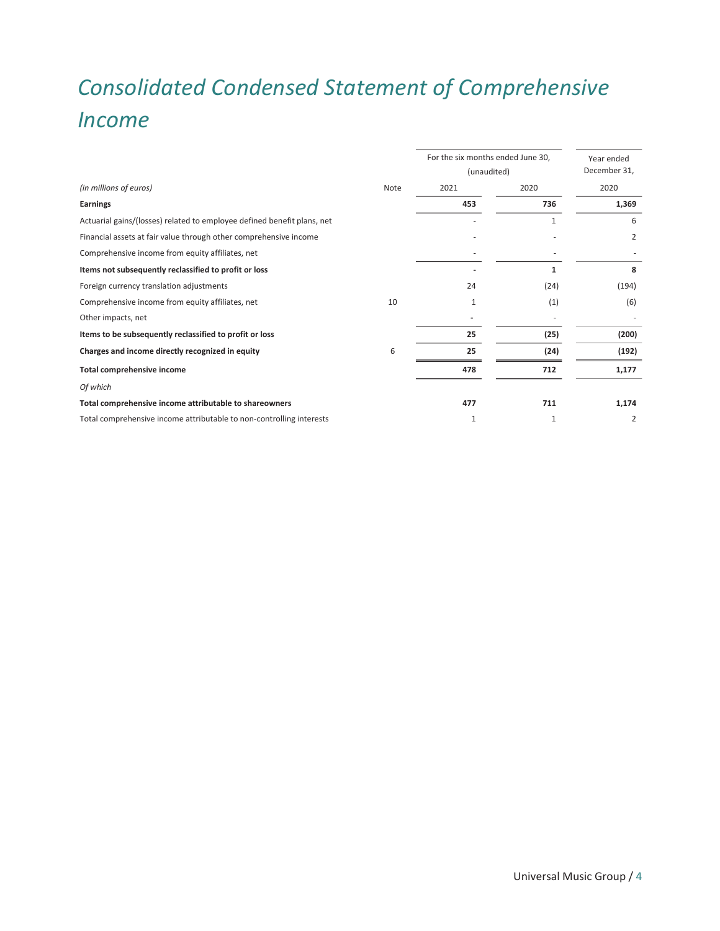# *Consolidated Condensed Statement of Comprehensive Income*

|                                                                         |      | For the six months ended June 30,<br>(unaudited) | Year ended<br>December 31, |       |
|-------------------------------------------------------------------------|------|--------------------------------------------------|----------------------------|-------|
| (in millions of euros)                                                  | Note | 2021                                             | 2020                       | 2020  |
| Earnings                                                                |      | 453                                              | 736                        | 1,369 |
| Actuarial gains/(losses) related to employee defined benefit plans, net |      |                                                  | 1                          | 6     |
| Financial assets at fair value through other comprehensive income       |      |                                                  |                            | 2     |
| Comprehensive income from equity affiliates, net                        |      |                                                  |                            |       |
| Items not subsequently reclassified to profit or loss                   |      |                                                  | 1                          | 8     |
| Foreign currency translation adjustments                                |      | 24                                               | (24)                       | (194) |
| Comprehensive income from equity affiliates, net                        | 10   | 1                                                | (1)                        | (6)   |
| Other impacts, net                                                      |      |                                                  |                            |       |
| Items to be subsequently reclassified to profit or loss                 |      | 25                                               | (25)                       | (200) |
| Charges and income directly recognized in equity                        | 6    | 25                                               | (24)                       | (192) |
| <b>Total comprehensive income</b>                                       |      | 478                                              | 712                        | 1,177 |
| Of which                                                                |      |                                                  |                            |       |
| Total comprehensive income attributable to shareowners                  |      | 477                                              | 711                        | 1,174 |
| Total comprehensive income attributable to non-controlling interests    |      | $\mathbf{1}$                                     | 1                          | 2     |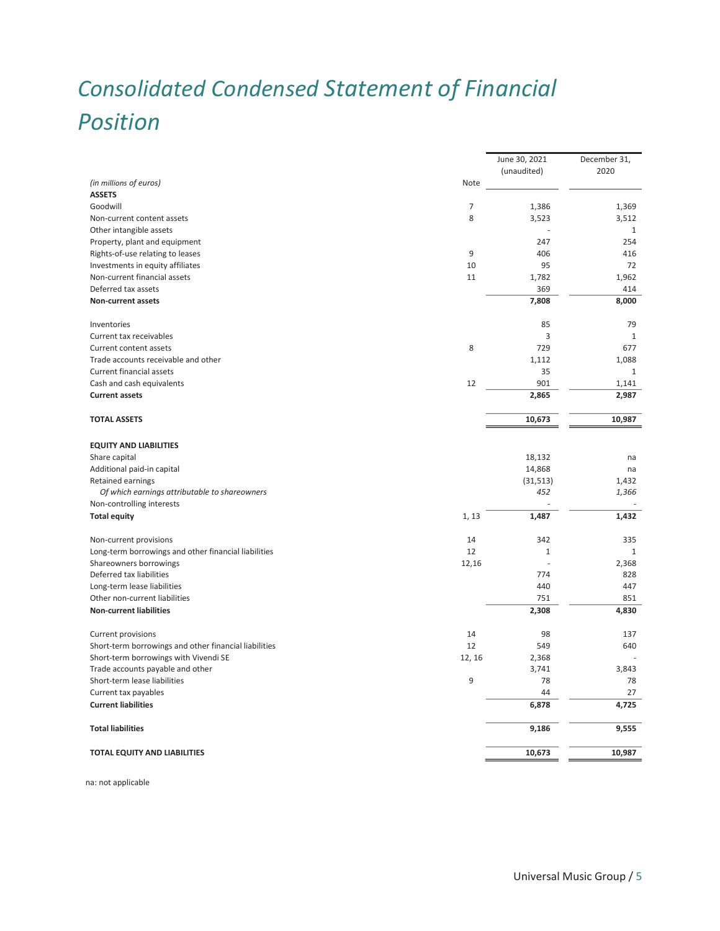# *Consolidated Condensed Statement of Financial Position*

| 2020<br>(unaudited)<br>(in millions of euros)<br>Note<br><b>ASSETS</b><br>7<br>Goodwill<br>1,386<br>1,369<br>8<br>3,523<br>3,512<br>Non-current content assets<br>Other intangible assets<br>1<br>Property, plant and equipment<br>247<br>254<br>9<br>Rights-of-use relating to leases<br>406<br>416<br>Investments in equity affiliates<br>10<br>95<br>72<br>Non-current financial assets<br>11<br>1,782<br>1,962<br>Deferred tax assets<br>369<br>414<br><b>Non-current assets</b><br>7,808<br>8,000<br>85<br>79<br>Inventories<br>3<br>Current tax receivables<br>1<br>8<br>729<br>Current content assets<br>677<br>Trade accounts receivable and other<br>1,112<br>1,088<br>Current financial assets<br>35<br>$\mathbf{1}$<br>12<br>901<br>Cash and cash equivalents<br>1,141<br>2,865<br>2,987<br><b>Current assets</b><br>10,987<br><b>TOTAL ASSETS</b><br>10,673<br><b>EQUITY AND LIABILITIES</b><br>Share capital<br>18,132<br>na<br>Additional paid-in capital<br>14,868<br>na<br>Retained earnings<br>(31, 513)<br>1,432<br>Of which earnings attributable to shareowners<br>452<br>1,366<br>Non-controlling interests<br><b>Total equity</b><br>1, 13<br>1,487<br>1,432<br>14<br>342<br>Non-current provisions<br>335<br>12<br>Long-term borrowings and other financial liabilities<br>1<br>$\mathbf{1}$<br>Shareowners borrowings<br>12,16<br>2,368<br>÷.<br>Deferred tax liabilities<br>774<br>828<br>447<br>Long-term lease liabilities<br>440<br>751<br>Other non-current liabilities<br>851<br><b>Non-current liabilities</b><br>2,308<br>4,830<br>Current provisions<br>14<br>98<br>137<br>Short-term borrowings and other financial liabilities<br>12<br>549<br>640<br>Short-term borrowings with Vivendi SE<br>12, 16<br>2,368<br>3,741<br>3,843<br>Trade accounts payable and other<br>9<br>Short-term lease liabilities<br>78<br>78<br>27<br>Current tax payables<br>44<br><b>Current liabilities</b><br>6,878<br>4,725<br><b>Total liabilities</b><br>9,186<br>9,555<br><b>TOTAL EQUITY AND LIABILITIES</b><br>10,673<br>10,987 |  | June 30, 2021 | December 31, |
|-------------------------------------------------------------------------------------------------------------------------------------------------------------------------------------------------------------------------------------------------------------------------------------------------------------------------------------------------------------------------------------------------------------------------------------------------------------------------------------------------------------------------------------------------------------------------------------------------------------------------------------------------------------------------------------------------------------------------------------------------------------------------------------------------------------------------------------------------------------------------------------------------------------------------------------------------------------------------------------------------------------------------------------------------------------------------------------------------------------------------------------------------------------------------------------------------------------------------------------------------------------------------------------------------------------------------------------------------------------------------------------------------------------------------------------------------------------------------------------------------------------------------------------------------------------------------------------------------------------------------------------------------------------------------------------------------------------------------------------------------------------------------------------------------------------------------------------------------------------------------------------------------------------------------------------------------------------------------------------------------------------------------------------------------------|--|---------------|--------------|
|                                                                                                                                                                                                                                                                                                                                                                                                                                                                                                                                                                                                                                                                                                                                                                                                                                                                                                                                                                                                                                                                                                                                                                                                                                                                                                                                                                                                                                                                                                                                                                                                                                                                                                                                                                                                                                                                                                                                                                                                                                                       |  |               |              |
|                                                                                                                                                                                                                                                                                                                                                                                                                                                                                                                                                                                                                                                                                                                                                                                                                                                                                                                                                                                                                                                                                                                                                                                                                                                                                                                                                                                                                                                                                                                                                                                                                                                                                                                                                                                                                                                                                                                                                                                                                                                       |  |               |              |
|                                                                                                                                                                                                                                                                                                                                                                                                                                                                                                                                                                                                                                                                                                                                                                                                                                                                                                                                                                                                                                                                                                                                                                                                                                                                                                                                                                                                                                                                                                                                                                                                                                                                                                                                                                                                                                                                                                                                                                                                                                                       |  |               |              |
|                                                                                                                                                                                                                                                                                                                                                                                                                                                                                                                                                                                                                                                                                                                                                                                                                                                                                                                                                                                                                                                                                                                                                                                                                                                                                                                                                                                                                                                                                                                                                                                                                                                                                                                                                                                                                                                                                                                                                                                                                                                       |  |               |              |
|                                                                                                                                                                                                                                                                                                                                                                                                                                                                                                                                                                                                                                                                                                                                                                                                                                                                                                                                                                                                                                                                                                                                                                                                                                                                                                                                                                                                                                                                                                                                                                                                                                                                                                                                                                                                                                                                                                                                                                                                                                                       |  |               |              |
|                                                                                                                                                                                                                                                                                                                                                                                                                                                                                                                                                                                                                                                                                                                                                                                                                                                                                                                                                                                                                                                                                                                                                                                                                                                                                                                                                                                                                                                                                                                                                                                                                                                                                                                                                                                                                                                                                                                                                                                                                                                       |  |               |              |
|                                                                                                                                                                                                                                                                                                                                                                                                                                                                                                                                                                                                                                                                                                                                                                                                                                                                                                                                                                                                                                                                                                                                                                                                                                                                                                                                                                                                                                                                                                                                                                                                                                                                                                                                                                                                                                                                                                                                                                                                                                                       |  |               |              |
|                                                                                                                                                                                                                                                                                                                                                                                                                                                                                                                                                                                                                                                                                                                                                                                                                                                                                                                                                                                                                                                                                                                                                                                                                                                                                                                                                                                                                                                                                                                                                                                                                                                                                                                                                                                                                                                                                                                                                                                                                                                       |  |               |              |
|                                                                                                                                                                                                                                                                                                                                                                                                                                                                                                                                                                                                                                                                                                                                                                                                                                                                                                                                                                                                                                                                                                                                                                                                                                                                                                                                                                                                                                                                                                                                                                                                                                                                                                                                                                                                                                                                                                                                                                                                                                                       |  |               |              |
|                                                                                                                                                                                                                                                                                                                                                                                                                                                                                                                                                                                                                                                                                                                                                                                                                                                                                                                                                                                                                                                                                                                                                                                                                                                                                                                                                                                                                                                                                                                                                                                                                                                                                                                                                                                                                                                                                                                                                                                                                                                       |  |               |              |
|                                                                                                                                                                                                                                                                                                                                                                                                                                                                                                                                                                                                                                                                                                                                                                                                                                                                                                                                                                                                                                                                                                                                                                                                                                                                                                                                                                                                                                                                                                                                                                                                                                                                                                                                                                                                                                                                                                                                                                                                                                                       |  |               |              |
|                                                                                                                                                                                                                                                                                                                                                                                                                                                                                                                                                                                                                                                                                                                                                                                                                                                                                                                                                                                                                                                                                                                                                                                                                                                                                                                                                                                                                                                                                                                                                                                                                                                                                                                                                                                                                                                                                                                                                                                                                                                       |  |               |              |
|                                                                                                                                                                                                                                                                                                                                                                                                                                                                                                                                                                                                                                                                                                                                                                                                                                                                                                                                                                                                                                                                                                                                                                                                                                                                                                                                                                                                                                                                                                                                                                                                                                                                                                                                                                                                                                                                                                                                                                                                                                                       |  |               |              |
|                                                                                                                                                                                                                                                                                                                                                                                                                                                                                                                                                                                                                                                                                                                                                                                                                                                                                                                                                                                                                                                                                                                                                                                                                                                                                                                                                                                                                                                                                                                                                                                                                                                                                                                                                                                                                                                                                                                                                                                                                                                       |  |               |              |
|                                                                                                                                                                                                                                                                                                                                                                                                                                                                                                                                                                                                                                                                                                                                                                                                                                                                                                                                                                                                                                                                                                                                                                                                                                                                                                                                                                                                                                                                                                                                                                                                                                                                                                                                                                                                                                                                                                                                                                                                                                                       |  |               |              |
|                                                                                                                                                                                                                                                                                                                                                                                                                                                                                                                                                                                                                                                                                                                                                                                                                                                                                                                                                                                                                                                                                                                                                                                                                                                                                                                                                                                                                                                                                                                                                                                                                                                                                                                                                                                                                                                                                                                                                                                                                                                       |  |               |              |
|                                                                                                                                                                                                                                                                                                                                                                                                                                                                                                                                                                                                                                                                                                                                                                                                                                                                                                                                                                                                                                                                                                                                                                                                                                                                                                                                                                                                                                                                                                                                                                                                                                                                                                                                                                                                                                                                                                                                                                                                                                                       |  |               |              |
|                                                                                                                                                                                                                                                                                                                                                                                                                                                                                                                                                                                                                                                                                                                                                                                                                                                                                                                                                                                                                                                                                                                                                                                                                                                                                                                                                                                                                                                                                                                                                                                                                                                                                                                                                                                                                                                                                                                                                                                                                                                       |  |               |              |
|                                                                                                                                                                                                                                                                                                                                                                                                                                                                                                                                                                                                                                                                                                                                                                                                                                                                                                                                                                                                                                                                                                                                                                                                                                                                                                                                                                                                                                                                                                                                                                                                                                                                                                                                                                                                                                                                                                                                                                                                                                                       |  |               |              |
|                                                                                                                                                                                                                                                                                                                                                                                                                                                                                                                                                                                                                                                                                                                                                                                                                                                                                                                                                                                                                                                                                                                                                                                                                                                                                                                                                                                                                                                                                                                                                                                                                                                                                                                                                                                                                                                                                                                                                                                                                                                       |  |               |              |
|                                                                                                                                                                                                                                                                                                                                                                                                                                                                                                                                                                                                                                                                                                                                                                                                                                                                                                                                                                                                                                                                                                                                                                                                                                                                                                                                                                                                                                                                                                                                                                                                                                                                                                                                                                                                                                                                                                                                                                                                                                                       |  |               |              |
|                                                                                                                                                                                                                                                                                                                                                                                                                                                                                                                                                                                                                                                                                                                                                                                                                                                                                                                                                                                                                                                                                                                                                                                                                                                                                                                                                                                                                                                                                                                                                                                                                                                                                                                                                                                                                                                                                                                                                                                                                                                       |  |               |              |
|                                                                                                                                                                                                                                                                                                                                                                                                                                                                                                                                                                                                                                                                                                                                                                                                                                                                                                                                                                                                                                                                                                                                                                                                                                                                                                                                                                                                                                                                                                                                                                                                                                                                                                                                                                                                                                                                                                                                                                                                                                                       |  |               |              |
|                                                                                                                                                                                                                                                                                                                                                                                                                                                                                                                                                                                                                                                                                                                                                                                                                                                                                                                                                                                                                                                                                                                                                                                                                                                                                                                                                                                                                                                                                                                                                                                                                                                                                                                                                                                                                                                                                                                                                                                                                                                       |  |               |              |
|                                                                                                                                                                                                                                                                                                                                                                                                                                                                                                                                                                                                                                                                                                                                                                                                                                                                                                                                                                                                                                                                                                                                                                                                                                                                                                                                                                                                                                                                                                                                                                                                                                                                                                                                                                                                                                                                                                                                                                                                                                                       |  |               |              |
|                                                                                                                                                                                                                                                                                                                                                                                                                                                                                                                                                                                                                                                                                                                                                                                                                                                                                                                                                                                                                                                                                                                                                                                                                                                                                                                                                                                                                                                                                                                                                                                                                                                                                                                                                                                                                                                                                                                                                                                                                                                       |  |               |              |
|                                                                                                                                                                                                                                                                                                                                                                                                                                                                                                                                                                                                                                                                                                                                                                                                                                                                                                                                                                                                                                                                                                                                                                                                                                                                                                                                                                                                                                                                                                                                                                                                                                                                                                                                                                                                                                                                                                                                                                                                                                                       |  |               |              |
|                                                                                                                                                                                                                                                                                                                                                                                                                                                                                                                                                                                                                                                                                                                                                                                                                                                                                                                                                                                                                                                                                                                                                                                                                                                                                                                                                                                                                                                                                                                                                                                                                                                                                                                                                                                                                                                                                                                                                                                                                                                       |  |               |              |
|                                                                                                                                                                                                                                                                                                                                                                                                                                                                                                                                                                                                                                                                                                                                                                                                                                                                                                                                                                                                                                                                                                                                                                                                                                                                                                                                                                                                                                                                                                                                                                                                                                                                                                                                                                                                                                                                                                                                                                                                                                                       |  |               |              |
|                                                                                                                                                                                                                                                                                                                                                                                                                                                                                                                                                                                                                                                                                                                                                                                                                                                                                                                                                                                                                                                                                                                                                                                                                                                                                                                                                                                                                                                                                                                                                                                                                                                                                                                                                                                                                                                                                                                                                                                                                                                       |  |               |              |
|                                                                                                                                                                                                                                                                                                                                                                                                                                                                                                                                                                                                                                                                                                                                                                                                                                                                                                                                                                                                                                                                                                                                                                                                                                                                                                                                                                                                                                                                                                                                                                                                                                                                                                                                                                                                                                                                                                                                                                                                                                                       |  |               |              |
|                                                                                                                                                                                                                                                                                                                                                                                                                                                                                                                                                                                                                                                                                                                                                                                                                                                                                                                                                                                                                                                                                                                                                                                                                                                                                                                                                                                                                                                                                                                                                                                                                                                                                                                                                                                                                                                                                                                                                                                                                                                       |  |               |              |
|                                                                                                                                                                                                                                                                                                                                                                                                                                                                                                                                                                                                                                                                                                                                                                                                                                                                                                                                                                                                                                                                                                                                                                                                                                                                                                                                                                                                                                                                                                                                                                                                                                                                                                                                                                                                                                                                                                                                                                                                                                                       |  |               |              |
|                                                                                                                                                                                                                                                                                                                                                                                                                                                                                                                                                                                                                                                                                                                                                                                                                                                                                                                                                                                                                                                                                                                                                                                                                                                                                                                                                                                                                                                                                                                                                                                                                                                                                                                                                                                                                                                                                                                                                                                                                                                       |  |               |              |
|                                                                                                                                                                                                                                                                                                                                                                                                                                                                                                                                                                                                                                                                                                                                                                                                                                                                                                                                                                                                                                                                                                                                                                                                                                                                                                                                                                                                                                                                                                                                                                                                                                                                                                                                                                                                                                                                                                                                                                                                                                                       |  |               |              |
|                                                                                                                                                                                                                                                                                                                                                                                                                                                                                                                                                                                                                                                                                                                                                                                                                                                                                                                                                                                                                                                                                                                                                                                                                                                                                                                                                                                                                                                                                                                                                                                                                                                                                                                                                                                                                                                                                                                                                                                                                                                       |  |               |              |
|                                                                                                                                                                                                                                                                                                                                                                                                                                                                                                                                                                                                                                                                                                                                                                                                                                                                                                                                                                                                                                                                                                                                                                                                                                                                                                                                                                                                                                                                                                                                                                                                                                                                                                                                                                                                                                                                                                                                                                                                                                                       |  |               |              |
|                                                                                                                                                                                                                                                                                                                                                                                                                                                                                                                                                                                                                                                                                                                                                                                                                                                                                                                                                                                                                                                                                                                                                                                                                                                                                                                                                                                                                                                                                                                                                                                                                                                                                                                                                                                                                                                                                                                                                                                                                                                       |  |               |              |
|                                                                                                                                                                                                                                                                                                                                                                                                                                                                                                                                                                                                                                                                                                                                                                                                                                                                                                                                                                                                                                                                                                                                                                                                                                                                                                                                                                                                                                                                                                                                                                                                                                                                                                                                                                                                                                                                                                                                                                                                                                                       |  |               |              |
|                                                                                                                                                                                                                                                                                                                                                                                                                                                                                                                                                                                                                                                                                                                                                                                                                                                                                                                                                                                                                                                                                                                                                                                                                                                                                                                                                                                                                                                                                                                                                                                                                                                                                                                                                                                                                                                                                                                                                                                                                                                       |  |               |              |
|                                                                                                                                                                                                                                                                                                                                                                                                                                                                                                                                                                                                                                                                                                                                                                                                                                                                                                                                                                                                                                                                                                                                                                                                                                                                                                                                                                                                                                                                                                                                                                                                                                                                                                                                                                                                                                                                                                                                                                                                                                                       |  |               |              |
|                                                                                                                                                                                                                                                                                                                                                                                                                                                                                                                                                                                                                                                                                                                                                                                                                                                                                                                                                                                                                                                                                                                                                                                                                                                                                                                                                                                                                                                                                                                                                                                                                                                                                                                                                                                                                                                                                                                                                                                                                                                       |  |               |              |
|                                                                                                                                                                                                                                                                                                                                                                                                                                                                                                                                                                                                                                                                                                                                                                                                                                                                                                                                                                                                                                                                                                                                                                                                                                                                                                                                                                                                                                                                                                                                                                                                                                                                                                                                                                                                                                                                                                                                                                                                                                                       |  |               |              |
|                                                                                                                                                                                                                                                                                                                                                                                                                                                                                                                                                                                                                                                                                                                                                                                                                                                                                                                                                                                                                                                                                                                                                                                                                                                                                                                                                                                                                                                                                                                                                                                                                                                                                                                                                                                                                                                                                                                                                                                                                                                       |  |               |              |
|                                                                                                                                                                                                                                                                                                                                                                                                                                                                                                                                                                                                                                                                                                                                                                                                                                                                                                                                                                                                                                                                                                                                                                                                                                                                                                                                                                                                                                                                                                                                                                                                                                                                                                                                                                                                                                                                                                                                                                                                                                                       |  |               |              |

na: not applicable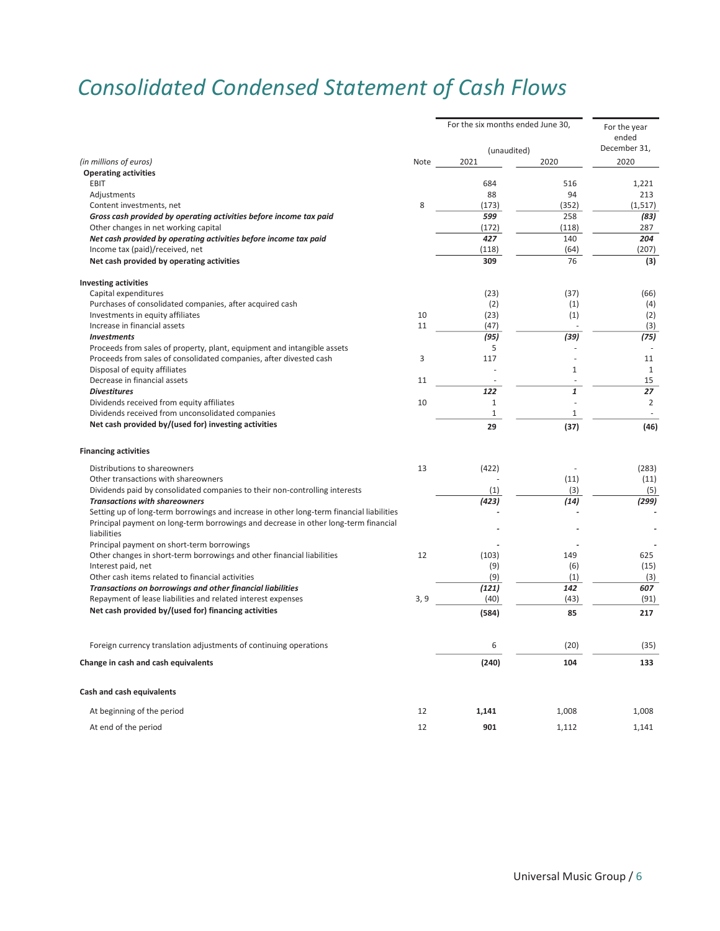## *Consolidated Condensed Statement of Cash Flows*

|                                                                                          |      | For the six months ended June 30, |              | For the year<br>ended<br>December 31, |
|------------------------------------------------------------------------------------------|------|-----------------------------------|--------------|---------------------------------------|
|                                                                                          |      | (unaudited)                       |              |                                       |
| (in millions of euros)                                                                   | Note | 2021                              | 2020         | 2020                                  |
| <b>Operating activities</b>                                                              |      |                                   |              |                                       |
| <b>EBIT</b>                                                                              |      | 684                               | 516          | 1,221                                 |
| Adjustments                                                                              |      | 88                                | 94           | 213                                   |
| Content investments, net                                                                 | 8    | (173)                             | (352)        | (1, 517)                              |
| Gross cash provided by operating activities before income tax paid                       |      | 599                               | 258          | (83)                                  |
| Other changes in net working capital                                                     |      | (172)                             | (118)        | 287                                   |
| Net cash provided by operating activities before income tax paid                         |      | 427                               | 140          | 204                                   |
| Income tax (paid)/received, net                                                          |      | (118)                             | (64)         | (207)                                 |
| Net cash provided by operating activities                                                |      | 309                               | 76           | (3)                                   |
| <b>Investing activities</b>                                                              |      |                                   |              |                                       |
| Capital expenditures                                                                     |      | (23)                              | (37)         | (66)                                  |
| Purchases of consolidated companies, after acquired cash                                 |      | (2)                               | (1)          | (4)                                   |
| Investments in equity affiliates                                                         | 10   | (23)                              | (1)          | (2)                                   |
| Increase in financial assets                                                             | 11   | (47)                              |              | (3)                                   |
| <b>Investments</b>                                                                       |      | (95)                              | (39)         | (75)                                  |
| Proceeds from sales of property, plant, equipment and intangible assets                  |      | 5                                 |              |                                       |
| Proceeds from sales of consolidated companies, after divested cash                       | 3    | 117                               |              | 11                                    |
| Disposal of equity affiliates                                                            |      |                                   | 1            | $\mathbf{1}$                          |
| Decrease in financial assets                                                             | 11   |                                   | $\sim$       | 15                                    |
| <b>Divestitures</b>                                                                      |      | 122                               | $\mathbf{1}$ | 27                                    |
| Dividends received from equity affiliates                                                | 10   | $\mathbf{1}$                      | ÷,           | $\overline{2}$                        |
| Dividends received from unconsolidated companies                                         |      | $1\,$                             | $\mathbf{1}$ |                                       |
| Net cash provided by/(used for) investing activities                                     |      | 29                                | (37)         | (46)                                  |
| <b>Financing activities</b>                                                              |      |                                   |              |                                       |
| Distributions to shareowners                                                             | 13   | (422)                             |              | (283)                                 |
| Other transactions with shareowners                                                      |      |                                   | (11)         | (11)                                  |
| Dividends paid by consolidated companies to their non-controlling interests              |      | (1)                               | (3)          | (5)                                   |
| <b>Transactions with shareowners</b>                                                     |      | (423)                             | (14)         | (299)                                 |
| Setting up of long-term borrowings and increase in other long-term financial liabilities |      |                                   |              |                                       |
| Principal payment on long-term borrowings and decrease in other long-term financial      |      |                                   |              |                                       |
| liabilities                                                                              |      |                                   |              |                                       |
| Principal payment on short-term borrowings                                               |      |                                   |              |                                       |
| Other changes in short-term borrowings and other financial liabilities                   | 12   | (103)                             | 149          | 625                                   |
| Interest paid, net                                                                       |      | (9)                               | (6)          | (15)                                  |
| Other cash items related to financial activities                                         |      | (9)                               | (1)          | (3)                                   |
| Transactions on borrowings and other financial liabilities                               |      | (121)                             | 142          | 607                                   |
| Repayment of lease liabilities and related interest expenses                             | 3, 9 | (40)                              | (43)         | (91)                                  |
| Net cash provided by/(used for) financing activities                                     |      | (584)                             | 85           | 217                                   |
|                                                                                          |      |                                   |              |                                       |
| Foreign currency translation adjustments of continuing operations                        |      | 6                                 | (20)         | (35)                                  |
| Change in cash and cash equivalents                                                      |      | (240)                             | 104          | 133                                   |
| Cash and cash equivalents                                                                |      |                                   |              |                                       |
| At beginning of the period                                                               | 12   | 1,141                             | 1,008        | 1,008                                 |
| At end of the period                                                                     | 12   | 901                               | 1,112        | 1,141                                 |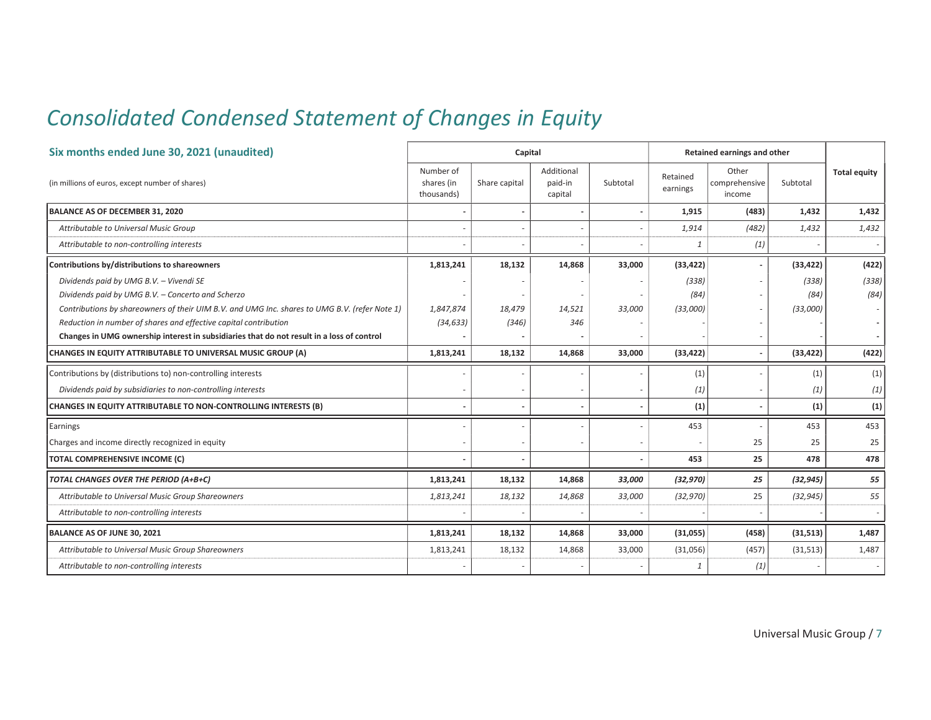## *Consolidated Condensed Statement of Changes in Equity*

| Six months ended June 30, 2021 (unaudited)                                                    |                                       | Capital                  |                                  |          |                      | Retained earnings and other      |           |                     |
|-----------------------------------------------------------------------------------------------|---------------------------------------|--------------------------|----------------------------------|----------|----------------------|----------------------------------|-----------|---------------------|
| (in millions of euros, except number of shares)                                               | Number of<br>shares (in<br>thousands) | Share capital            | Additional<br>paid-in<br>capital | Subtotal | Retained<br>earnings | Other<br>comprehensive<br>income | Subtotal  | <b>Total equity</b> |
| BALANCE AS OF DECEMBER 31, 2020                                                               |                                       | $\overline{\phantom{m}}$ |                                  |          | 1,915                | (483)                            | 1,432     | 1,432               |
| Attributable to Universal Music Group                                                         |                                       |                          |                                  |          | 1,914                | (482)                            | 1,432     | 1,432               |
| Attributable to non-controlling interests                                                     |                                       |                          |                                  |          | $\mathbf{1}$         | (1)                              |           |                     |
| Contributions by/distributions to shareowners                                                 | 1,813,241                             | 18,132                   | 14,868                           | 33,000   | (33, 422)            |                                  | (33, 422) | (422)               |
| Dividends paid by UMG B.V. - Vivendi SE                                                       |                                       |                          |                                  |          | (338)                |                                  | (338)     | (338)               |
| Dividends paid by UMG B.V. - Concerto and Scherzo                                             |                                       |                          |                                  |          | (84)                 |                                  | (84)      | (84)                |
| Contributions by shareowners of their UIM B.V. and UMG Inc. shares to UMG B.V. (refer Note 1) | 1,847,874                             | 18,479                   | 14,521                           | 33,000   | (33,000)             |                                  | (33,000)  |                     |
| Reduction in number of shares and effective capital contribution                              | (34, 633)                             | (346)                    | 346                              |          |                      |                                  |           |                     |
| Changes in UMG ownership interest in subsidiaries that do not result in a loss of control     |                                       |                          |                                  |          |                      |                                  |           |                     |
| CHANGES IN EQUITY ATTRIBUTABLE TO UNIVERSAL MUSIC GROUP (A)                                   | 1,813,241                             | 18,132                   | 14,868                           | 33,000   | (33, 422)            |                                  | (33, 422) | (422)               |
| Contributions by (distributions to) non-controlling interests                                 |                                       |                          |                                  |          | (1)                  |                                  | (1)       | (1)                 |
| Dividends paid by subsidiaries to non-controlling interests                                   |                                       |                          |                                  |          | (1)                  |                                  | (1)       | (1)                 |
| CHANGES IN EQUITY ATTRIBUTABLE TO NON-CONTROLLING INTERESTS (B)                               |                                       |                          |                                  |          | (1)                  |                                  | (1)       | (1)                 |
| Earnings                                                                                      |                                       |                          |                                  |          | 453                  |                                  | 453       | 453                 |
| Charges and income directly recognized in equity                                              |                                       |                          |                                  |          |                      | 25                               | 25        | 25                  |
| TOTAL COMPREHENSIVE INCOME (C)                                                                |                                       |                          |                                  |          | 453                  | 25                               | 478       | 478                 |
| TOTAL CHANGES OVER THE PERIOD (A+B+C)                                                         | 1,813,241                             | 18,132                   | 14.868                           | 33.000   | (32, 970)            | 25                               | (32, 945) | 55                  |
| Attributable to Universal Music Group Shareowners                                             | 1,813,241                             | 18,132                   | 14,868                           | 33,000   | (32, 970)            | 25                               | (32, 945) | 55                  |
| Attributable to non-controlling interests                                                     |                                       |                          |                                  |          |                      |                                  |           |                     |
| BALANCE AS OF JUNE 30, 2021                                                                   | 1,813,241                             | 18,132                   | 14,868                           | 33,000   | (31,055)             | (458)                            | (31, 513) | 1,487               |
| Attributable to Universal Music Group Shareowners                                             | 1,813,241                             | 18,132                   | 14,868                           | 33,000   | (31,056)             | (457)                            | (31, 513) | 1,487               |
| Attributable to non-controlling interests                                                     |                                       |                          |                                  |          | $\mathbf{1}$         | (1)                              |           |                     |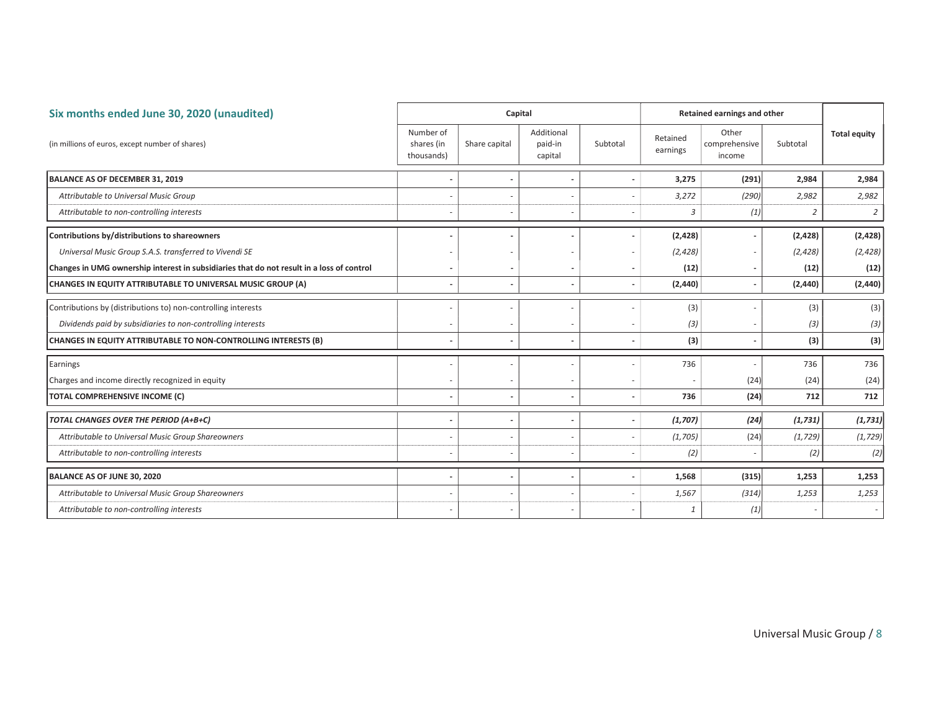| Six months ended June 30, 2020 (unaudited)                                                |                                       | Capital       |                                  |                          |                      | Retained earnings and other      |          |                     |
|-------------------------------------------------------------------------------------------|---------------------------------------|---------------|----------------------------------|--------------------------|----------------------|----------------------------------|----------|---------------------|
| (in millions of euros, except number of shares)                                           | Number of<br>shares (in<br>thousands) | Share capital | Additional<br>paid-in<br>capital | Subtotal                 | Retained<br>earnings | Other<br>comprehensive<br>income | Subtotal | <b>Total equity</b> |
| BALANCE AS OF DECEMBER 31, 2019                                                           |                                       |               |                                  | ٠                        | 3,275                | (291)                            | 2,984    | 2,984               |
| Attributable to Universal Music Group                                                     |                                       |               |                                  | ۰                        | 3,272                | (290)                            | 2,982    | 2,982               |
| Attributable to non-controlling interests                                                 |                                       |               |                                  | ٠                        | 3                    | (1)                              | 2        | $\overline{2}$      |
| Contributions by/distributions to shareowners                                             |                                       |               |                                  |                          | (2, 428)             |                                  | (2, 428) | (2,428)             |
| Universal Music Group S.A.S. transferred to Vivendi SE                                    |                                       |               |                                  |                          | (2, 428)             |                                  | (2, 428) | (2, 428)            |
| Changes in UMG ownership interest in subsidiaries that do not result in a loss of control |                                       |               |                                  | ٠                        | (12)                 |                                  | (12)     | (12)                |
| CHANGES IN EQUITY ATTRIBUTABLE TO UNIVERSAL MUSIC GROUP (A)                               |                                       |               |                                  | $\overline{a}$           | (2, 440)             |                                  | (2, 440) | (2,440)             |
| Contributions by (distributions to) non-controlling interests                             |                                       |               |                                  |                          | (3)                  |                                  | (3)      | (3)                 |
| Dividends paid by subsidiaries to non-controlling interests                               |                                       |               |                                  | ٠                        | (3)                  |                                  | (3)      | (3)                 |
| CHANGES IN EQUITY ATTRIBUTABLE TO NON-CONTROLLING INTERESTS (B)                           |                                       |               |                                  | ٠                        | (3)                  |                                  | (3)      | (3)                 |
| Earnings                                                                                  |                                       |               |                                  |                          | 736                  |                                  | 736      | 736                 |
| Charges and income directly recognized in equity                                          |                                       |               |                                  |                          |                      | (24)                             | (24)     | (24)                |
| <b>TOTAL COMPREHENSIVE INCOME (C)</b>                                                     |                                       |               |                                  | $\overline{\phantom{m}}$ | 736                  | (24)                             | 712      | 712                 |
| TOTAL CHANGES OVER THE PERIOD (A+B+C)                                                     |                                       |               |                                  | $\overline{\phantom{a}}$ | (1,707)              | (24)                             | (1, 731) | (1, 731)            |
| Attributable to Universal Music Group Shareowners                                         |                                       |               |                                  | $\overline{\phantom{m}}$ | (1,705)              | (24)                             | (1, 729) | (1, 729)            |
| Attributable to non-controlling interests                                                 |                                       |               |                                  | $\sim$                   | (2)                  |                                  | (2)      | (2)                 |
| BALANCE AS OF JUNE 30, 2020                                                               |                                       |               |                                  | $\blacksquare$           | 1,568                | (315)                            | 1,253    | 1,253               |
| Attributable to Universal Music Group Shareowners                                         |                                       |               |                                  |                          | 1,567                | (314)                            | 1,253    | 1,253               |
| Attributable to non-controlling interests                                                 |                                       |               |                                  |                          | $\mathbf{1}$         | (1)                              |          | $\sim$              |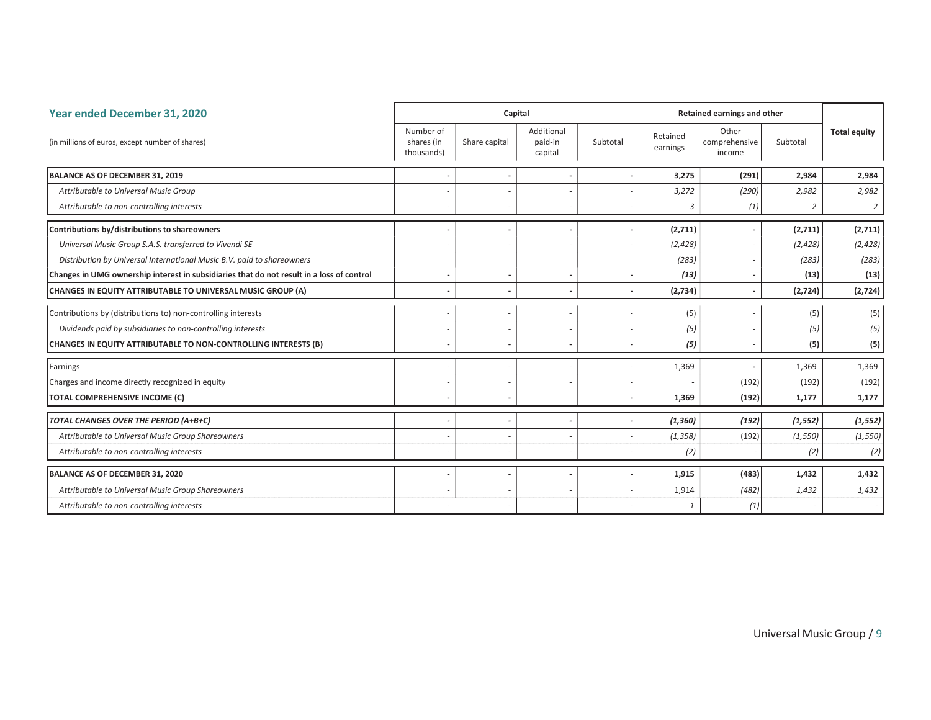| Year ended December 31, 2020                                                              |                                       | Capital       |                                  |                          |                      | Retained earnings and other      |                |                     |
|-------------------------------------------------------------------------------------------|---------------------------------------|---------------|----------------------------------|--------------------------|----------------------|----------------------------------|----------------|---------------------|
| (in millions of euros, except number of shares)                                           | Number of<br>shares (in<br>thousands) | Share capital | Additional<br>paid-in<br>capital | Subtotal                 | Retained<br>earnings | Other<br>comprehensive<br>income | Subtotal       | <b>Total equity</b> |
| <b>BALANCE AS OF DECEMBER 31, 2019</b>                                                    |                                       |               |                                  | $\overline{\phantom{a}}$ | 3,275                | (291)                            | 2,984          | 2,984               |
| Attributable to Universal Music Group                                                     |                                       |               |                                  |                          | 3,272                | (290)                            | 2,982          | 2,982               |
| Attributable to non-controlling interests                                                 |                                       |               |                                  |                          | 3                    | (1)                              | $\overline{2}$ | $\overline{2}$      |
| Contributions by/distributions to shareowners                                             |                                       |               |                                  |                          | (2,711)              |                                  | (2,711)        | (2,711)             |
| Universal Music Group S.A.S. transferred to Vivendi SE                                    |                                       |               |                                  |                          | (2, 428)             |                                  | (2, 428)       | (2, 428)            |
| Distribution by Universal International Music B.V. paid to shareowners                    |                                       |               |                                  |                          | (283)                |                                  | (283)          | (283)               |
| Changes in UMG ownership interest in subsidiaries that do not result in a loss of control |                                       | -             |                                  | $\overline{\phantom{a}}$ | (13)                 |                                  | (13)           | (13)                |
| CHANGES IN EQUITY ATTRIBUTABLE TO UNIVERSAL MUSIC GROUP (A)                               |                                       | ٠             |                                  | $\overline{\phantom{a}}$ | (2,734)              |                                  | (2,724)        | (2,724)             |
| Contributions by (distributions to) non-controlling interests                             |                                       |               |                                  |                          | (5)                  |                                  | (5)            | (5)                 |
| Dividends paid by subsidiaries to non-controlling interests                               |                                       |               |                                  | $\overline{\phantom{a}}$ | (5)                  |                                  | (5)            | (5)                 |
| CHANGES IN EQUITY ATTRIBUTABLE TO NON-CONTROLLING INTERESTS (B)                           |                                       |               |                                  |                          | (5)                  |                                  | (5)            | (5)                 |
| Earnings                                                                                  |                                       |               |                                  |                          | 1,369                |                                  | 1,369          | 1,369               |
| Charges and income directly recognized in equity                                          |                                       |               |                                  |                          |                      | (192)                            | (192)          | (192)               |
| <b>TOTAL COMPREHENSIVE INCOME (C)</b>                                                     |                                       |               |                                  | $\overline{\phantom{a}}$ | 1,369                | (192)                            | 1,177          | 1,177               |
| TOTAL CHANGES OVER THE PERIOD (A+B+C)                                                     |                                       |               |                                  | $\overline{\phantom{a}}$ | (1, 360)             | (192)                            | (1, 552)       | (1, 552)            |
| Attributable to Universal Music Group Shareowners                                         |                                       |               |                                  |                          | (1, 358)             | (192)                            | (1, 550)       | (1, 550)            |
| Attributable to non-controlling interests                                                 |                                       |               |                                  |                          | (2)                  |                                  | (2)            | (2)                 |
| BALANCE AS OF DECEMBER 31, 2020                                                           |                                       |               |                                  | $\overline{\phantom{a}}$ | 1,915                | (483)                            | 1,432          | 1,432               |
| Attributable to Universal Music Group Shareowners                                         |                                       |               |                                  |                          | 1,914                | (482)                            | 1,432          | 1,432               |
| Attributable to non-controlling interests                                                 |                                       |               |                                  |                          | $\mathbf{1}$         | (1)                              |                | $\sim$              |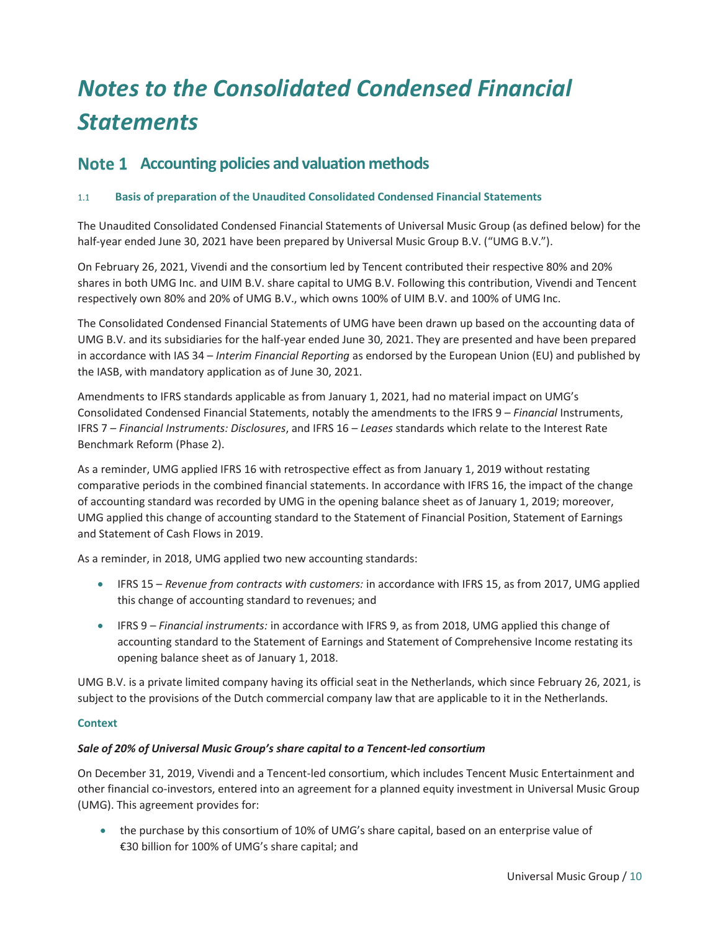# *Notes to the Consolidated Condensed Financial Statements*

## Note 1 Accounting policies and valuation methods

#### 1.1 Basis of preparation of the Unaudited Consolidated Condensed Financial Statements

The Unaudited Consolidated Condensed Financial Statements of Universal Music Group (as defined below) for the half-year ended June 30, 2021 have been prepared by Universal Music Group B.V. ("UMG B.V.").

On February 26, 2021, Vivendi and the consortium led by Tencent contributed their respective 80% and 20% shares in both UMG Inc. and UIM B.V. share capital to UMG B.V. Following this contribution, Vivendi and Tencent respectively own 80% and 20% of UMG B.V., which owns 100% of UIM B.V. and 100% of UMG Inc.

The Consolidated Condensed Financial Statements of UMG have been drawn up based on the accounting data of UMG B.V. and its subsidiaries for the half-year ended June 30, 2021. They are presented and have been prepared in accordance with IAS 34 – *Interim Financial Reporting* as endorsed by the European Union (EU) and published by the IASB, with mandatory application as of June 30, 2021.

Amendments to IFRS standards applicable as from January 1, 2021, had no material impact on UMG's Consolidated Condensed Financial Statements, notably the amendments to the IFRS 9 – *Financial* Instruments, IFRS 7 – *Financial Instruments: Disclosures*, and IFRS 16 – *Leases* standards which relate to the Interest Rate Benchmark Reform (Phase 2).

As a reminder, UMG applied IFRS 16 with retrospective effect as from January 1, 2019 without restating comparative periods in the combined financial statements. In accordance with IFRS 16, the impact of the change of accounting standard was recorded by UMG in the opening balance sheet as of January 1, 2019; moreover, UMG applied this change of accounting standard to the Statement of Financial Position, Statement of Earnings and Statement of Cash Flows in 2019.

As a reminder, in 2018, UMG applied two new accounting standards:

- x IFRS 15 *Revenue from contracts with customers:* in accordance with IFRS 15, as from 2017, UMG applied this change of accounting standard to revenues; and
- x IFRS 9 *Financial instruments:* in accordance with IFRS 9, as from 2018, UMG applied this change of accounting standard to the Statement of Earnings and Statement of Comprehensive Income restating its opening balance sheet as of January 1, 2018.

UMG B.V. is a private limited company having its official seat in the Netherlands, which since February 26, 2021, is subject to the provisions of the Dutch commercial company law that are applicable to it in the Netherlands.

#### **Context**

#### *Sale of 20% of Universal Music Group's share capital to a Tencent-led consortium*

On December 31, 2019, Vivendi and a Tencent-led consortium, which includes Tencent Music Entertainment and other financial co-investors, entered into an agreement for a planned equity investment in Universal Music Group (UMG). This agreement provides for:

• the purchase by this consortium of 10% of UMG's share capital, based on an enterprise value of €30 billion for 100% of UMG's share capital; and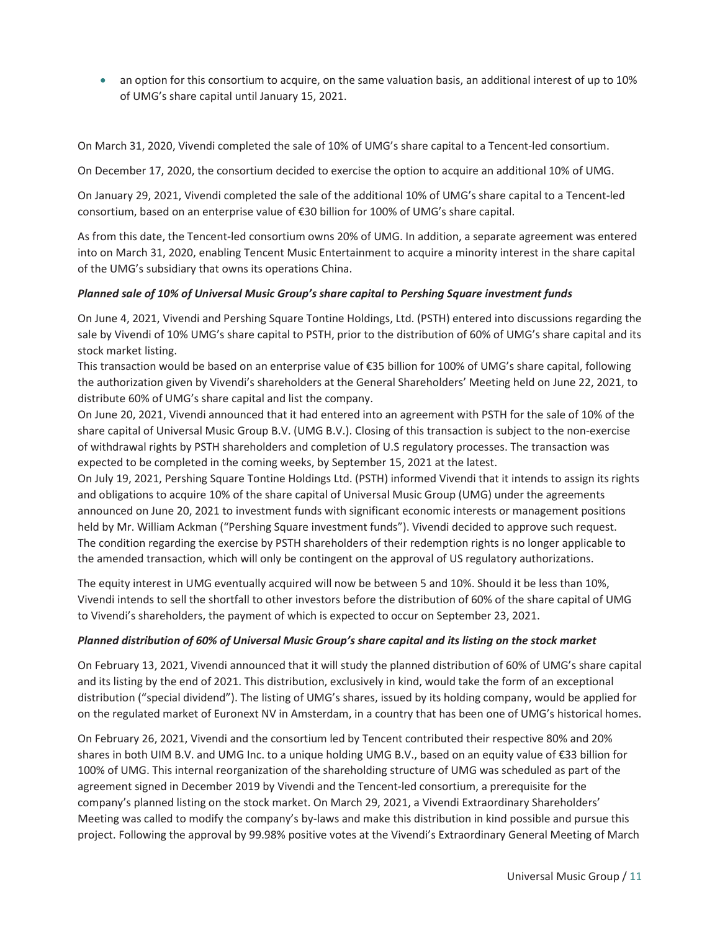• an option for this consortium to acquire, on the same valuation basis, an additional interest of up to 10% of UMG's share capital until January 15, 2021.

On March 31, 2020, Vivendi completed the sale of 10% of UMG's share capital to a Tencent-led consortium.

On December 17, 2020, the consortium decided to exercise the option to acquire an additional 10% of UMG.

On January 29, 2021, Vivendi completed the sale of the additional 10% of UMG's share capital to a Tencent-led consortium, based on an enterprise value of €30 billion for 100% of UMG's share capital.

As from this date, the Tencent-led consortium owns 20% of UMG. In addition, a separate agreement was entered into on March 31, 2020, enabling Tencent Music Entertainment to acquire a minority interest in the share capital of the UMG's subsidiary that owns its operations China.

#### *Planned sale of 10% of Universal Music Group's share capital to Pershing Square investment funds*

On June 4, 2021, Vivendi and Pershing Square Tontine Holdings, Ltd. (PSTH) entered into discussions regarding the sale by Vivendi of 10% UMG's share capital to PSTH, prior to the distribution of 60% of UMG's share capital and its stock market listing.

This transaction would be based on an enterprise value of €35 billion for 100% of UMG's share capital, following the authorization given by Vivendi's shareholders at the General Shareholders' Meeting held on June 22, 2021, to distribute 60% of UMG's share capital and list the company.

On June 20, 2021, Vivendi announced that it had entered into an agreement with PSTH for the sale of 10% of the share capital of Universal Music Group B.V. (UMG B.V.). Closing of this transaction is subject to the non-exercise of withdrawal rights by PSTH shareholders and completion of U.S regulatory processes. The transaction was expected to be completed in the coming weeks, by September 15, 2021 at the latest.

On July 19, 2021, Pershing Square Tontine Holdings Ltd. (PSTH) informed Vivendi that it intends to assign its rights and obligations to acquire 10% of the share capital of Universal Music Group (UMG) under the agreements announced on June 20, 2021 to investment funds with significant economic interests or management positions held by Mr. William Ackman ("Pershing Square investment funds"). Vivendi decided to approve such request. The condition regarding the exercise by PSTH shareholders of their redemption rights is no longer applicable to the amended transaction, which will only be contingent on the approval of US regulatory authorizations.

The equity interest in UMG eventually acquired will now be between 5 and 10%. Should it be less than 10%, Vivendi intends to sell the shortfall to other investors before the distribution of 60% of the share capital of UMG to Vivendi's shareholders, the payment of which is expected to occur on September 23, 2021.

#### *Planned distribution of 60% of Universal Music Group's share capital and its listing on the stock market*

On February 13, 2021, Vivendi announced that it will study the planned distribution of 60% of UMG's share capital and its listing by the end of 2021. This distribution, exclusively in kind, would take the form of an exceptional distribution ("special dividend"). The listing of UMG's shares, issued by its holding company, would be applied for on the regulated market of Euronext NV in Amsterdam, in a country that has been one of UMG's historical homes.

On February 26, 2021, Vivendi and the consortium led by Tencent contributed their respective 80% and 20% shares in both UIM B.V. and UMG Inc. to a unique holding UMG B.V., based on an equity value of €33 billion for 100% of UMG. This internal reorganization of the shareholding structure of UMG was scheduled as part of the agreement signed in December 2019 by Vivendi and the Tencent-led consortium, a prerequisite for the company's planned listing on the stock market. On March 29, 2021, a Vivendi Extraordinary Shareholders' Meeting was called to modify the company's by-laws and make this distribution in kind possible and pursue this project. Following the approval by 99.98% positive votes at the Vivendi's Extraordinary General Meeting of March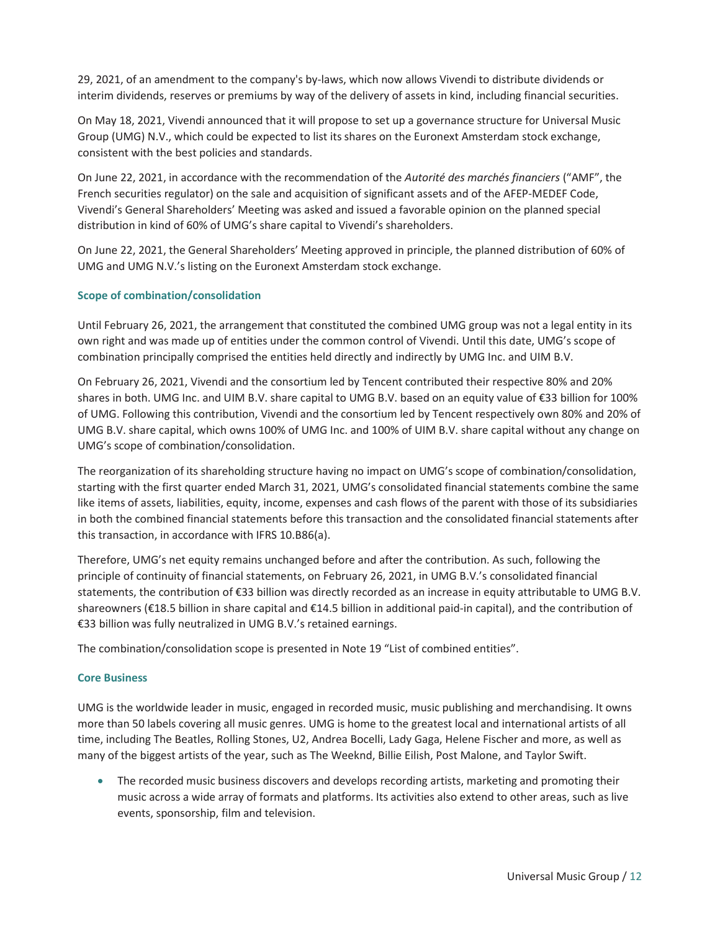29, 2021, of an amendment to the company's by-laws, which now allows Vivendi to distribute dividends or interim dividends, reserves or premiums by way of the delivery of assets in kind, including financial securities.

On May 18, 2021, Vivendi announced that it will propose to set up a governance structure for Universal Music Group (UMG) N.V., which could be expected to list its shares on the Euronext Amsterdam stock exchange, consistent with the best policies and standards.

On June 22, 2021, in accordance with the recommendation of the *Autorité des marchés financiers* ("AMF", the French securities regulator) on the sale and acquisition of significant assets and of the AFEP-MEDEF Code, Vivendi's General Shareholders' Meeting was asked and issued a favorable opinion on the planned special distribution in kind of 60% of UMG's share capital to Vivendi's shareholders.

On June 22, 2021, the General Shareholders' Meeting approved in principle, the planned distribution of 60% of UMG and UMG N.V.'s listing on the Euronext Amsterdam stock exchange.

#### Scope of combination/consolidation

Until February 26, 2021, the arrangement that constituted the combined UMG group was not a legal entity in its own right and was made up of entities under the common control of Vivendi. Until this date, UMG's scope of combination principally comprised the entities held directly and indirectly by UMG Inc. and UIM B.V.

On February 26, 2021, Vivendi and the consortium led by Tencent contributed their respective 80% and 20% shares in both. UMG Inc. and UIM B.V. share capital to UMG B.V. based on an equity value of €33 billion for 100% of UMG. Following this contribution, Vivendi and the consortium led by Tencent respectively own 80% and 20% of UMG B.V. share capital, which owns 100% of UMG Inc. and 100% of UIM B.V. share capital without any change on UMG's scope of combination/consolidation.

The reorganization of its shareholding structure having no impact on UMG's scope of combination/consolidation, starting with the first quarter ended March 31, 2021, UMG's consolidated financial statements combine the same like items of assets, liabilities, equity, income, expenses and cash flows of the parent with those of its subsidiaries in both the combined financial statements before this transaction and the consolidated financial statements after this transaction, in accordance with IFRS 10.B86(a).

Therefore, UMG's net equity remains unchanged before and after the contribution. As such, following the principle of continuity of financial statements, on February 26, 2021, in UMG B.V.'s consolidated financial statements, the contribution of €33 billion was directly recorded as an increase in equity attributable to UMG B.V. shareowners (€18.5 billion in share capital and €14.5 billion in additional paid-in capital), and the contribution of €33 billion was fully neutralized in UMG B.V.'s retained earnings.

The combination/consolidation scope is presented in Note 19 "List of combined entities".

#### Core Business

UMG is the worldwide leader in music, engaged in recorded music, music publishing and merchandising. It owns more than 50 labels covering all music genres. UMG is home to the greatest local and international artists of all time, including The Beatles, Rolling Stones, U2, Andrea Bocelli, Lady Gaga, Helene Fischer and more, as well as many of the biggest artists of the year, such as The Weeknd, Billie Eilish, Post Malone, and Taylor Swift.

• The recorded music business discovers and develops recording artists, marketing and promoting their music across a wide array of formats and platforms. Its activities also extend to other areas, such as live events, sponsorship, film and television.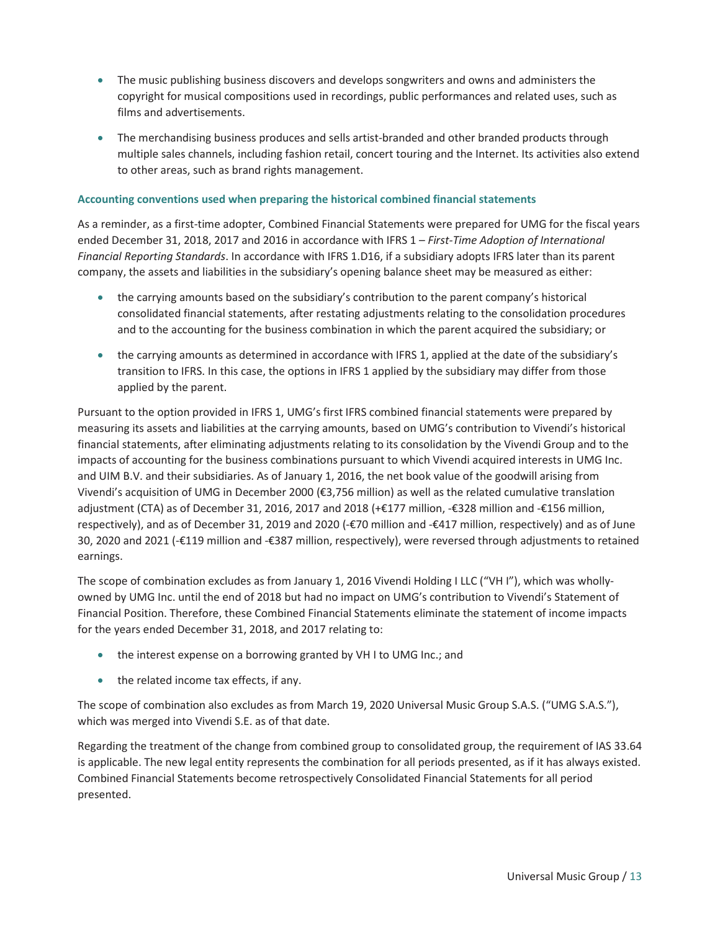- The music publishing business discovers and develops songwriters and owns and administers the copyright for musical compositions used in recordings, public performances and related uses, such as films and advertisements.
- The merchandising business produces and sells artist-branded and other branded products through multiple sales channels, including fashion retail, concert touring and the Internet. Its activities also extend to other areas, such as brand rights management.

#### Accounting conventions used when preparing the historical combined financial statements

As a reminder, as a first-time adopter, Combined Financial Statements were prepared for UMG for the fiscal years ended December 31, 2018, 2017 and 2016 in accordance with IFRS 1 – *First-Time Adoption of International Financial Reporting Standards*. In accordance with IFRS 1.D16, if a subsidiary adopts IFRS later than its parent company, the assets and liabilities in the subsidiary's opening balance sheet may be measured as either:

- the carrying amounts based on the subsidiary's contribution to the parent company's historical consolidated financial statements, after restating adjustments relating to the consolidation procedures and to the accounting for the business combination in which the parent acquired the subsidiary; or
- the carrying amounts as determined in accordance with IFRS 1, applied at the date of the subsidiary's transition to IFRS. In this case, the options in IFRS 1 applied by the subsidiary may differ from those applied by the parent.

Pursuant to the option provided in IFRS 1, UMG's first IFRS combined financial statements were prepared by measuring its assets and liabilities at the carrying amounts, based on UMG's contribution to Vivendi's historical financial statements, after eliminating adjustments relating to its consolidation by the Vivendi Group and to the impacts of accounting for the business combinations pursuant to which Vivendi acquired interests in UMG Inc. and UIM B.V. and their subsidiaries. As of January 1, 2016, the net book value of the goodwill arising from Vivendi's acquisition of UMG in December 2000 (€3,756 million) as well as the related cumulative translation adjustment (CTA) as of December 31, 2016, 2017 and 2018 (+€177 million, -€328 million and -€156 million, respectively), and as of December 31, 2019 and 2020 (-€70 million and -€417 million, respectively) and as of June 30, 2020 and 2021 (-€119 million and -€387 million, respectively), were reversed through adjustments to retained earnings.

The scope of combination excludes as from January 1, 2016 Vivendi Holding I LLC ("VH I"), which was whollyowned by UMG Inc. until the end of 2018 but had no impact on UMG's contribution to Vivendi's Statement of Financial Position. Therefore, these Combined Financial Statements eliminate the statement of income impacts for the years ended December 31, 2018, and 2017 relating to:

- the interest expense on a borrowing granted by VH I to UMG Inc.; and
- $\bullet$  the related income tax effects, if any.

The scope of combination also excludes as from March 19, 2020 Universal Music Group S.A.S. ("UMG S.A.S."), which was merged into Vivendi S.E. as of that date.

Regarding the treatment of the change from combined group to consolidated group, the requirement of IAS 33.64 is applicable. The new legal entity represents the combination for all periods presented, as if it has always existed. Combined Financial Statements become retrospectively Consolidated Financial Statements for all period presented.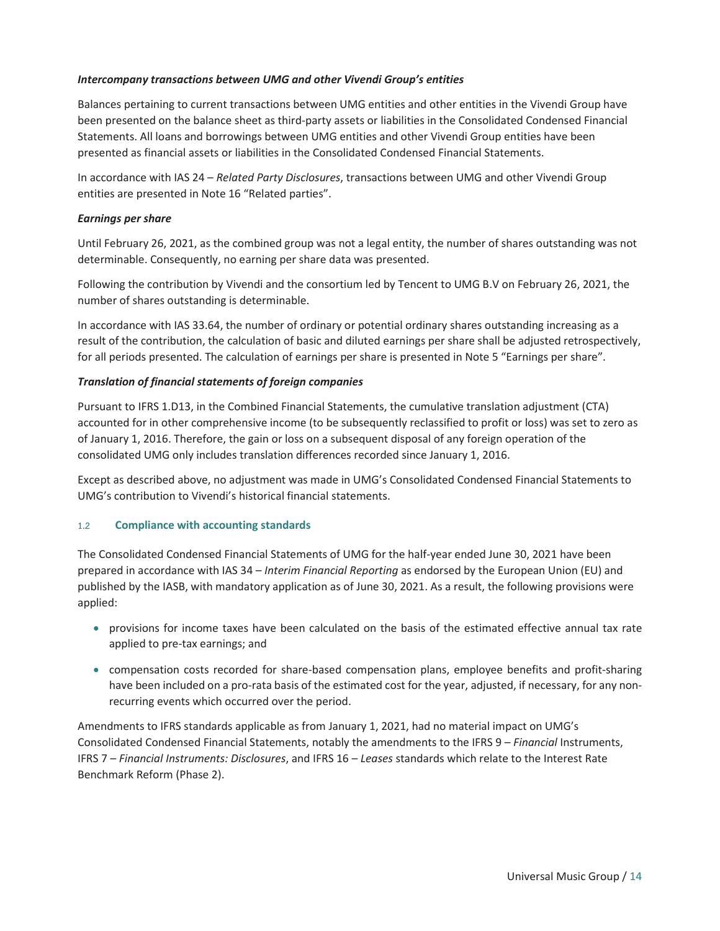#### *Intercompany transactions between UMG and other Vivendi Group's entities*

Balances pertaining to current transactions between UMG entities and other entities in the Vivendi Group have been presented on the balance sheet as third-party assets or liabilities in the Consolidated Condensed Financial Statements. All loans and borrowings between UMG entities and other Vivendi Group entities have been presented as financial assets or liabilities in the Consolidated Condensed Financial Statements.

In accordance with IAS 24 – *Related Party Disclosures*, transactions between UMG and other Vivendi Group entities are presented in Note 16 "Related parties".

#### *Earnings per share*

Until February 26, 2021, as the combined group was not a legal entity, the number of shares outstanding was not determinable. Consequently, no earning per share data was presented.

Following the contribution by Vivendi and the consortium led by Tencent to UMG B.V on February 26, 2021, the number of shares outstanding is determinable.

In accordance with IAS 33.64, the number of ordinary or potential ordinary shares outstanding increasing as a result of the contribution, the calculation of basic and diluted earnings per share shall be adjusted retrospectively, for all periods presented. The calculation of earnings per share is presented in Note 5 "Earnings per share".

#### *Translation of financial statements of foreign companies*

Pursuant to IFRS 1.D13, in the Combined Financial Statements, the cumulative translation adjustment (CTA) accounted for in other comprehensive income (to be subsequently reclassified to profit or loss) was set to zero as of January 1, 2016. Therefore, the gain or loss on a subsequent disposal of any foreign operation of the consolidated UMG only includes translation differences recorded since January 1, 2016.

Except as described above, no adjustment was made in UMG's Consolidated Condensed Financial Statements to UMG's contribution to Vivendi's historical financial statements.

#### 1.2 Compliance with accounting standards

The Consolidated Condensed Financial Statements of UMG for the half-year ended June 30, 2021 have been prepared in accordance with IAS 34 – *Interim Financial Reporting* as endorsed by the European Union (EU) and published by the IASB, with mandatory application as of June 30, 2021. As a result, the following provisions were applied:

- provisions for income taxes have been calculated on the basis of the estimated effective annual tax rate applied to pre-tax earnings; and
- compensation costs recorded for share-based compensation plans, employee benefits and profit-sharing have been included on a pro-rata basis of the estimated cost for the year, adjusted, if necessary, for any nonrecurring events which occurred over the period.

Amendments to IFRS standards applicable as from January 1, 2021, had no material impact on UMG's Consolidated Condensed Financial Statements, notably the amendments to the IFRS 9 – *Financial* Instruments, IFRS 7 – *Financial Instruments: Disclosures*, and IFRS 16 – *Leases* standards which relate to the Interest Rate Benchmark Reform (Phase 2).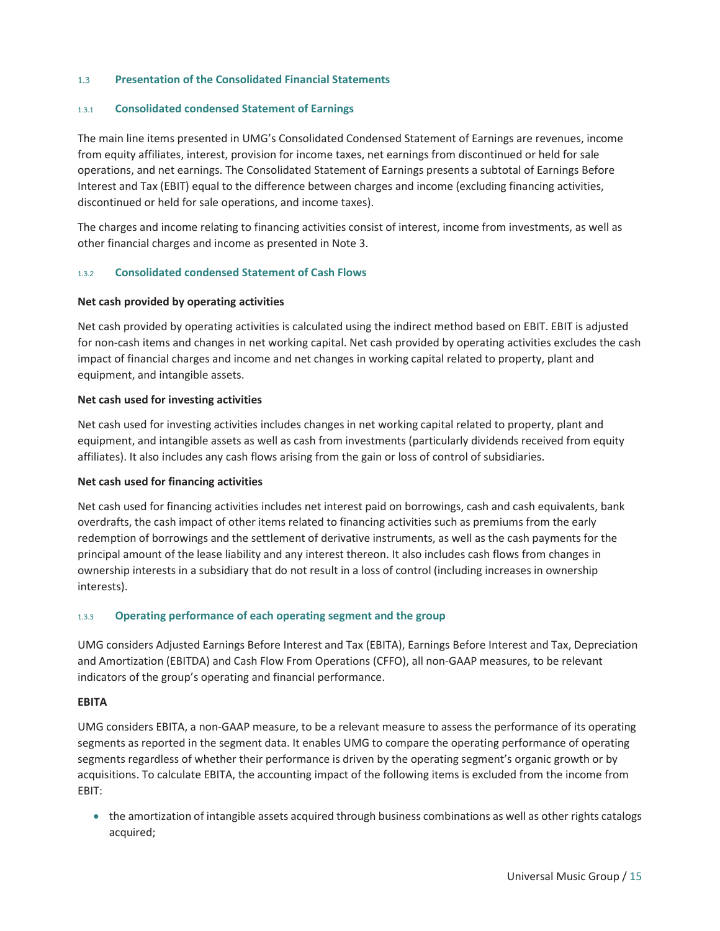#### 1.3 Presentation of the Consolidated Financial Statements

#### 1.3.1 Consolidated condensed Statement of Earnings

The main line items presented in UMG's Consolidated Condensed Statement of Earnings are revenues, income from equity affiliates, interest, provision for income taxes, net earnings from discontinued or held for sale operations, and net earnings. The Consolidated Statement of Earnings presents a subtotal of Earnings Before Interest and Tax (EBIT) equal to the difference between charges and income (excluding financing activities, discontinued or held for sale operations, and income taxes).

The charges and income relating to financing activities consist of interest, income from investments, as well as other financial charges and income as presented in Note 3.

#### 1.3.2 Consolidated condensed Statement of Cash Flows

#### Net cash provided by operating activities

Net cash provided by operating activities is calculated using the indirect method based on EBIT. EBIT is adjusted for non-cash items and changes in net working capital. Net cash provided by operating activities excludes the cash impact of financial charges and income and net changes in working capital related to property, plant and equipment, and intangible assets.

#### Net cash used for investing activities

Net cash used for investing activities includes changes in net working capital related to property, plant and equipment, and intangible assets as well as cash from investments (particularly dividends received from equity affiliates). It also includes any cash flows arising from the gain or loss of control of subsidiaries.

#### Net cash used for financing activities

Net cash used for financing activities includes net interest paid on borrowings, cash and cash equivalents, bank overdrafts, the cash impact of other items related to financing activities such as premiums from the early redemption of borrowings and the settlement of derivative instruments, as well as the cash payments for the principal amount of the lease liability and any interest thereon. It also includes cash flows from changes in ownership interests in a subsidiary that do not result in a loss of control (including increases in ownership interests).

#### 1.3.3 Operating performance of each operating segment and the group

UMG considers Adjusted Earnings Before Interest and Tax (EBITA), Earnings Before Interest and Tax, Depreciation and Amortization (EBITDA) and Cash Flow From Operations (CFFO), all non-GAAP measures, to be relevant indicators of the group's operating and financial performance.

#### EBITA

UMG considers EBITA, a non-GAAP measure, to be a relevant measure to assess the performance of its operating segments as reported in the segment data. It enables UMG to compare the operating performance of operating segments regardless of whether their performance is driven by the operating segment's organic growth or by acquisitions. To calculate EBITA, the accounting impact of the following items is excluded from the income from EBIT:

• the amortization of intangible assets acquired through business combinations as well as other rights catalogs acquired;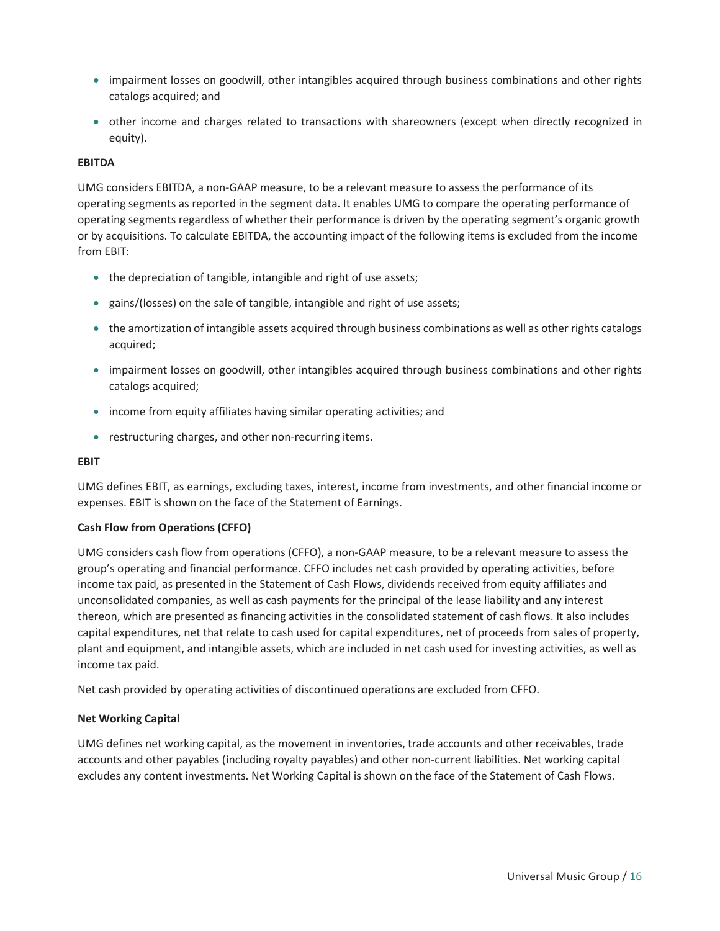- impairment losses on goodwill, other intangibles acquired through business combinations and other rights catalogs acquired; and
- other income and charges related to transactions with shareowners (except when directly recognized in equity).

#### EBITDA

UMG considers EBITDA, a non-GAAP measure, to be a relevant measure to assess the performance of its operating segments as reported in the segment data. It enables UMG to compare the operating performance of operating segments regardless of whether their performance is driven by the operating segment's organic growth or by acquisitions. To calculate EBITDA, the accounting impact of the following items is excluded from the income from EBIT:

- the depreciation of tangible, intangible and right of use assets;
- gains/(losses) on the sale of tangible, intangible and right of use assets;
- the amortization of intangible assets acquired through business combinations as well as other rights catalogs acquired;
- impairment losses on goodwill, other intangibles acquired through business combinations and other rights catalogs acquired;
- income from equity affiliates having similar operating activities; and
- restructuring charges, and other non-recurring items.

#### EBIT

UMG defines EBIT, as earnings, excluding taxes, interest, income from investments, and other financial income or expenses. EBIT is shown on the face of the Statement of Earnings.

#### Cash Flow from Operations (CFFO)

UMG considers cash flow from operations (CFFO), a non-GAAP measure, to be a relevant measure to assess the group's operating and financial performance. CFFO includes net cash provided by operating activities, before income tax paid, as presented in the Statement of Cash Flows, dividends received from equity affiliates and unconsolidated companies, as well as cash payments for the principal of the lease liability and any interest thereon, which are presented as financing activities in the consolidated statement of cash flows. It also includes capital expenditures, net that relate to cash used for capital expenditures, net of proceeds from sales of property, plant and equipment, and intangible assets, which are included in net cash used for investing activities, as well as income tax paid.

Net cash provided by operating activities of discontinued operations are excluded from CFFO.

#### Net Working Capital

UMG defines net working capital, as the movement in inventories, trade accounts and other receivables, trade accounts and other payables (including royalty payables) and other non-current liabilities. Net working capital excludes any content investments. Net Working Capital is shown on the face of the Statement of Cash Flows.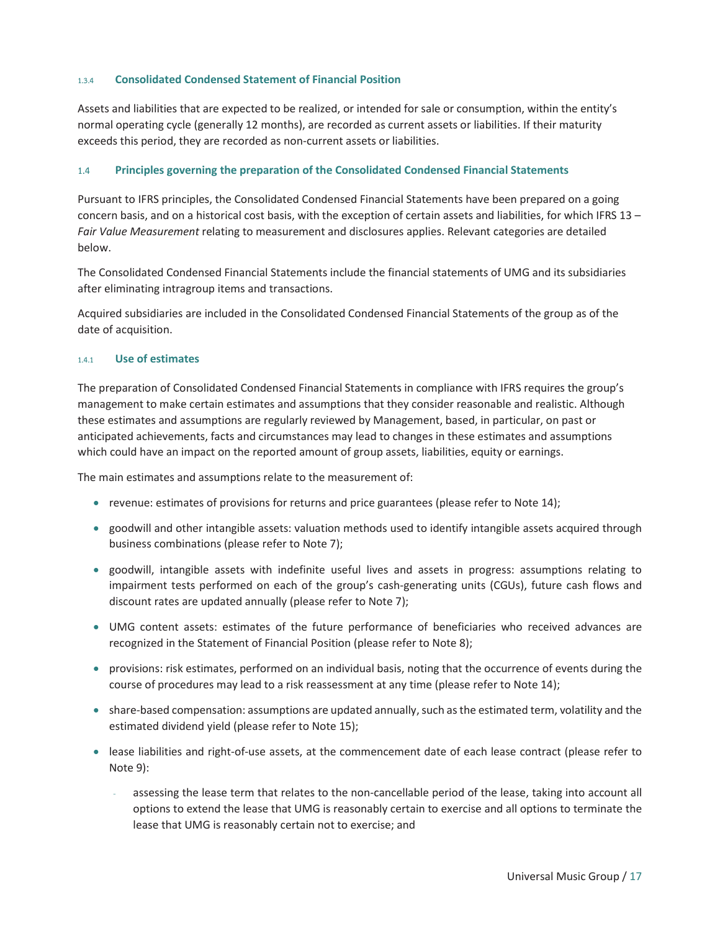#### 1.3.4 Consolidated Condensed Statement of Financial Position

Assets and liabilities that are expected to be realized, or intended for sale or consumption, within the entity's normal operating cycle (generally 12 months), are recorded as current assets or liabilities. If their maturity exceeds this period, they are recorded as non-current assets or liabilities.

#### 1.4 Principles governing the preparation of the Consolidated Condensed Financial Statements

Pursuant to IFRS principles, the Consolidated Condensed Financial Statements have been prepared on a going concern basis, and on a historical cost basis, with the exception of certain assets and liabilities, for which IFRS 13 – *Fair Value Measurement* relating to measurement and disclosures applies. Relevant categories are detailed below.

The Consolidated Condensed Financial Statements include the financial statements of UMG and its subsidiaries after eliminating intragroup items and transactions.

Acquired subsidiaries are included in the Consolidated Condensed Financial Statements of the group as of the date of acquisition.

#### 1.4.1 Use of estimates

The preparation of Consolidated Condensed Financial Statements in compliance with IFRS requires the group's management to make certain estimates and assumptions that they consider reasonable and realistic. Although these estimates and assumptions are regularly reviewed by Management, based, in particular, on past or anticipated achievements, facts and circumstances may lead to changes in these estimates and assumptions which could have an impact on the reported amount of group assets, liabilities, equity or earnings.

The main estimates and assumptions relate to the measurement of:

- revenue: estimates of provisions for returns and price guarantees (please refer to Note 14);
- goodwill and other intangible assets: valuation methods used to identify intangible assets acquired through business combinations (please refer to Note 7);
- goodwill, intangible assets with indefinite useful lives and assets in progress: assumptions relating to impairment tests performed on each of the group's cash-generating units (CGUs), future cash flows and discount rates are updated annually (please refer to Note 7);
- UMG content assets: estimates of the future performance of beneficiaries who received advances are recognized in the Statement of Financial Position (please refer to Note 8);
- provisions: risk estimates, performed on an individual basis, noting that the occurrence of events during the course of procedures may lead to a risk reassessment at any time (please refer to Note 14);
- share-based compensation: assumptions are updated annually, such as the estimated term, volatility and the estimated dividend yield (please refer to Note 15);
- lease liabilities and right-of-use assets, at the commencement date of each lease contract (please refer to Note 9):
	- assessing the lease term that relates to the non-cancellable period of the lease, taking into account all options to extend the lease that UMG is reasonably certain to exercise and all options to terminate the lease that UMG is reasonably certain not to exercise; and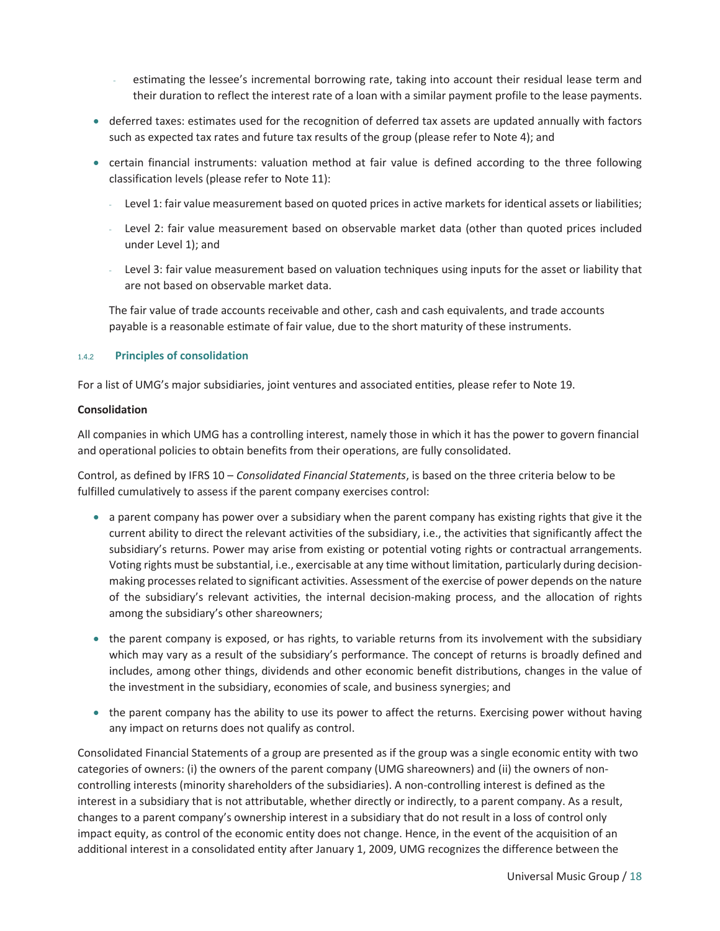- estimating the lessee's incremental borrowing rate, taking into account their residual lease term and their duration to reflect the interest rate of a loan with a similar payment profile to the lease payments.
- deferred taxes: estimates used for the recognition of deferred tax assets are updated annually with factors such as expected tax rates and future tax results of the group (please refer to Note 4); and
- certain financial instruments: valuation method at fair value is defined according to the three following classification levels (please refer to Note 11):
	- Level 1: fair value measurement based on quoted prices in active markets for identical assets or liabilities;
	- Level 2: fair value measurement based on observable market data (other than quoted prices included under Level 1); and
	- Level 3: fair value measurement based on valuation techniques using inputs for the asset or liability that are not based on observable market data.

The fair value of trade accounts receivable and other, cash and cash equivalents, and trade accounts payable is a reasonable estimate of fair value, due to the short maturity of these instruments.

#### 1.4.2 Principles of consolidation

For a list of UMG's major subsidiaries, joint ventures and associated entities, please refer to Note 19.

#### **Consolidation**

All companies in which UMG has a controlling interest, namely those in which it has the power to govern financial and operational policies to obtain benefits from their operations, are fully consolidated.

Control, as defined by IFRS 10 – *Consolidated Financial Statements*, is based on the three criteria below to be fulfilled cumulatively to assess if the parent company exercises control:

- a parent company has power over a subsidiary when the parent company has existing rights that give it the current ability to direct the relevant activities of the subsidiary, i.e., the activities that significantly affect the subsidiary's returns. Power may arise from existing or potential voting rights or contractual arrangements. Voting rights must be substantial, i.e., exercisable at any time without limitation, particularly during decisionmaking processes related to significant activities. Assessment of the exercise of power depends on the nature of the subsidiary's relevant activities, the internal decision-making process, and the allocation of rights among the subsidiary's other shareowners;
- the parent company is exposed, or has rights, to variable returns from its involvement with the subsidiary which may vary as a result of the subsidiary's performance. The concept of returns is broadly defined and includes, among other things, dividends and other economic benefit distributions, changes in the value of the investment in the subsidiary, economies of scale, and business synergies; and
- the parent company has the ability to use its power to affect the returns. Exercising power without having any impact on returns does not qualify as control.

Consolidated Financial Statements of a group are presented as if the group was a single economic entity with two categories of owners: (i) the owners of the parent company (UMG shareowners) and (ii) the owners of noncontrolling interests (minority shareholders of the subsidiaries). A non-controlling interest is defined as the interest in a subsidiary that is not attributable, whether directly or indirectly, to a parent company. As a result, changes to a parent company's ownership interest in a subsidiary that do not result in a loss of control only impact equity, as control of the economic entity does not change. Hence, in the event of the acquisition of an additional interest in a consolidated entity after January 1, 2009, UMG recognizes the difference between the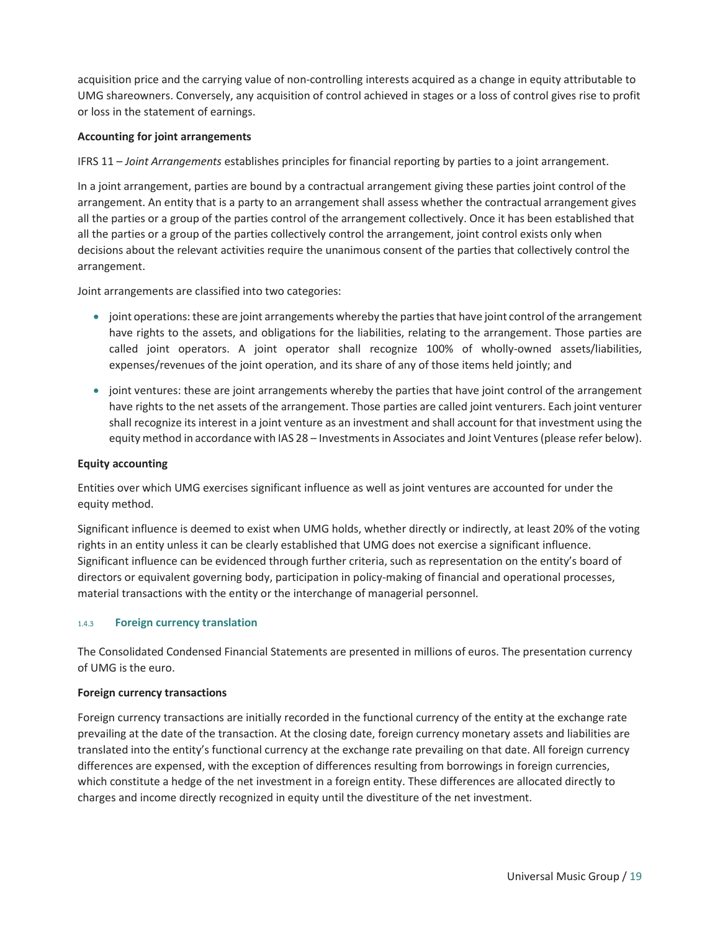acquisition price and the carrying value of non-controlling interests acquired as a change in equity attributable to UMG shareowners. Conversely, any acquisition of control achieved in stages or a loss of control gives rise to profit or loss in the statement of earnings.

#### Accounting for joint arrangements

IFRS 11 – *Joint Arrangements* establishes principles for financial reporting by parties to a joint arrangement.

In a joint arrangement, parties are bound by a contractual arrangement giving these parties joint control of the arrangement. An entity that is a party to an arrangement shall assess whether the contractual arrangement gives all the parties or a group of the parties control of the arrangement collectively. Once it has been established that all the parties or a group of the parties collectively control the arrangement, joint control exists only when decisions about the relevant activities require the unanimous consent of the parties that collectively control the arrangement.

Joint arrangements are classified into two categories:

- joint operations: these are joint arrangements whereby the parties that have joint control of the arrangement have rights to the assets, and obligations for the liabilities, relating to the arrangement. Those parties are called joint operators. A joint operator shall recognize 100% of wholly-owned assets/liabilities, expenses/revenues of the joint operation, and its share of any of those items held jointly; and
- joint ventures: these are joint arrangements whereby the parties that have joint control of the arrangement have rights to the net assets of the arrangement. Those parties are called joint venturers. Each joint venturer shall recognize its interest in a joint venture as an investment and shall account for that investment using the equity method in accordance with IAS 28 – Investments in Associates and Joint Ventures (please refer below).

#### Equity accounting

Entities over which UMG exercises significant influence as well as joint ventures are accounted for under the equity method.

Significant influence is deemed to exist when UMG holds, whether directly or indirectly, at least 20% of the voting rights in an entity unless it can be clearly established that UMG does not exercise a significant influence. Significant influence can be evidenced through further criteria, such as representation on the entity's board of directors or equivalent governing body, participation in policy-making of financial and operational processes, material transactions with the entity or the interchange of managerial personnel.

#### 1.4.3 Foreign currency translation

The Consolidated Condensed Financial Statements are presented in millions of euros. The presentation currency of UMG is the euro.

#### Foreign currency transactions

Foreign currency transactions are initially recorded in the functional currency of the entity at the exchange rate prevailing at the date of the transaction. At the closing date, foreign currency monetary assets and liabilities are translated into the entity's functional currency at the exchange rate prevailing on that date. All foreign currency differences are expensed, with the exception of differences resulting from borrowings in foreign currencies, which constitute a hedge of the net investment in a foreign entity. These differences are allocated directly to charges and income directly recognized in equity until the divestiture of the net investment.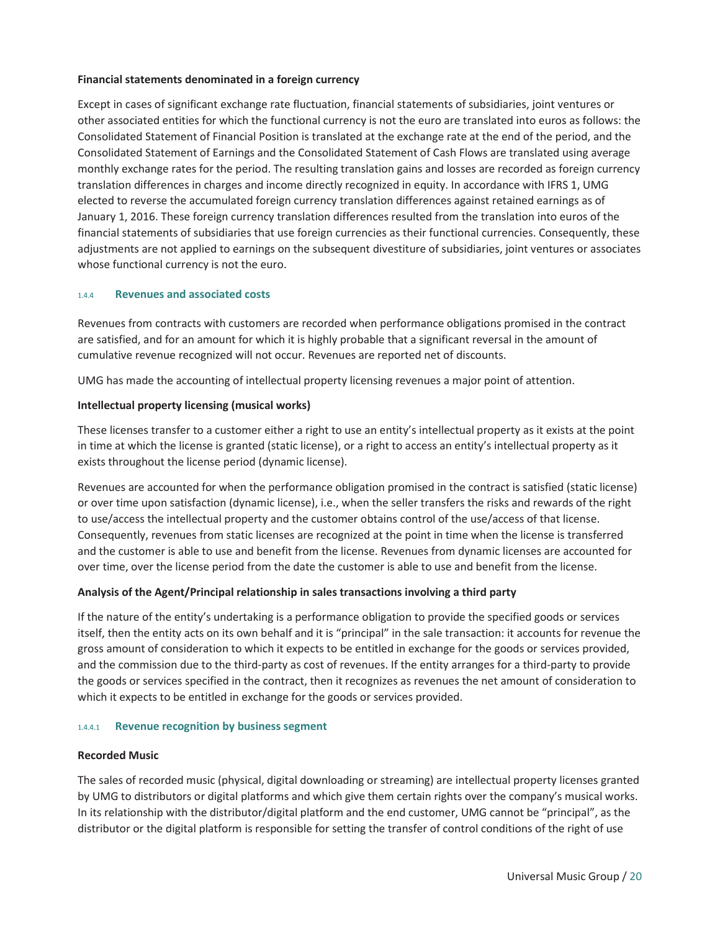#### Financial statements denominated in a foreign currency

Except in cases of significant exchange rate fluctuation, financial statements of subsidiaries, joint ventures or other associated entities for which the functional currency is not the euro are translated into euros as follows: the Consolidated Statement of Financial Position is translated at the exchange rate at the end of the period, and the Consolidated Statement of Earnings and the Consolidated Statement of Cash Flows are translated using average monthly exchange rates for the period. The resulting translation gains and losses are recorded as foreign currency translation differences in charges and income directly recognized in equity. In accordance with IFRS 1, UMG elected to reverse the accumulated foreign currency translation differences against retained earnings as of January 1, 2016. These foreign currency translation differences resulted from the translation into euros of the financial statements of subsidiaries that use foreign currencies as their functional currencies. Consequently, these adjustments are not applied to earnings on the subsequent divestiture of subsidiaries, joint ventures or associates whose functional currency is not the euro.

#### 1.4.4 Revenues and associated costs

Revenues from contracts with customers are recorded when performance obligations promised in the contract are satisfied, and for an amount for which it is highly probable that a significant reversal in the amount of cumulative revenue recognized will not occur. Revenues are reported net of discounts.

UMG has made the accounting of intellectual property licensing revenues a major point of attention.

#### Intellectual property licensing (musical works)

These licenses transfer to a customer either a right to use an entity's intellectual property as it exists at the point in time at which the license is granted (static license), or a right to access an entity's intellectual property as it exists throughout the license period (dynamic license).

Revenues are accounted for when the performance obligation promised in the contract is satisfied (static license) or over time upon satisfaction (dynamic license), i.e., when the seller transfers the risks and rewards of the right to use/access the intellectual property and the customer obtains control of the use/access of that license. Consequently, revenues from static licenses are recognized at the point in time when the license is transferred and the customer is able to use and benefit from the license. Revenues from dynamic licenses are accounted for over time, over the license period from the date the customer is able to use and benefit from the license.

#### Analysis of the Agent/Principal relationship in sales transactions involving a third party

If the nature of the entity's undertaking is a performance obligation to provide the specified goods or services itself, then the entity acts on its own behalf and it is "principal" in the sale transaction: it accounts for revenue the gross amount of consideration to which it expects to be entitled in exchange for the goods or services provided, and the commission due to the third-party as cost of revenues. If the entity arranges for a third-party to provide the goods or services specified in the contract, then it recognizes as revenues the net amount of consideration to which it expects to be entitled in exchange for the goods or services provided.

#### 1.4.4.1 Revenue recognition by business segment

#### Recorded Music

The sales of recorded music (physical, digital downloading or streaming) are intellectual property licenses granted by UMG to distributors or digital platforms and which give them certain rights over the company's musical works. In its relationship with the distributor/digital platform and the end customer, UMG cannot be "principal", as the distributor or the digital platform is responsible for setting the transfer of control conditions of the right of use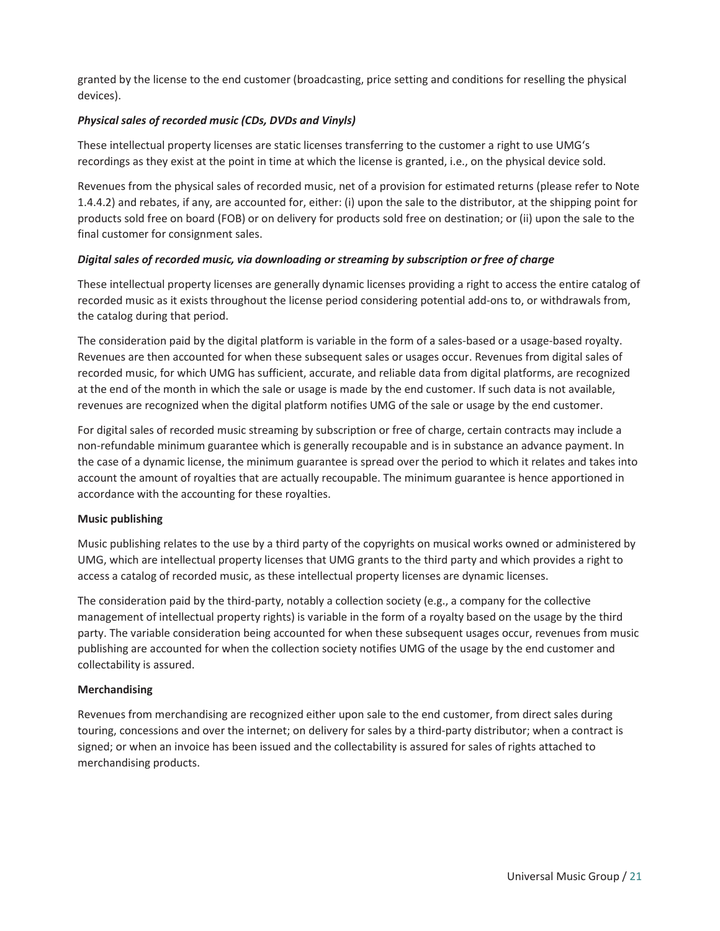granted by the license to the end customer (broadcasting, price setting and conditions for reselling the physical devices).

#### *Physical sales of recorded music (CDs, DVDs and Vinyls)*

These intellectual property licenses are static licenses transferring to the customer a right to use UMG's recordings as they exist at the point in time at which the license is granted, i.e., on the physical device sold.

Revenues from the physical sales of recorded music, net of a provision for estimated returns (please refer to Note 1.4.4.2) and rebates, if any, are accounted for, either: (i) upon the sale to the distributor, at the shipping point for products sold free on board (FOB) or on delivery for products sold free on destination; or (ii) upon the sale to the final customer for consignment sales.

#### *Digital sales of recorded music, via downloading or streaming by subscription or free of charge*

These intellectual property licenses are generally dynamic licenses providing a right to access the entire catalog of recorded music as it exists throughout the license period considering potential add-ons to, or withdrawals from, the catalog during that period.

The consideration paid by the digital platform is variable in the form of a sales-based or a usage-based royalty. Revenues are then accounted for when these subsequent sales or usages occur. Revenues from digital sales of recorded music, for which UMG has sufficient, accurate, and reliable data from digital platforms, are recognized at the end of the month in which the sale or usage is made by the end customer. If such data is not available, revenues are recognized when the digital platform notifies UMG of the sale or usage by the end customer.

For digital sales of recorded music streaming by subscription or free of charge, certain contracts may include a non-refundable minimum guarantee which is generally recoupable and is in substance an advance payment. In the case of a dynamic license, the minimum guarantee is spread over the period to which it relates and takes into account the amount of royalties that are actually recoupable. The minimum guarantee is hence apportioned in accordance with the accounting for these royalties.

#### Music publishing

Music publishing relates to the use by a third party of the copyrights on musical works owned or administered by UMG, which are intellectual property licenses that UMG grants to the third party and which provides a right to access a catalog of recorded music, as these intellectual property licenses are dynamic licenses.

The consideration paid by the third-party, notably a collection society (e.g., a company for the collective management of intellectual property rights) is variable in the form of a royalty based on the usage by the third party. The variable consideration being accounted for when these subsequent usages occur, revenues from music publishing are accounted for when the collection society notifies UMG of the usage by the end customer and collectability is assured.

#### Merchandising

Revenues from merchandising are recognized either upon sale to the end customer, from direct sales during touring, concessions and over the internet; on delivery for sales by a third-party distributor; when a contract is signed; or when an invoice has been issued and the collectability is assured for sales of rights attached to merchandising products.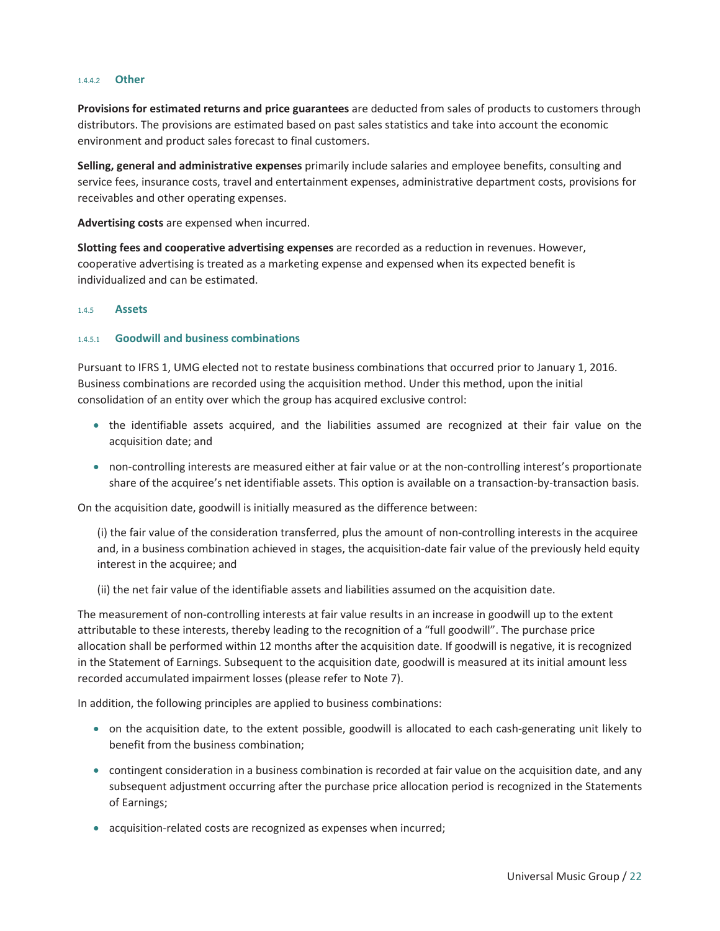#### 1.4.4.2 Other

Provisions for estimated returns and price guarantees are deducted from sales of products to customers through distributors. The provisions are estimated based on past sales statistics and take into account the economic environment and product sales forecast to final customers.

Selling, general and administrative expenses primarily include salaries and employee benefits, consulting and service fees, insurance costs, travel and entertainment expenses, administrative department costs, provisions for receivables and other operating expenses.

Advertising costs are expensed when incurred.

Slotting fees and cooperative advertising expenses are recorded as a reduction in revenues. However, cooperative advertising is treated as a marketing expense and expensed when its expected benefit is individualized and can be estimated.

#### 1.4.5 Assets

#### 1.4.5.1 Goodwill and business combinations

Pursuant to IFRS 1, UMG elected not to restate business combinations that occurred prior to January 1, 2016. Business combinations are recorded using the acquisition method. Under this method, upon the initial consolidation of an entity over which the group has acquired exclusive control:

- the identifiable assets acquired, and the liabilities assumed are recognized at their fair value on the acquisition date; and
- non-controlling interests are measured either at fair value or at the non-controlling interest's proportionate share of the acquiree's net identifiable assets. This option is available on a transaction-by-transaction basis.

On the acquisition date, goodwill is initially measured as the difference between:

(i) the fair value of the consideration transferred, plus the amount of non-controlling interests in the acquiree and, in a business combination achieved in stages, the acquisition-date fair value of the previously held equity interest in the acquiree; and

(ii) the net fair value of the identifiable assets and liabilities assumed on the acquisition date.

The measurement of non-controlling interests at fair value results in an increase in goodwill up to the extent attributable to these interests, thereby leading to the recognition of a "full goodwill". The purchase price allocation shall be performed within 12 months after the acquisition date. If goodwill is negative, it is recognized in the Statement of Earnings. Subsequent to the acquisition date, goodwill is measured at its initial amount less recorded accumulated impairment losses (please refer to Note 7).

In addition, the following principles are applied to business combinations:

- on the acquisition date, to the extent possible, goodwill is allocated to each cash-generating unit likely to benefit from the business combination;
- contingent consideration in a business combination is recorded at fair value on the acquisition date, and any subsequent adjustment occurring after the purchase price allocation period is recognized in the Statements of Earnings;
- acquisition-related costs are recognized as expenses when incurred;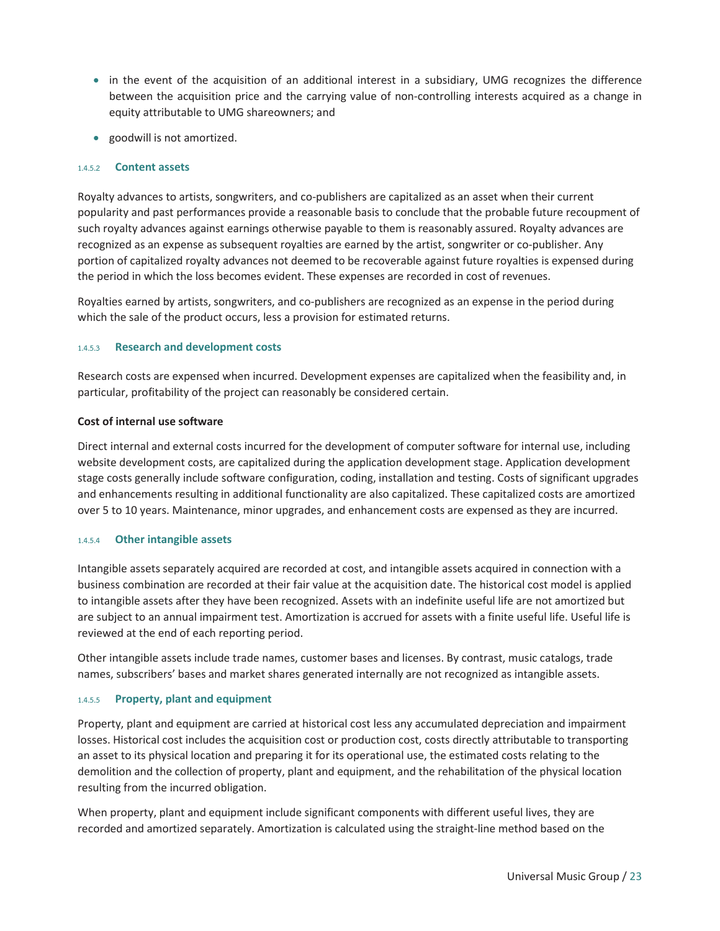- in the event of the acquisition of an additional interest in a subsidiary, UMG recognizes the difference between the acquisition price and the carrying value of non-controlling interests acquired as a change in equity attributable to UMG shareowners; and
- goodwill is not amortized.

#### 1.4.5.2 Content assets

Royalty advances to artists, songwriters, and co-publishers are capitalized as an asset when their current popularity and past performances provide a reasonable basis to conclude that the probable future recoupment of such royalty advances against earnings otherwise payable to them is reasonably assured. Royalty advances are recognized as an expense as subsequent royalties are earned by the artist, songwriter or co-publisher. Any portion of capitalized royalty advances not deemed to be recoverable against future royalties is expensed during the period in which the loss becomes evident. These expenses are recorded in cost of revenues.

Royalties earned by artists, songwriters, and co-publishers are recognized as an expense in the period during which the sale of the product occurs, less a provision for estimated returns.

#### 1.4.5.3 Research and development costs

Research costs are expensed when incurred. Development expenses are capitalized when the feasibility and, in particular, profitability of the project can reasonably be considered certain.

#### Cost of internal use software

Direct internal and external costs incurred for the development of computer software for internal use, including website development costs, are capitalized during the application development stage. Application development stage costs generally include software configuration, coding, installation and testing. Costs of significant upgrades and enhancements resulting in additional functionality are also capitalized. These capitalized costs are amortized over 5 to 10 years. Maintenance, minor upgrades, and enhancement costs are expensed as they are incurred.

#### 1.4.5.4 Other intangible assets

Intangible assets separately acquired are recorded at cost, and intangible assets acquired in connection with a business combination are recorded at their fair value at the acquisition date. The historical cost model is applied to intangible assets after they have been recognized. Assets with an indefinite useful life are not amortized but are subject to an annual impairment test. Amortization is accrued for assets with a finite useful life. Useful life is reviewed at the end of each reporting period.

Other intangible assets include trade names, customer bases and licenses. By contrast, music catalogs, trade names, subscribers' bases and market shares generated internally are not recognized as intangible assets.

#### 1.4.5.5 Property, plant and equipment

Property, plant and equipment are carried at historical cost less any accumulated depreciation and impairment losses. Historical cost includes the acquisition cost or production cost, costs directly attributable to transporting an asset to its physical location and preparing it for its operational use, the estimated costs relating to the demolition and the collection of property, plant and equipment, and the rehabilitation of the physical location resulting from the incurred obligation.

When property, plant and equipment include significant components with different useful lives, they are recorded and amortized separately. Amortization is calculated using the straight-line method based on the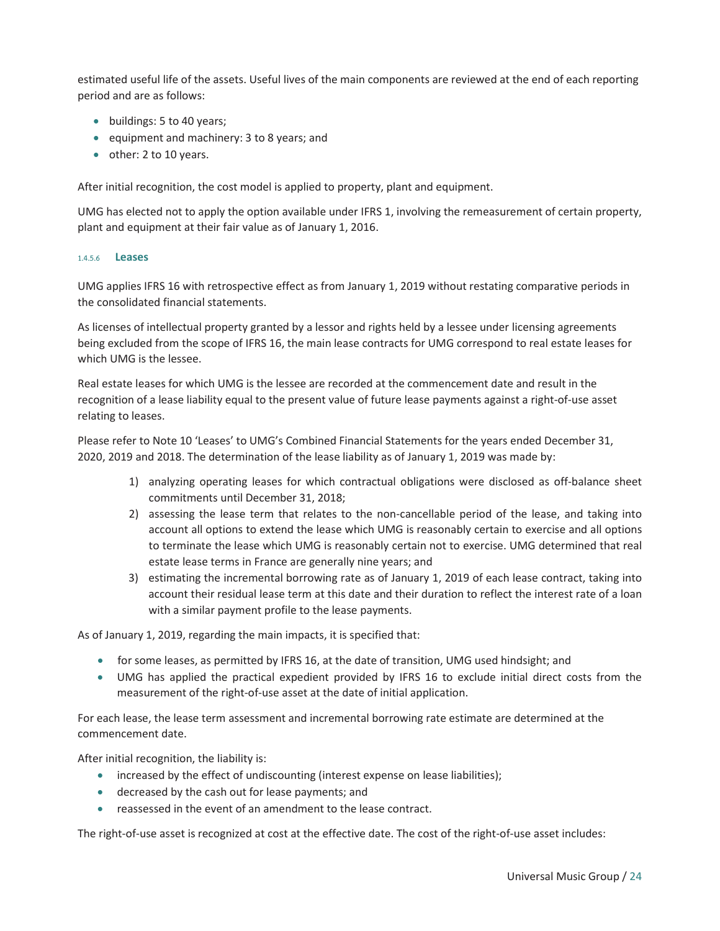estimated useful life of the assets. Useful lives of the main components are reviewed at the end of each reporting period and are as follows:

- $\bullet$  buildings: 5 to 40 years;
- equipment and machinery:  $3$  to 8 years; and
- $\bullet$  other: 2 to 10 years.

After initial recognition, the cost model is applied to property, plant and equipment.

UMG has elected not to apply the option available under IFRS 1, involving the remeasurement of certain property, plant and equipment at their fair value as of January 1, 2016.

#### 1.4.5.6 Leases

UMG applies IFRS 16 with retrospective effect as from January 1, 2019 without restating comparative periods in the consolidated financial statements.

As licenses of intellectual property granted by a lessor and rights held by a lessee under licensing agreements being excluded from the scope of IFRS 16, the main lease contracts for UMG correspond to real estate leases for which UMG is the lessee.

Real estate leases for which UMG is the lessee are recorded at the commencement date and result in the recognition of a lease liability equal to the present value of future lease payments against a right-of-use asset relating to leases.

Please refer to Note 10 'Leases' to UMG's Combined Financial Statements for the years ended December 31, 2020, 2019 and 2018. The determination of the lease liability as of January 1, 2019 was made by:

- 1) analyzing operating leases for which contractual obligations were disclosed as off-balance sheet commitments until December 31, 2018;
- 2) assessing the lease term that relates to the non-cancellable period of the lease, and taking into account all options to extend the lease which UMG is reasonably certain to exercise and all options to terminate the lease which UMG is reasonably certain not to exercise. UMG determined that real estate lease terms in France are generally nine years; and
- 3) estimating the incremental borrowing rate as of January 1, 2019 of each lease contract, taking into account their residual lease term at this date and their duration to reflect the interest rate of a loan with a similar payment profile to the lease payments.

As of January 1, 2019, regarding the main impacts, it is specified that:

- for some leases, as permitted by IFRS 16, at the date of transition, UMG used hindsight; and
- UMG has applied the practical expedient provided by IFRS 16 to exclude initial direct costs from the measurement of the right-of-use asset at the date of initial application.

For each lease, the lease term assessment and incremental borrowing rate estimate are determined at the commencement date.

After initial recognition, the liability is:

- increased by the effect of undiscounting (interest expense on lease liabilities);
- **•** decreased by the cash out for lease payments; and
- **•** reassessed in the event of an amendment to the lease contract.

The right-of-use asset is recognized at cost at the effective date. The cost of the right-of-use asset includes: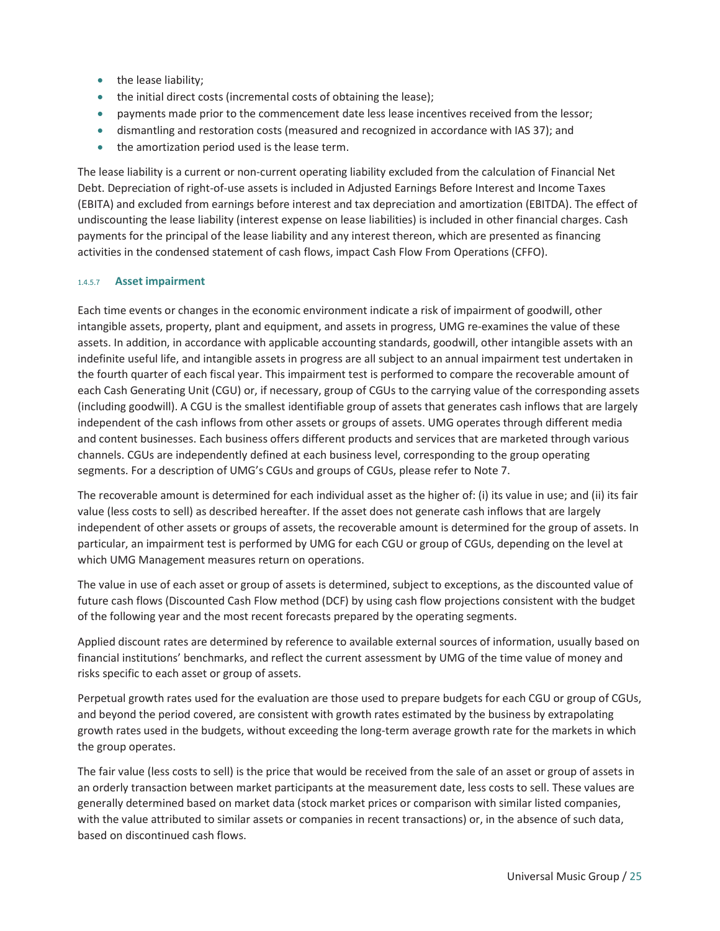- the lease liability;
- the initial direct costs (incremental costs of obtaining the lease);
- payments made prior to the commencement date less lease incentives received from the lessor;
- dismantling and restoration costs (measured and recognized in accordance with IAS 37); and
- $\bullet$  the amortization period used is the lease term.

The lease liability is a current or non-current operating liability excluded from the calculation of Financial Net Debt. Depreciation of right-of-use assets is included in Adjusted Earnings Before Interest and Income Taxes (EBITA) and excluded from earnings before interest and tax depreciation and amortization (EBITDA). The effect of undiscounting the lease liability (interest expense on lease liabilities) is included in other financial charges. Cash payments for the principal of the lease liability and any interest thereon, which are presented as financing activities in the condensed statement of cash flows, impact Cash Flow From Operations (CFFO).

#### 1.4.5.7 Asset impairment

Each time events or changes in the economic environment indicate a risk of impairment of goodwill, other intangible assets, property, plant and equipment, and assets in progress, UMG re-examines the value of these assets. In addition, in accordance with applicable accounting standards, goodwill, other intangible assets with an indefinite useful life, and intangible assets in progress are all subject to an annual impairment test undertaken in the fourth quarter of each fiscal year. This impairment test is performed to compare the recoverable amount of each Cash Generating Unit (CGU) or, if necessary, group of CGUs to the carrying value of the corresponding assets (including goodwill). A CGU is the smallest identifiable group of assets that generates cash inflows that are largely independent of the cash inflows from other assets or groups of assets. UMG operates through different media and content businesses. Each business offers different products and services that are marketed through various channels. CGUs are independently defined at each business level, corresponding to the group operating segments. For a description of UMG's CGUs and groups of CGUs, please refer to Note 7.

The recoverable amount is determined for each individual asset as the higher of: (i) its value in use; and (ii) its fair value (less costs to sell) as described hereafter. If the asset does not generate cash inflows that are largely independent of other assets or groups of assets, the recoverable amount is determined for the group of assets. In particular, an impairment test is performed by UMG for each CGU or group of CGUs, depending on the level at which UMG Management measures return on operations.

The value in use of each asset or group of assets is determined, subject to exceptions, as the discounted value of future cash flows (Discounted Cash Flow method (DCF) by using cash flow projections consistent with the budget of the following year and the most recent forecasts prepared by the operating segments.

Applied discount rates are determined by reference to available external sources of information, usually based on financial institutions' benchmarks, and reflect the current assessment by UMG of the time value of money and risks specific to each asset or group of assets.

Perpetual growth rates used for the evaluation are those used to prepare budgets for each CGU or group of CGUs, and beyond the period covered, are consistent with growth rates estimated by the business by extrapolating growth rates used in the budgets, without exceeding the long-term average growth rate for the markets in which the group operates.

The fair value (less costs to sell) is the price that would be received from the sale of an asset or group of assets in an orderly transaction between market participants at the measurement date, less costs to sell. These values are generally determined based on market data (stock market prices or comparison with similar listed companies, with the value attributed to similar assets or companies in recent transactions) or, in the absence of such data, based on discontinued cash flows.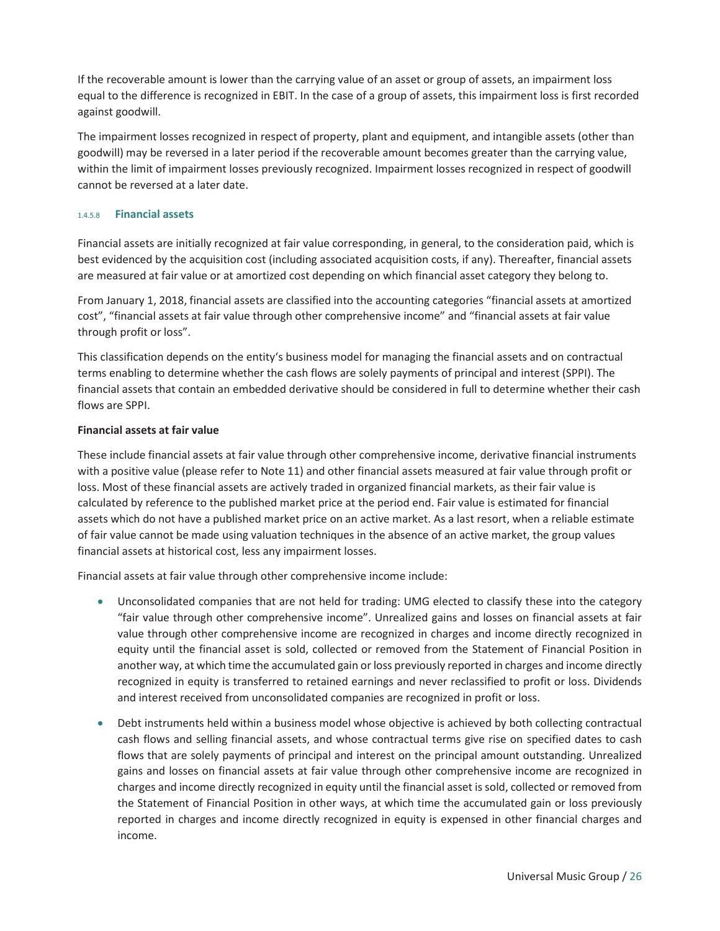If the recoverable amount is lower than the carrying value of an asset or group of assets, an impairment loss equal to the difference is recognized in EBIT. In the case of a group of assets, this impairment loss is first recorded against goodwill.

The impairment losses recognized in respect of property, plant and equipment, and intangible assets (other than goodwill) may be reversed in a later period if the recoverable amount becomes greater than the carrying value, within the limit of impairment losses previously recognized. Impairment losses recognized in respect of goodwill cannot be reversed at a later date.

#### 1.4.5.8 Financial assets

Financial assets are initially recognized at fair value corresponding, in general, to the consideration paid, which is best evidenced by the acquisition cost (including associated acquisition costs, if any). Thereafter, financial assets are measured at fair value or at amortized cost depending on which financial asset category they belong to.

From January 1, 2018, financial assets are classified into the accounting categories "financial assets at amortized cost", "financial assets at fair value through other comprehensive income" and "financial assets at fair value through profit or loss".

This classification depends on the entity's business model for managing the financial assets and on contractual terms enabling to determine whether the cash flows are solely payments of principal and interest (SPPI). The financial assets that contain an embedded derivative should be considered in full to determine whether their cash flows are SPPI.

#### Financial assets at fair value

These include financial assets at fair value through other comprehensive income, derivative financial instruments with a positive value (please refer to Note 11) and other financial assets measured at fair value through profit or loss. Most of these financial assets are actively traded in organized financial markets, as their fair value is calculated by reference to the published market price at the period end. Fair value is estimated for financial assets which do not have a published market price on an active market. As a last resort, when a reliable estimate of fair value cannot be made using valuation techniques in the absence of an active market, the group values financial assets at historical cost, less any impairment losses.

Financial assets at fair value through other comprehensive income include:

- Unconsolidated companies that are not held for trading: UMG elected to classify these into the category "fair value through other comprehensive income". Unrealized gains and losses on financial assets at fair value through other comprehensive income are recognized in charges and income directly recognized in equity until the financial asset is sold, collected or removed from the Statement of Financial Position in another way, at which time the accumulated gain or loss previously reported in charges and income directly recognized in equity is transferred to retained earnings and never reclassified to profit or loss. Dividends and interest received from unconsolidated companies are recognized in profit or loss.
- Debt instruments held within a business model whose objective is achieved by both collecting contractual cash flows and selling financial assets, and whose contractual terms give rise on specified dates to cash flows that are solely payments of principal and interest on the principal amount outstanding. Unrealized gains and losses on financial assets at fair value through other comprehensive income are recognized in charges and income directly recognized in equity until the financial asset is sold, collected or removed from the Statement of Financial Position in other ways, at which time the accumulated gain or loss previously reported in charges and income directly recognized in equity is expensed in other financial charges and income.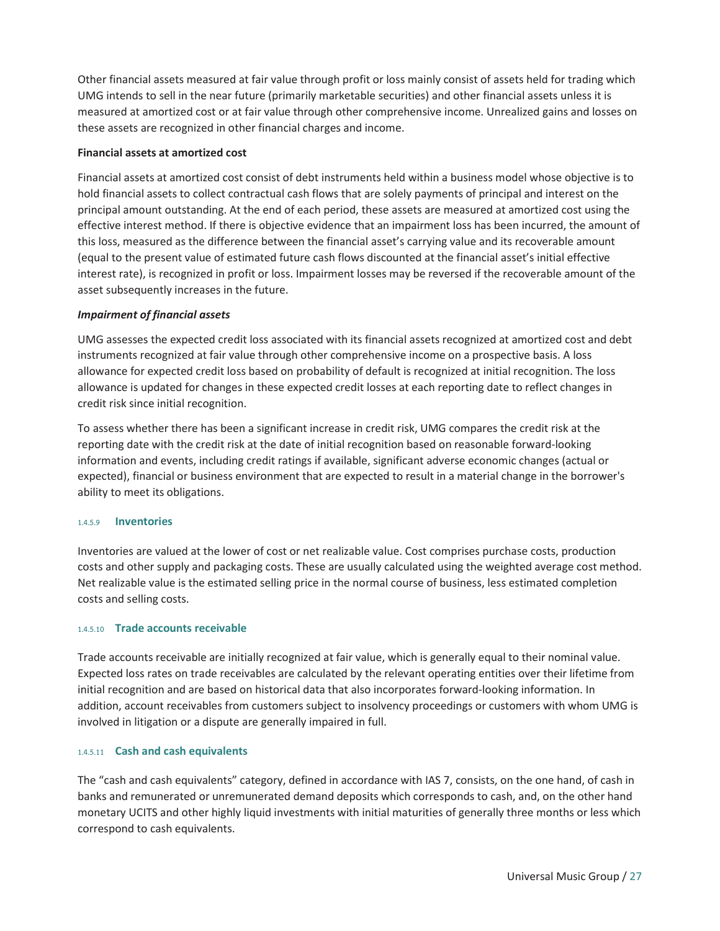Other financial assets measured at fair value through profit or loss mainly consist of assets held for trading which UMG intends to sell in the near future (primarily marketable securities) and other financial assets unless it is measured at amortized cost or at fair value through other comprehensive income. Unrealized gains and losses on these assets are recognized in other financial charges and income.

#### Financial assets at amortized cost

Financial assets at amortized cost consist of debt instruments held within a business model whose objective is to hold financial assets to collect contractual cash flows that are solely payments of principal and interest on the principal amount outstanding. At the end of each period, these assets are measured at amortized cost using the effective interest method. If there is objective evidence that an impairment loss has been incurred, the amount of this loss, measured as the difference between the financial asset's carrying value and its recoverable amount (equal to the present value of estimated future cash flows discounted at the financial asset's initial effective interest rate), is recognized in profit or loss. Impairment losses may be reversed if the recoverable amount of the asset subsequently increases in the future.

#### *Impairment of financial assets*

UMG assesses the expected credit loss associated with its financial assets recognized at amortized cost and debt instruments recognized at fair value through other comprehensive income on a prospective basis. A loss allowance for expected credit loss based on probability of default is recognized at initial recognition. The loss allowance is updated for changes in these expected credit losses at each reporting date to reflect changes in credit risk since initial recognition.

To assess whether there has been a significant increase in credit risk, UMG compares the credit risk at the reporting date with the credit risk at the date of initial recognition based on reasonable forward-looking information and events, including credit ratings if available, significant adverse economic changes (actual or expected), financial or business environment that are expected to result in a material change in the borrower's ability to meet its obligations.

#### 1.4.5.9 Inventories

Inventories are valued at the lower of cost or net realizable value. Cost comprises purchase costs, production costs and other supply and packaging costs. These are usually calculated using the weighted average cost method. Net realizable value is the estimated selling price in the normal course of business, less estimated completion costs and selling costs.

#### 1.4.5.10 Trade accounts receivable

Trade accounts receivable are initially recognized at fair value, which is generally equal to their nominal value. Expected loss rates on trade receivables are calculated by the relevant operating entities over their lifetime from initial recognition and are based on historical data that also incorporates forward-looking information. In addition, account receivables from customers subject to insolvency proceedings or customers with whom UMG is involved in litigation or a dispute are generally impaired in full.

#### 1.4.5.11 Cash and cash equivalents

The "cash and cash equivalents" category, defined in accordance with IAS 7, consists, on the one hand, of cash in banks and remunerated or unremunerated demand deposits which corresponds to cash, and, on the other hand monetary UCITS and other highly liquid investments with initial maturities of generally three months or less which correspond to cash equivalents.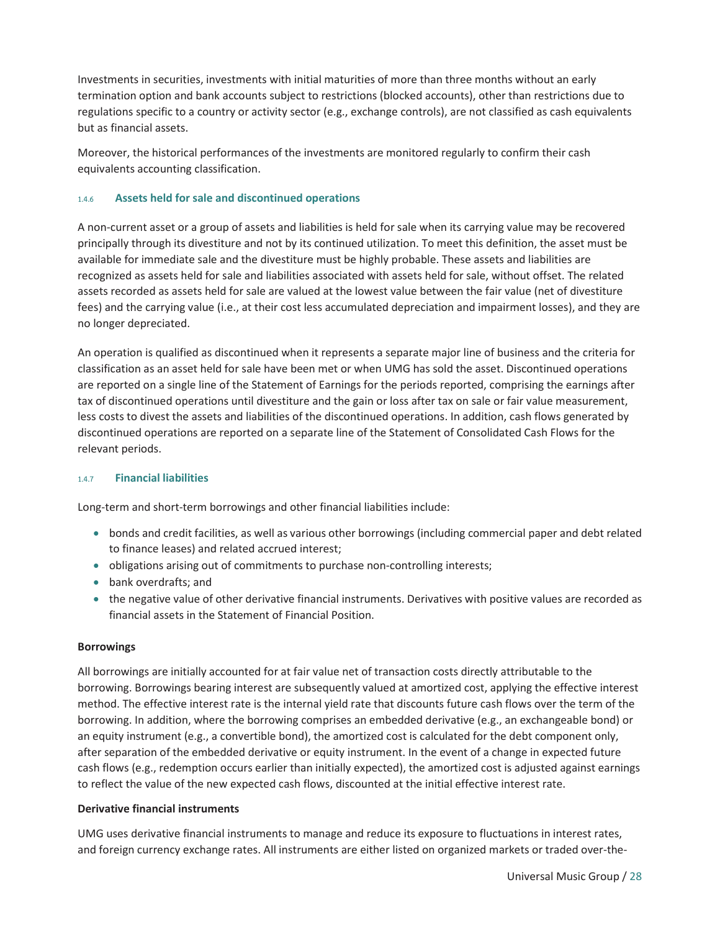Investments in securities, investments with initial maturities of more than three months without an early termination option and bank accounts subject to restrictions (blocked accounts), other than restrictions due to regulations specific to a country or activity sector (e.g., exchange controls), are not classified as cash equivalents but as financial assets.

Moreover, the historical performances of the investments are monitored regularly to confirm their cash equivalents accounting classification.

#### 1.4.6 Assets held for sale and discontinued operations

A non-current asset or a group of assets and liabilities is held for sale when its carrying value may be recovered principally through its divestiture and not by its continued utilization. To meet this definition, the asset must be available for immediate sale and the divestiture must be highly probable. These assets and liabilities are recognized as assets held for sale and liabilities associated with assets held for sale, without offset. The related assets recorded as assets held for sale are valued at the lowest value between the fair value (net of divestiture fees) and the carrying value (i.e., at their cost less accumulated depreciation and impairment losses), and they are no longer depreciated.

An operation is qualified as discontinued when it represents a separate major line of business and the criteria for classification as an asset held for sale have been met or when UMG has sold the asset. Discontinued operations are reported on a single line of the Statement of Earnings for the periods reported, comprising the earnings after tax of discontinued operations until divestiture and the gain or loss after tax on sale or fair value measurement, less costs to divest the assets and liabilities of the discontinued operations. In addition, cash flows generated by discontinued operations are reported on a separate line of the Statement of Consolidated Cash Flows for the relevant periods.

#### 1.4.7 Financial liabilities

Long-term and short-term borrowings and other financial liabilities include:

- bonds and credit facilities, as well as various other borrowings (including commercial paper and debt related to finance leases) and related accrued interest;
- obligations arising out of commitments to purchase non-controlling interests;
- bank overdrafts; and
- the negative value of other derivative financial instruments. Derivatives with positive values are recorded as financial assets in the Statement of Financial Position.

#### Borrowings

All borrowings are initially accounted for at fair value net of transaction costs directly attributable to the borrowing. Borrowings bearing interest are subsequently valued at amortized cost, applying the effective interest method. The effective interest rate is the internal yield rate that discounts future cash flows over the term of the borrowing. In addition, where the borrowing comprises an embedded derivative (e.g., an exchangeable bond) or an equity instrument (e.g., a convertible bond), the amortized cost is calculated for the debt component only, after separation of the embedded derivative or equity instrument. In the event of a change in expected future cash flows (e.g., redemption occurs earlier than initially expected), the amortized cost is adjusted against earnings to reflect the value of the new expected cash flows, discounted at the initial effective interest rate.

#### Derivative financial instruments

UMG uses derivative financial instruments to manage and reduce its exposure to fluctuations in interest rates, and foreign currency exchange rates. All instruments are either listed on organized markets or traded over-the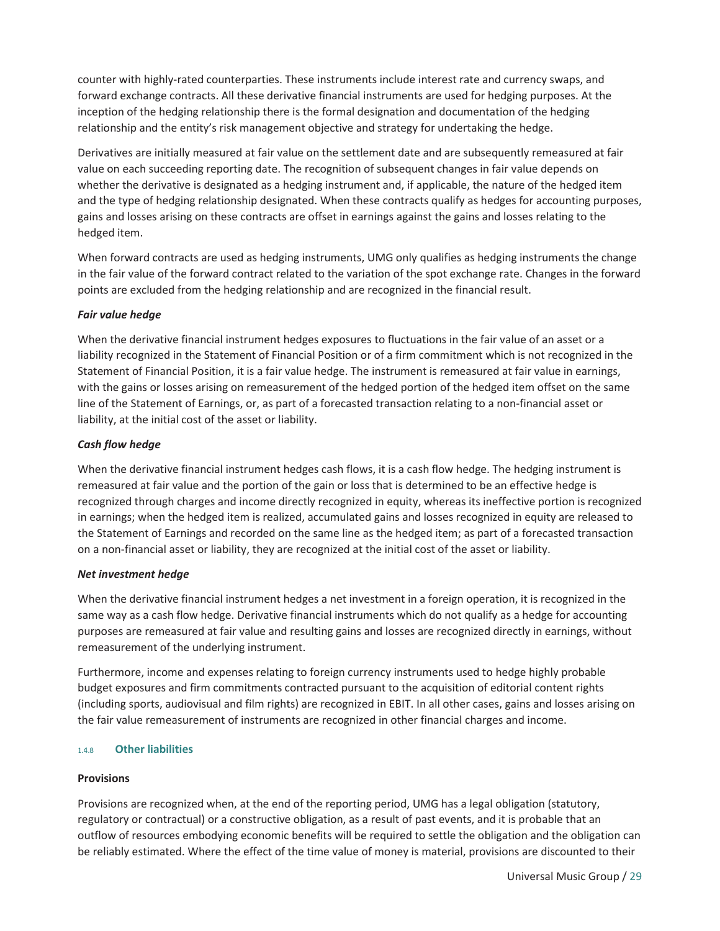counter with highly-rated counterparties. These instruments include interest rate and currency swaps, and forward exchange contracts. All these derivative financial instruments are used for hedging purposes. At the inception of the hedging relationship there is the formal designation and documentation of the hedging relationship and the entity's risk management objective and strategy for undertaking the hedge.

Derivatives are initially measured at fair value on the settlement date and are subsequently remeasured at fair value on each succeeding reporting date. The recognition of subsequent changes in fair value depends on whether the derivative is designated as a hedging instrument and, if applicable, the nature of the hedged item and the type of hedging relationship designated. When these contracts qualify as hedges for accounting purposes, gains and losses arising on these contracts are offset in earnings against the gains and losses relating to the hedged item.

When forward contracts are used as hedging instruments, UMG only qualifies as hedging instruments the change in the fair value of the forward contract related to the variation of the spot exchange rate. Changes in the forward points are excluded from the hedging relationship and are recognized in the financial result.

#### *Fair value hedge*

When the derivative financial instrument hedges exposures to fluctuations in the fair value of an asset or a liability recognized in the Statement of Financial Position or of a firm commitment which is not recognized in the Statement of Financial Position, it is a fair value hedge. The instrument is remeasured at fair value in earnings, with the gains or losses arising on remeasurement of the hedged portion of the hedged item offset on the same line of the Statement of Earnings, or, as part of a forecasted transaction relating to a non-financial asset or liability, at the initial cost of the asset or liability.

#### *Cash flow hedge*

When the derivative financial instrument hedges cash flows, it is a cash flow hedge. The hedging instrument is remeasured at fair value and the portion of the gain or loss that is determined to be an effective hedge is recognized through charges and income directly recognized in equity, whereas its ineffective portion is recognized in earnings; when the hedged item is realized, accumulated gains and losses recognized in equity are released to the Statement of Earnings and recorded on the same line as the hedged item; as part of a forecasted transaction on a non-financial asset or liability, they are recognized at the initial cost of the asset or liability.

#### *Net investment hedge*

When the derivative financial instrument hedges a net investment in a foreign operation, it is recognized in the same way as a cash flow hedge. Derivative financial instruments which do not qualify as a hedge for accounting purposes are remeasured at fair value and resulting gains and losses are recognized directly in earnings, without remeasurement of the underlying instrument.

Furthermore, income and expenses relating to foreign currency instruments used to hedge highly probable budget exposures and firm commitments contracted pursuant to the acquisition of editorial content rights (including sports, audiovisual and film rights) are recognized in EBIT. In all other cases, gains and losses arising on the fair value remeasurement of instruments are recognized in other financial charges and income.

#### 1.4.8 Other liabilities

#### **Provisions**

Provisions are recognized when, at the end of the reporting period, UMG has a legal obligation (statutory, regulatory or contractual) or a constructive obligation, as a result of past events, and it is probable that an outflow of resources embodying economic benefits will be required to settle the obligation and the obligation can be reliably estimated. Where the effect of the time value of money is material, provisions are discounted to their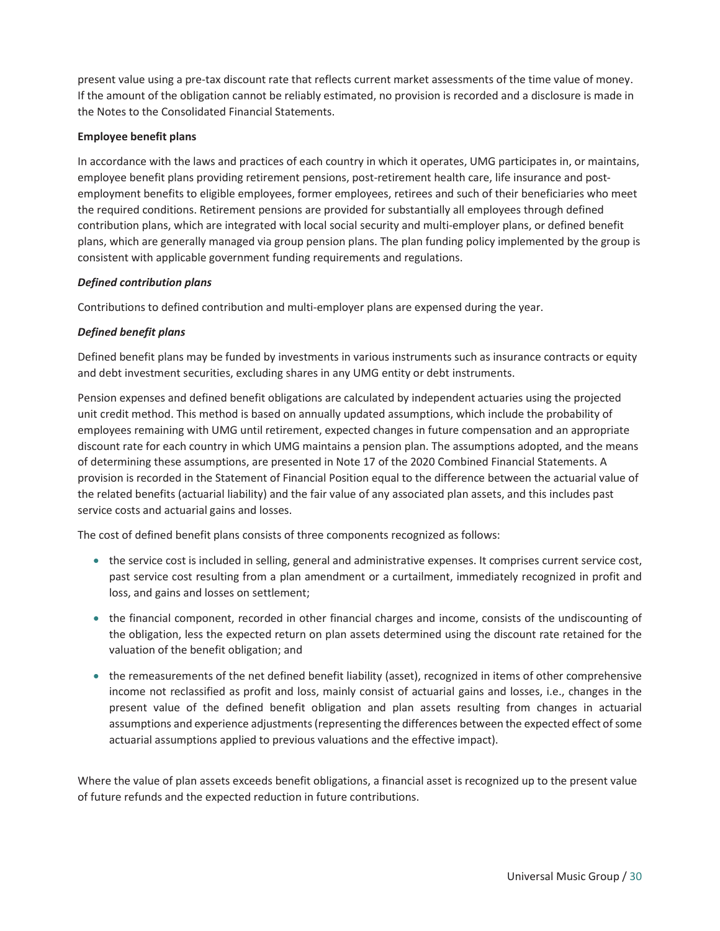present value using a pre-tax discount rate that reflects current market assessments of the time value of money. If the amount of the obligation cannot be reliably estimated, no provision is recorded and a disclosure is made in the Notes to the Consolidated Financial Statements.

#### Employee benefit plans

In accordance with the laws and practices of each country in which it operates, UMG participates in, or maintains, employee benefit plans providing retirement pensions, post-retirement health care, life insurance and postemployment benefits to eligible employees, former employees, retirees and such of their beneficiaries who meet the required conditions. Retirement pensions are provided for substantially all employees through defined contribution plans, which are integrated with local social security and multi-employer plans, or defined benefit plans, which are generally managed via group pension plans. The plan funding policy implemented by the group is consistent with applicable government funding requirements and regulations.

#### *Defined contribution plans*

Contributions to defined contribution and multi-employer plans are expensed during the year.

#### *Defined benefit plans*

Defined benefit plans may be funded by investments in various instruments such as insurance contracts or equity and debt investment securities, excluding shares in any UMG entity or debt instruments.

Pension expenses and defined benefit obligations are calculated by independent actuaries using the projected unit credit method. This method is based on annually updated assumptions, which include the probability of employees remaining with UMG until retirement, expected changes in future compensation and an appropriate discount rate for each country in which UMG maintains a pension plan. The assumptions adopted, and the means of determining these assumptions, are presented in Note 17 of the 2020 Combined Financial Statements. A provision is recorded in the Statement of Financial Position equal to the difference between the actuarial value of the related benefits (actuarial liability) and the fair value of any associated plan assets, and this includes past service costs and actuarial gains and losses.

The cost of defined benefit plans consists of three components recognized as follows:

- the service cost is included in selling, general and administrative expenses. It comprises current service cost, past service cost resulting from a plan amendment or a curtailment, immediately recognized in profit and loss, and gains and losses on settlement;
- the financial component, recorded in other financial charges and income, consists of the undiscounting of the obligation, less the expected return on plan assets determined using the discount rate retained for the valuation of the benefit obligation; and
- the remeasurements of the net defined benefit liability (asset), recognized in items of other comprehensive income not reclassified as profit and loss, mainly consist of actuarial gains and losses, i.e., changes in the present value of the defined benefit obligation and plan assets resulting from changes in actuarial assumptions and experience adjustments (representing the differences between the expected effect of some actuarial assumptions applied to previous valuations and the effective impact).

Where the value of plan assets exceeds benefit obligations, a financial asset is recognized up to the present value of future refunds and the expected reduction in future contributions.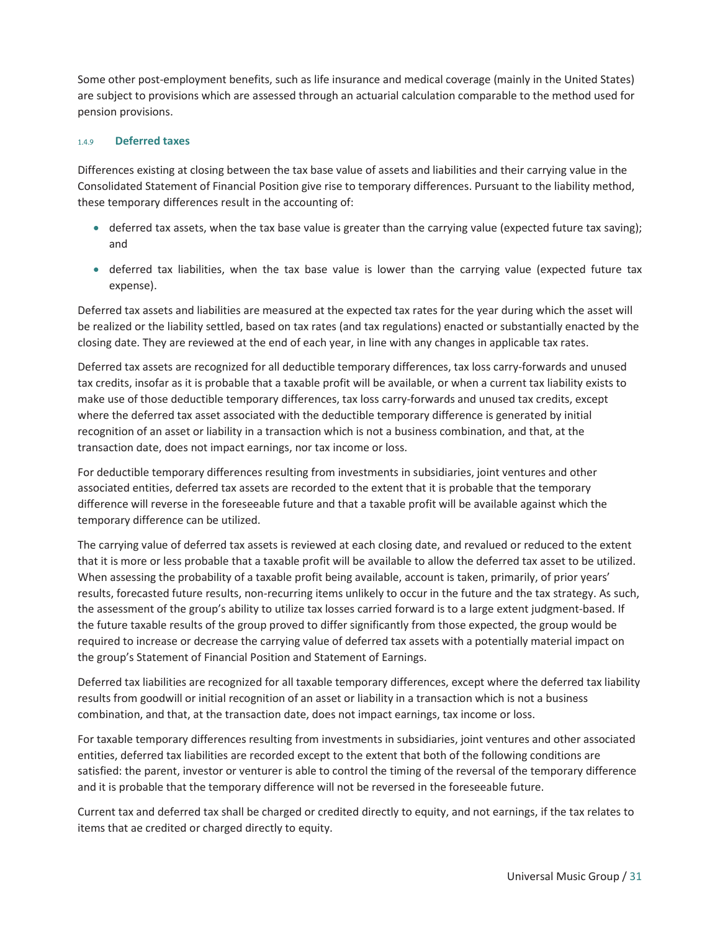Some other post-employment benefits, such as life insurance and medical coverage (mainly in the United States) are subject to provisions which are assessed through an actuarial calculation comparable to the method used for pension provisions.

#### 1.4.9 Deferred taxes

Differences existing at closing between the tax base value of assets and liabilities and their carrying value in the Consolidated Statement of Financial Position give rise to temporary differences. Pursuant to the liability method, these temporary differences result in the accounting of:

- $\bullet$  deferred tax assets, when the tax base value is greater than the carrying value (expected future tax saving); and
- deferred tax liabilities, when the tax base value is lower than the carrying value (expected future tax expense).

Deferred tax assets and liabilities are measured at the expected tax rates for the year during which the asset will be realized or the liability settled, based on tax rates (and tax regulations) enacted or substantially enacted by the closing date. They are reviewed at the end of each year, in line with any changes in applicable tax rates.

Deferred tax assets are recognized for all deductible temporary differences, tax loss carry-forwards and unused tax credits, insofar as it is probable that a taxable profit will be available, or when a current tax liability exists to make use of those deductible temporary differences, tax loss carry-forwards and unused tax credits, except where the deferred tax asset associated with the deductible temporary difference is generated by initial recognition of an asset or liability in a transaction which is not a business combination, and that, at the transaction date, does not impact earnings, nor tax income or loss.

For deductible temporary differences resulting from investments in subsidiaries, joint ventures and other associated entities, deferred tax assets are recorded to the extent that it is probable that the temporary difference will reverse in the foreseeable future and that a taxable profit will be available against which the temporary difference can be utilized.

The carrying value of deferred tax assets is reviewed at each closing date, and revalued or reduced to the extent that it is more or less probable that a taxable profit will be available to allow the deferred tax asset to be utilized. When assessing the probability of a taxable profit being available, account is taken, primarily, of prior years' results, forecasted future results, non-recurring items unlikely to occur in the future and the tax strategy. As such, the assessment of the group's ability to utilize tax losses carried forward is to a large extent judgment-based. If the future taxable results of the group proved to differ significantly from those expected, the group would be required to increase or decrease the carrying value of deferred tax assets with a potentially material impact on the group's Statement of Financial Position and Statement of Earnings.

Deferred tax liabilities are recognized for all taxable temporary differences, except where the deferred tax liability results from goodwill or initial recognition of an asset or liability in a transaction which is not a business combination, and that, at the transaction date, does not impact earnings, tax income or loss.

For taxable temporary differences resulting from investments in subsidiaries, joint ventures and other associated entities, deferred tax liabilities are recorded except to the extent that both of the following conditions are satisfied: the parent, investor or venturer is able to control the timing of the reversal of the temporary difference and it is probable that the temporary difference will not be reversed in the foreseeable future.

Current tax and deferred tax shall be charged or credited directly to equity, and not earnings, if the tax relates to items that ae credited or charged directly to equity.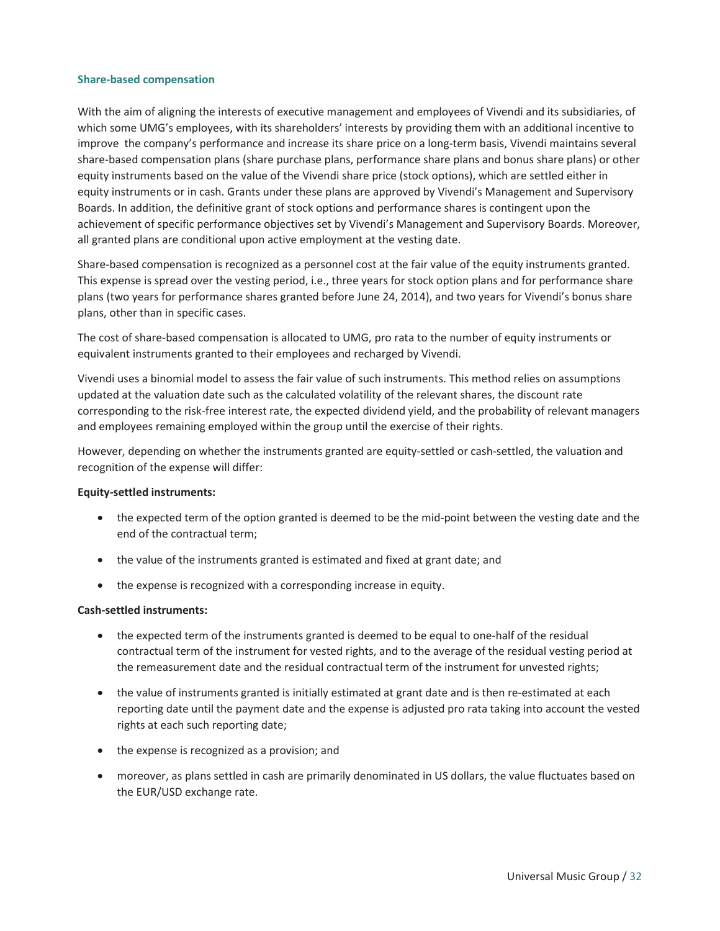#### Share-based compensation

With the aim of aligning the interests of executive management and employees of Vivendi and its subsidiaries, of which some UMG's employees, with its shareholders' interests by providing them with an additional incentive to improve the company's performance and increase its share price on a long-term basis, Vivendi maintains several share-based compensation plans (share purchase plans, performance share plans and bonus share plans) or other equity instruments based on the value of the Vivendi share price (stock options), which are settled either in equity instruments or in cash. Grants under these plans are approved by Vivendi's Management and Supervisory Boards. In addition, the definitive grant of stock options and performance shares is contingent upon the achievement of specific performance objectives set by Vivendi's Management and Supervisory Boards. Moreover, all granted plans are conditional upon active employment at the vesting date.

Share-based compensation is recognized as a personnel cost at the fair value of the equity instruments granted. This expense is spread over the vesting period, i.e., three years for stock option plans and for performance share plans (two years for performance shares granted before June 24, 2014), and two years for Vivendi's bonus share plans, other than in specific cases.

The cost of share-based compensation is allocated to UMG, pro rata to the number of equity instruments or equivalent instruments granted to their employees and recharged by Vivendi.

Vivendi uses a binomial model to assess the fair value of such instruments. This method relies on assumptions updated at the valuation date such as the calculated volatility of the relevant shares, the discount rate corresponding to the risk-free interest rate, the expected dividend yield, and the probability of relevant managers and employees remaining employed within the group until the exercise of their rights.

However, depending on whether the instruments granted are equity-settled or cash-settled, the valuation and recognition of the expense will differ:

#### Equity-settled instruments:

- the expected term of the option granted is deemed to be the mid-point between the vesting date and the end of the contractual term;
- the value of the instruments granted is estimated and fixed at grant date; and
- the expense is recognized with a corresponding increase in equity.

#### Cash-settled instruments:

- the expected term of the instruments granted is deemed to be equal to one-half of the residual contractual term of the instrument for vested rights, and to the average of the residual vesting period at the remeasurement date and the residual contractual term of the instrument for unvested rights;
- the value of instruments granted is initially estimated at grant date and is then re-estimated at each reporting date until the payment date and the expense is adjusted pro rata taking into account the vested rights at each such reporting date;
- the expense is recognized as a provision; and
- moreover, as plans settled in cash are primarily denominated in US dollars, the value fluctuates based on the EUR/USD exchange rate.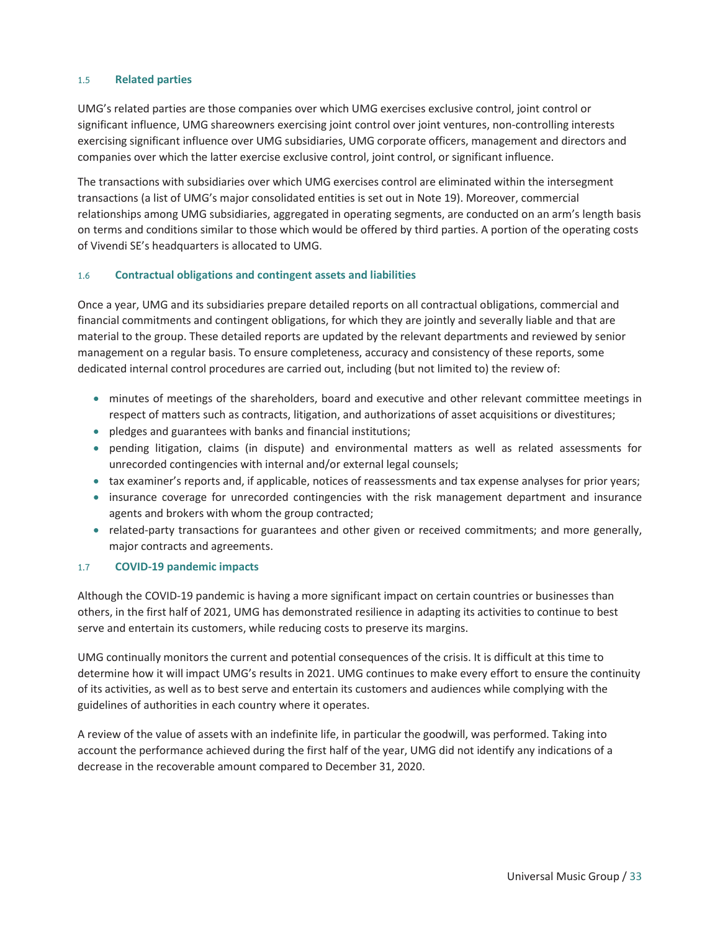#### 1.5 Related parties

UMG's related parties are those companies over which UMG exercises exclusive control, joint control or significant influence, UMG shareowners exercising joint control over joint ventures, non-controlling interests exercising significant influence over UMG subsidiaries, UMG corporate officers, management and directors and companies over which the latter exercise exclusive control, joint control, or significant influence.

The transactions with subsidiaries over which UMG exercises control are eliminated within the intersegment transactions (a list of UMG's major consolidated entities is set out in Note 19). Moreover, commercial relationships among UMG subsidiaries, aggregated in operating segments, are conducted on an arm's length basis on terms and conditions similar to those which would be offered by third parties. A portion of the operating costs of Vivendi SE's headquarters is allocated to UMG.

#### 1.6 Contractual obligations and contingent assets and liabilities

Once a year, UMG and its subsidiaries prepare detailed reports on all contractual obligations, commercial and financial commitments and contingent obligations, for which they are jointly and severally liable and that are material to the group. These detailed reports are updated by the relevant departments and reviewed by senior management on a regular basis. To ensure completeness, accuracy and consistency of these reports, some dedicated internal control procedures are carried out, including (but not limited to) the review of:

- minutes of meetings of the shareholders, board and executive and other relevant committee meetings in respect of matters such as contracts, litigation, and authorizations of asset acquisitions or divestitures;
- pledges and guarantees with banks and financial institutions;
- pending litigation, claims (in dispute) and environmental matters as well as related assessments for unrecorded contingencies with internal and/or external legal counsels;
- tax examiner's reports and, if applicable, notices of reassessments and tax expense analyses for prior years;
- insurance coverage for unrecorded contingencies with the risk management department and insurance agents and brokers with whom the group contracted;
- related-party transactions for guarantees and other given or received commitments; and more generally, major contracts and agreements.

#### 1.7 COVID-19 pandemic impacts

Although the COVID-19 pandemic is having a more significant impact on certain countries or businesses than others, in the first half of 2021, UMG has demonstrated resilience in adapting its activities to continue to best serve and entertain its customers, while reducing costs to preserve its margins.

UMG continually monitors the current and potential consequences of the crisis. It is difficult at this time to determine how it will impact UMG's results in 2021. UMG continues to make every effort to ensure the continuity of its activities, as well as to best serve and entertain its customers and audiences while complying with the guidelines of authorities in each country where it operates.

A review of the value of assets with an indefinite life, in particular the goodwill, was performed. Taking into account the performance achieved during the first half of the year, UMG did not identify any indications of a decrease in the recoverable amount compared to December 31, 2020.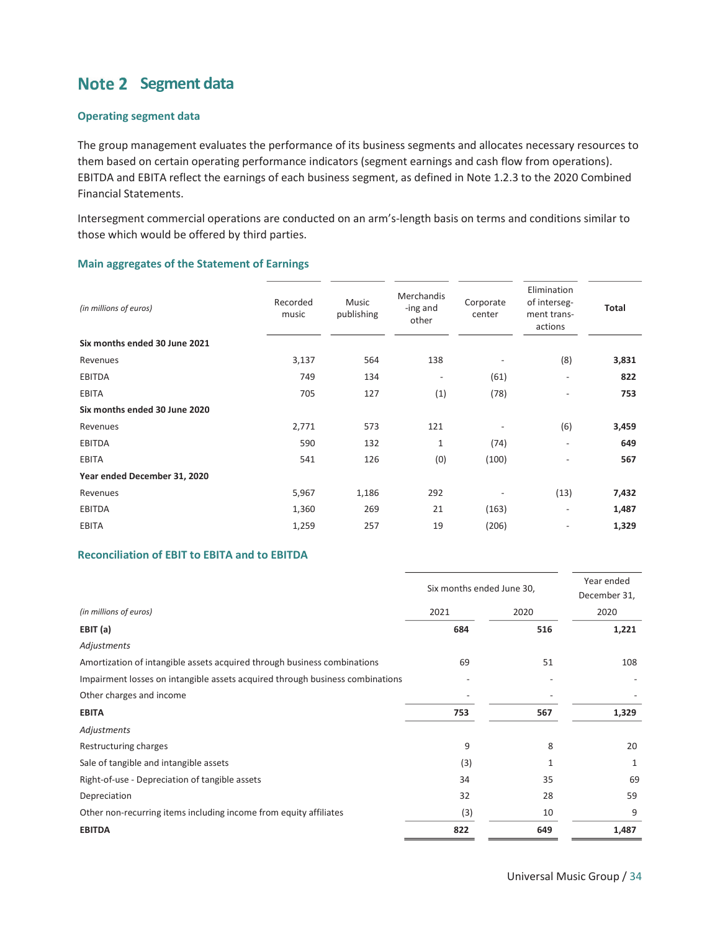## Note 2 Segment data

#### Operating segment data

The group management evaluates the performance of its business segments and allocates necessary resources to them based on certain operating performance indicators (segment earnings and cash flow from operations). EBITDA and EBITA reflect the earnings of each business segment, as defined in Note 1.2.3 to the 2020 Combined Financial Statements.

Intersegment commercial operations are conducted on an arm's-length basis on terms and conditions similar to those which would be offered by third parties.

#### Main aggregates of the Statement of Earnings

| (in millions of euros)        | Recorded<br>music | <b>Music</b><br>publishing | Merchandis<br>-ing and<br>other | Corporate<br>center | Elimination<br>of interseg-<br>ment trans-<br>actions | <b>Total</b> |
|-------------------------------|-------------------|----------------------------|---------------------------------|---------------------|-------------------------------------------------------|--------------|
| Six months ended 30 June 2021 |                   |                            |                                 |                     |                                                       |              |
| Revenues                      | 3,137             | 564                        | 138                             |                     | (8)                                                   | 3,831        |
| <b>EBITDA</b>                 | 749               | 134                        | $\overline{\phantom{a}}$        | (61)                | $\overline{\phantom{a}}$                              | 822          |
| <b>EBITA</b>                  | 705               | 127                        | (1)                             | (78)                | $\overline{\phantom{0}}$                              | 753          |
| Six months ended 30 June 2020 |                   |                            |                                 |                     |                                                       |              |
| Revenues                      | 2,771             | 573                        | 121                             |                     | (6)                                                   | 3,459        |
| <b>EBITDA</b>                 | 590               | 132                        | $\mathbf{1}$                    | (74)                | $\overline{\phantom{a}}$                              | 649          |
| <b>EBITA</b>                  | 541               | 126                        | (0)                             | (100)               | $\overline{\phantom{0}}$                              | 567          |
| Year ended December 31, 2020  |                   |                            |                                 |                     |                                                       |              |
| Revenues                      | 5,967             | 1,186                      | 292                             |                     | (13)                                                  | 7,432        |
| <b>EBITDA</b>                 | 1,360             | 269                        | 21                              | (163)               | $\overline{\phantom{0}}$                              | 1,487        |
| <b>EBITA</b>                  | 1,259             | 257                        | 19                              | (206)               |                                                       | 1,329        |

#### Reconciliation of EBIT to EBITA and to EBITDA

|                                                                               | Six months ended June 30, | Year ended<br>December 31, |       |
|-------------------------------------------------------------------------------|---------------------------|----------------------------|-------|
| (in millions of euros)                                                        | 2021                      | 2020                       | 2020  |
| EBIT (a)                                                                      | 684                       | 516                        | 1,221 |
| Adjustments                                                                   |                           |                            |       |
| Amortization of intangible assets acquired through business combinations      | 69                        | 51                         | 108   |
| Impairment losses on intangible assets acquired through business combinations |                           |                            |       |
| Other charges and income                                                      |                           |                            |       |
| <b>EBITA</b>                                                                  | 753                       | 567                        | 1,329 |
| Adjustments                                                                   |                           |                            |       |
| Restructuring charges                                                         | 9                         | 8                          | 20    |
| Sale of tangible and intangible assets                                        | (3)                       | $\mathbf{1}$               | 1     |
| Right-of-use - Depreciation of tangible assets                                | 34                        | 35                         | 69    |
| Depreciation                                                                  | 32                        | 28                         | 59    |
| Other non-recurring items including income from equity affiliates             | (3)                       | 10                         | 9     |
| <b>EBITDA</b>                                                                 | 822                       | 649                        | 1,487 |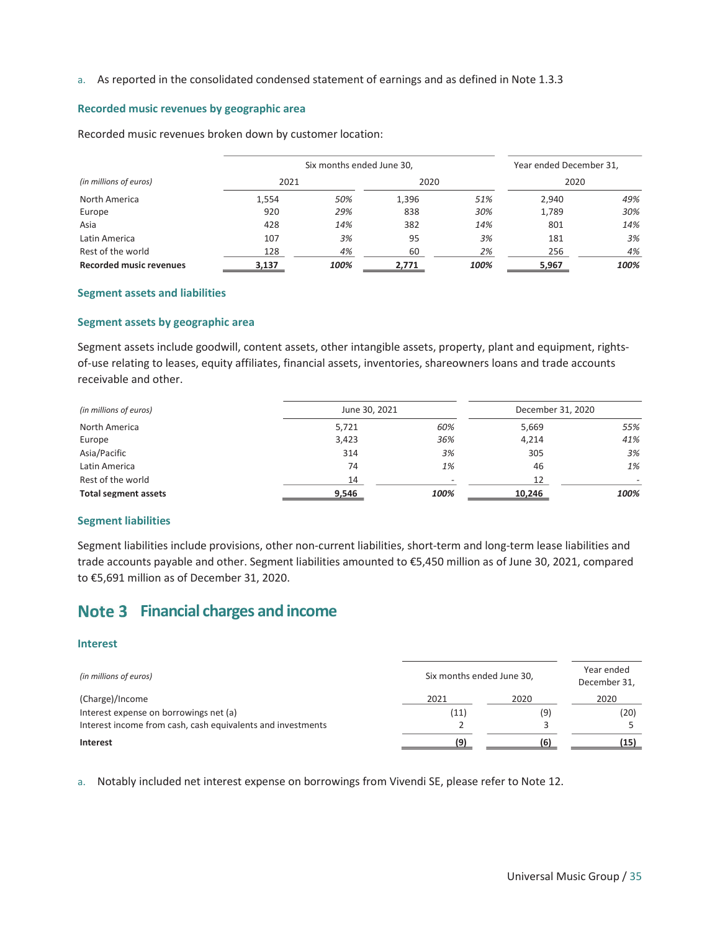a. As reported in the consolidated condensed statement of earnings and as defined in Note 1.3.3

#### Recorded music revenues by geographic area

Recorded music revenues broken down by customer location:

|                                | Six months ended June 30, |      |       |      |       |      |
|--------------------------------|---------------------------|------|-------|------|-------|------|
| (in millions of euros)         | 2021                      |      | 2020  |      | 2020  |      |
| North America                  | 1,554                     | 50%  | 1,396 | 51%  | 2,940 | 49%  |
| Europe                         | 920                       | 29%  | 838   | 30%  | 1,789 | 30%  |
| Asia                           | 428                       | 14%  | 382   | 14%  | 801   | 14%  |
| Latin America                  | 107                       | 3%   | 95    | 3%   | 181   | 3%   |
| Rest of the world              | 128                       | 4%   | 60    | 2%   | 256   | 4%   |
| <b>Recorded music revenues</b> | 3,137                     | 100% | 2,771 | 100% | 5,967 | 100% |

#### Segment assets and liabilities

#### Segment assets by geographic area

Segment assets include goodwill, content assets, other intangible assets, property, plant and equipment, rightsof-use relating to leases, equity affiliates, financial assets, inventories, shareowners loans and trade accounts receivable and other.

| (in millions of euros)      | June 30, 2021 |      | December 31, 2020 |                          |  |
|-----------------------------|---------------|------|-------------------|--------------------------|--|
| North America               | 5,721         | 60%  | 5,669             | 55%                      |  |
| Europe                      | 3,423         | 36%  | 4,214             | 41%                      |  |
| Asia/Pacific                | 314           | 3%   | 305               | 3%                       |  |
| Latin America               | 74            | 1%   | 46                | 1%                       |  |
| Rest of the world           | 14            |      | 12                | $\overline{\phantom{0}}$ |  |
| <b>Total segment assets</b> | 9,546         | 100% | 10,246            | 100%                     |  |

#### Segment liabilities

Segment liabilities include provisions, other non-current liabilities, short-term and long-term lease liabilities and trade accounts payable and other. Segment liabilities amounted to €5,450 million as of June 30, 2021, compared to €5,691 million as of December 31, 2020.

## Note 3 Financial charges and income

#### Interest

| (in millions of euros)                                      | Six months ended June 30, | Year ended<br>December 31, |      |
|-------------------------------------------------------------|---------------------------|----------------------------|------|
| (Charge)/Income                                             | 2021                      | 2020                       | 2020 |
| Interest expense on borrowings net (a)                      | (11)                      | (9)                        | (20) |
| Interest income from cash, cash equivalents and investments |                           |                            |      |
| <b>Interest</b>                                             | (9)                       |                            | (15) |

a. Notably included net interest expense on borrowings from Vivendi SE, please refer to Note 12.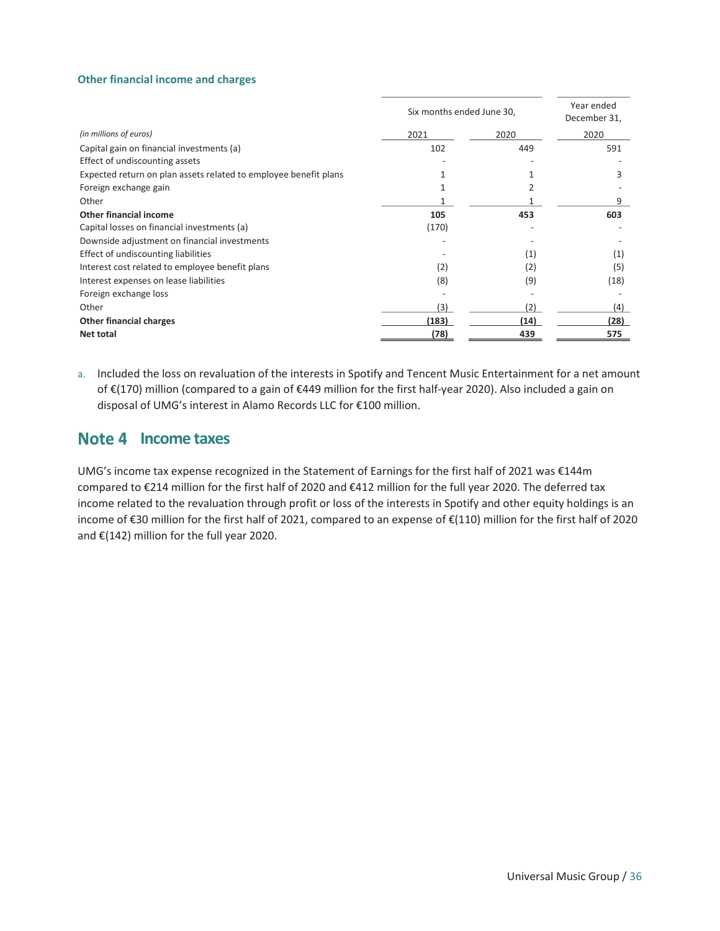#### Other financial income and charges

|                                                                  | Six months ended June 30, | Year ended<br>December 31, |      |
|------------------------------------------------------------------|---------------------------|----------------------------|------|
| (in millions of euros)                                           | 2021                      | 2020                       | 2020 |
| Capital gain on financial investments (a)                        | 102                       | 449                        | 591  |
| Effect of undiscounting assets                                   |                           |                            |      |
| Expected return on plan assets related to employee benefit plans |                           |                            | 3    |
| Foreign exchange gain                                            |                           |                            |      |
| Other                                                            |                           |                            | ٩    |
| Other financial income                                           | 105                       | 453                        | 603  |
| Capital losses on financial investments (a)                      | (170)                     |                            |      |
| Downside adjustment on financial investments                     |                           |                            |      |
| Effect of undiscounting liabilities                              |                           | (1)                        | (1)  |
| Interest cost related to employee benefit plans                  | (2)                       | (2)                        | (5)  |
| Interest expenses on lease liabilities                           | (8)                       | (9)                        | (18) |
| Foreign exchange loss                                            |                           |                            |      |
| Other                                                            | (3)                       | 2)                         | (4)  |
| <b>Other financial charges</b>                                   | (183)                     | (14)                       | (28) |
| Net total                                                        | (78)                      | 439                        | 575  |

a. Included the loss on revaluation of the interests in Spotify and Tencent Music Entertainment for a net amount of €(170) million (compared to a gain of €449 million for the first half-year 2020). Also included a gain on disposal of UMG's interest in Alamo Records LLC for €100 million.

#### Note 4 Income taxes

UMG's income tax expense recognized in the Statement of Earnings for the first half of 2021 was €144m compared to €214 million for the first half of 2020 and €412 million for the full year 2020. The deferred tax income related to the revaluation through profit or loss of the interests in Spotify and other equity holdings is an income of €30 million for the first half of 2021, compared to an expense of €(110) million for the first half of 2020 and €(142) million for the full year 2020.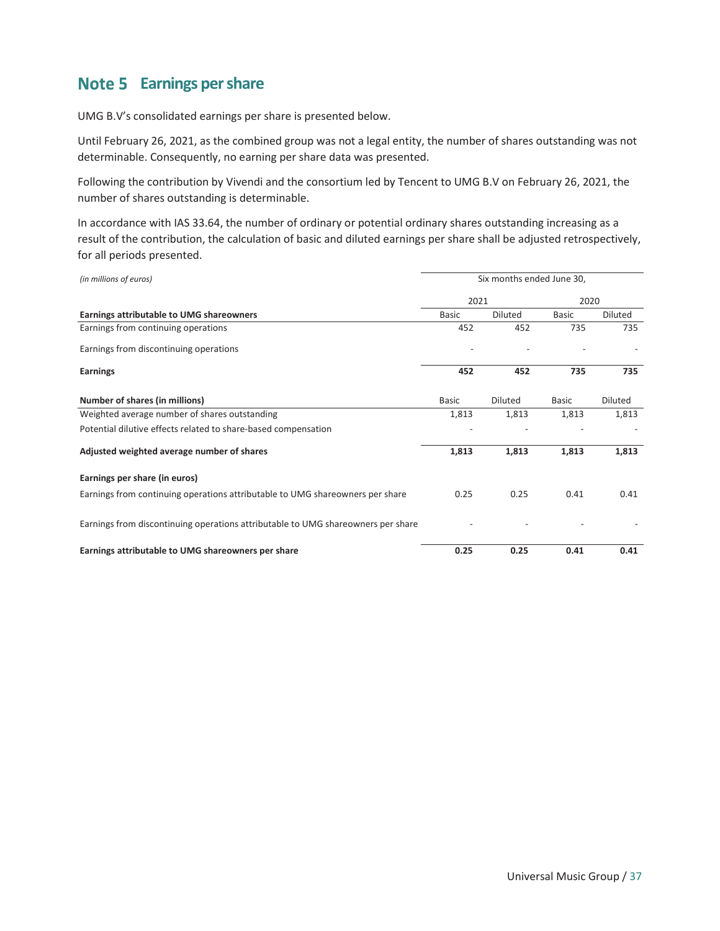## Note 5 Earnings per share

UMG B.V's consolidated earnings per share is presented below.

Until February 26, 2021, as the combined group was not a legal entity, the number of shares outstanding was not determinable. Consequently, no earning per share data was presented.

Following the contribution by Vivendi and the consortium led by Tencent to UMG B.V on February 26, 2021, the number of shares outstanding is determinable.

In accordance with IAS 33.64, the number of ordinary or potential ordinary shares outstanding increasing as a result of the contribution, the calculation of basic and diluted earnings per share shall be adjusted retrospectively, for all periods presented.

| (in millions of euros)                                                           | Six months ended June 30, |                |              |         |
|----------------------------------------------------------------------------------|---------------------------|----------------|--------------|---------|
|                                                                                  | 2021                      |                | 2020         |         |
| Earnings attributable to UMG shareowners                                         | <b>Basic</b>              | Diluted        | <b>Basic</b> | Diluted |
| Earnings from continuing operations                                              | 452                       | 452            | 735          | 735     |
| Earnings from discontinuing operations                                           |                           |                |              |         |
| <b>Earnings</b>                                                                  | 452                       | 452            | 735          | 735     |
| Number of shares (in millions)                                                   | <b>Basic</b>              | <b>Diluted</b> | <b>Basic</b> | Diluted |
| Weighted average number of shares outstanding                                    | 1,813                     | 1,813          | 1,813        | 1,813   |
| Potential dilutive effects related to share-based compensation                   |                           |                |              |         |
| Adjusted weighted average number of shares                                       | 1,813                     | 1,813          | 1,813        | 1,813   |
| Earnings per share (in euros)                                                    |                           |                |              |         |
| Earnings from continuing operations attributable to UMG shareowners per share    | 0.25                      | 0.25           | 0.41         | 0.41    |
| Earnings from discontinuing operations attributable to UMG shareowners per share |                           |                |              |         |
| Earnings attributable to UMG shareowners per share                               | 0.25                      | 0.25           | 0.41         | 0.41    |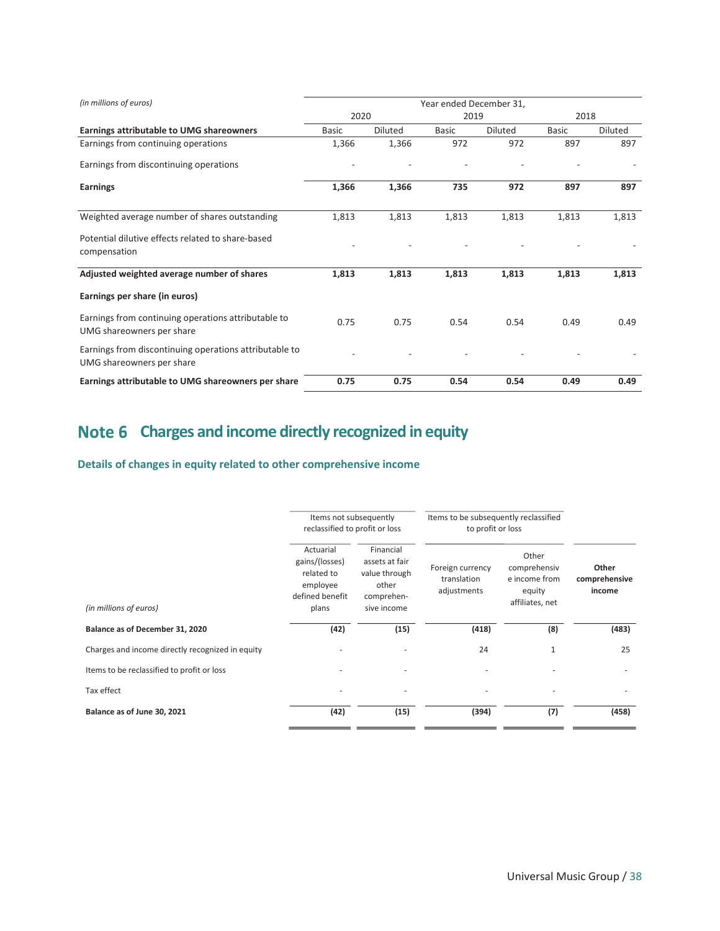| (in millions of euros)                                                              | Year ended December 31, |                |              |                |              |                |
|-------------------------------------------------------------------------------------|-------------------------|----------------|--------------|----------------|--------------|----------------|
|                                                                                     | 2020<br>2019            |                | 2018         |                |              |                |
| <b>Earnings attributable to UMG shareowners</b>                                     | <b>Basic</b>            | <b>Diluted</b> | <b>Basic</b> | <b>Diluted</b> | <b>Basic</b> | <b>Diluted</b> |
| Earnings from continuing operations                                                 | 1,366                   | 1,366          | 972          | 972            | 897          | 897            |
| Earnings from discontinuing operations                                              |                         |                |              |                |              |                |
| Earnings                                                                            | 1,366                   | 1,366          | 735          | 972            | 897          | 897            |
| Weighted average number of shares outstanding                                       | 1,813                   | 1,813          | 1,813        | 1,813          | 1,813        | 1,813          |
| Potential dilutive effects related to share-based<br>compensation                   |                         |                |              |                |              |                |
| Adjusted weighted average number of shares                                          | 1,813                   | 1,813          | 1,813        | 1,813          | 1,813        | 1,813          |
| Earnings per share (in euros)                                                       |                         |                |              |                |              |                |
| Earnings from continuing operations attributable to<br>UMG shareowners per share    | 0.75                    | 0.75           | 0.54         | 0.54           | 0.49         | 0.49           |
| Earnings from discontinuing operations attributable to<br>UMG shareowners per share |                         |                |              |                |              |                |
| Earnings attributable to UMG shareowners per share                                  | 0.75                    | 0.75           | 0.54         | 0.54           | 0.49         | 0.49           |

## Note 6 Charges and income directly recognized in equity

Details of changes in equity related to other comprehensive income

|                                                  | Items not subsequently<br>reclassified to profit or loss                          |                                                                                    | Items to be subsequently reclassified<br>to profit or loss |                                                                     |                                  |  |
|--------------------------------------------------|-----------------------------------------------------------------------------------|------------------------------------------------------------------------------------|------------------------------------------------------------|---------------------------------------------------------------------|----------------------------------|--|
| (in millions of euros)                           | Actuarial<br>gains/(losses)<br>related to<br>employee<br>defined benefit<br>plans | Financial<br>assets at fair<br>value through<br>other<br>comprehen-<br>sive income | Foreign currency<br>translation<br>adjustments             | Other<br>comprehensiv<br>e income from<br>equity<br>affiliates, net | Other<br>comprehensive<br>income |  |
| Balance as of December 31, 2020                  | (42)                                                                              | (15)                                                                               | (418)                                                      | (8)                                                                 | (483)                            |  |
| Charges and income directly recognized in equity |                                                                                   |                                                                                    | 24                                                         | $\mathbf{1}$                                                        | 25                               |  |
| Items to be reclassified to profit or loss       |                                                                                   |                                                                                    |                                                            |                                                                     |                                  |  |
| Tax effect                                       |                                                                                   | ä,                                                                                 | $\sim$                                                     | ٠                                                                   |                                  |  |
| Balance as of June 30, 2021                      | (42)                                                                              | (15)                                                                               | (394)                                                      | (7)                                                                 | (458)                            |  |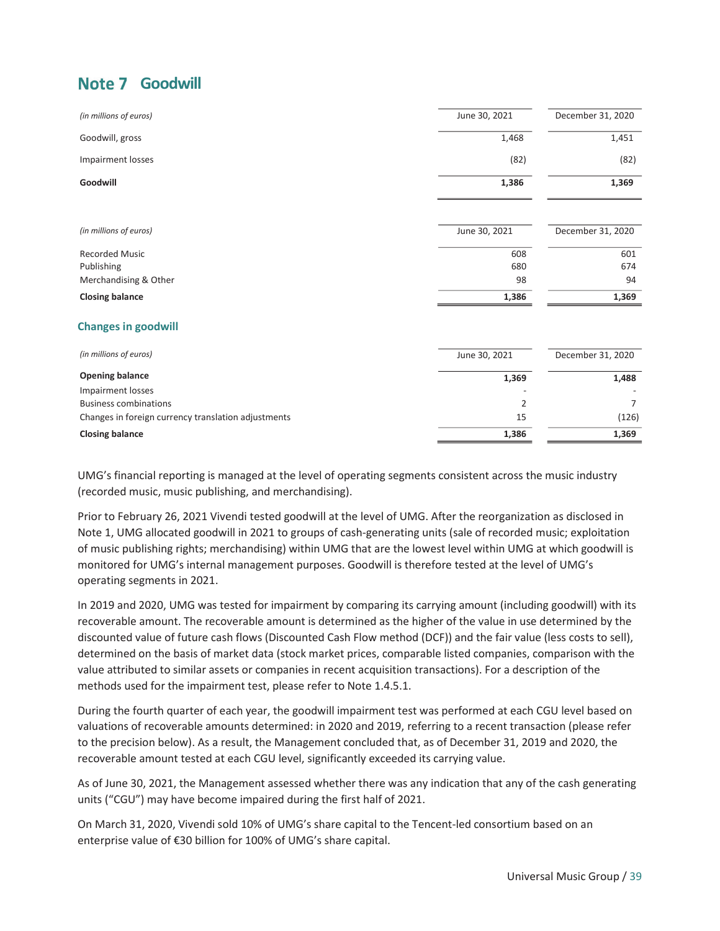## Note 7 Goodwill

| (in millions of euros)                              | June 30, 2021 | December 31, 2020 |
|-----------------------------------------------------|---------------|-------------------|
| Goodwill, gross                                     | 1,468         | 1,451             |
| Impairment losses                                   | (82)          | (82)              |
| Goodwill                                            | 1,386         | 1,369             |
| (in millions of euros)                              | June 30, 2021 | December 31, 2020 |
| <b>Recorded Music</b>                               | 608           | 601               |
| Publishing                                          | 680           | 674               |
| Merchandising & Other                               | 98            | 94                |
| <b>Closing balance</b>                              | 1,386         | 1,369             |
| <b>Changes in goodwill</b>                          |               |                   |
| (in millions of euros)                              | June 30, 2021 | December 31, 2020 |
| <b>Opening balance</b>                              | 1,369         | 1,488             |
| <b>Impairment losses</b>                            |               |                   |
| <b>Business combinations</b>                        | 2             | 7                 |
| Changes in foreign currency translation adjustments | 15            | (126)             |
| <b>Closing balance</b>                              | 1,386         | 1,369             |

UMG's financial reporting is managed at the level of operating segments consistent across the music industry (recorded music, music publishing, and merchandising).

Prior to February 26, 2021 Vivendi tested goodwill at the level of UMG. After the reorganization as disclosed in Note 1, UMG allocated goodwill in 2021 to groups of cash-generating units (sale of recorded music; exploitation of music publishing rights; merchandising) within UMG that are the lowest level within UMG at which goodwill is monitored for UMG's internal management purposes. Goodwill is therefore tested at the level of UMG's operating segments in 2021.

In 2019 and 2020, UMG was tested for impairment by comparing its carrying amount (including goodwill) with its recoverable amount. The recoverable amount is determined as the higher of the value in use determined by the discounted value of future cash flows (Discounted Cash Flow method (DCF)) and the fair value (less costs to sell), determined on the basis of market data (stock market prices, comparable listed companies, comparison with the value attributed to similar assets or companies in recent acquisition transactions). For a description of the methods used for the impairment test, please refer to Note 1.4.5.1.

During the fourth quarter of each year, the goodwill impairment test was performed at each CGU level based on valuations of recoverable amounts determined: in 2020 and 2019, referring to a recent transaction (please refer to the precision below). As a result, the Management concluded that, as of December 31, 2019 and 2020, the recoverable amount tested at each CGU level, significantly exceeded its carrying value.

As of June 30, 2021, the Management assessed whether there was any indication that any of the cash generating units ("CGU") may have become impaired during the first half of 2021.

On March 31, 2020, Vivendi sold 10% of UMG's share capital to the Tencent-led consortium based on an enterprise value of €30 billion for 100% of UMG's share capital.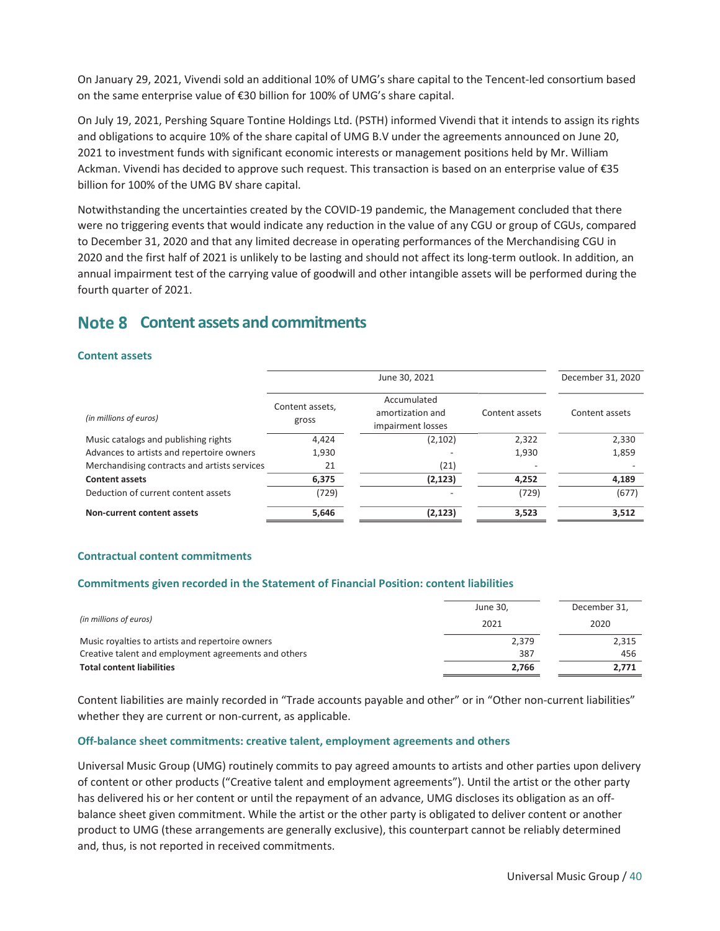On January 29, 2021, Vivendi sold an additional 10% of UMG's share capital to the Tencent-led consortium based on the same enterprise value of €30 billion for 100% of UMG's share capital.

On July 19, 2021, Pershing Square Tontine Holdings Ltd. (PSTH) informed Vivendi that it intends to assign its rights and obligations to acquire 10% of the share capital of UMG B.V under the agreements announced on June 20, 2021 to investment funds with significant economic interests or management positions held by Mr. William Ackman. Vivendi has decided to approve such request. This transaction is based on an enterprise value of €35 billion for 100% of the UMG BV share capital.

Notwithstanding the uncertainties created by the COVID-19 pandemic, the Management concluded that there were no triggering events that would indicate any reduction in the value of any CGU or group of CGUs, compared to December 31, 2020 and that any limited decrease in operating performances of the Merchandising CGU in 2020 and the first half of 2021 is unlikely to be lasting and should not affect its long-term outlook. In addition, an annual impairment test of the carrying value of goodwill and other intangible assets will be performed during the fourth quarter of 2021.

## Note 8 Content assets and commitments

#### Content assets

|                                              | June 30, 2021            |                                                      |                | December 31, 2020 |
|----------------------------------------------|--------------------------|------------------------------------------------------|----------------|-------------------|
| (in millions of euros)                       | Content assets,<br>gross | Accumulated<br>amortization and<br>impairment losses | Content assets | Content assets    |
| Music catalogs and publishing rights         | 4,424                    | (2, 102)                                             | 2,322          | 2,330             |
| Advances to artists and repertoire owners    | 1,930                    |                                                      | 1,930          | 1,859             |
| Merchandising contracts and artists services | 21                       | (21)                                                 |                |                   |
| <b>Content assets</b>                        | 6,375                    | (2, 123)                                             | 4,252          | 4,189             |
| Deduction of current content assets          | (729)                    |                                                      | (729)          | (677)             |
| Non-current content assets                   | 5,646                    | (2, 123)                                             | 3,523          | 3,512             |

#### Contractual content commitments

#### Commitments given recorded in the Statement of Financial Position: content liabilities

| (in millions of euros)                               | June 30, | December 31, |
|------------------------------------------------------|----------|--------------|
|                                                      | 2021     | 2020         |
| Music royalties to artists and repertoire owners     | 2,379    | 2,315        |
| Creative talent and employment agreements and others | 387      | 456          |
| <b>Total content liabilities</b>                     | 2.766    | 2.771        |

Content liabilities are mainly recorded in "Trade accounts payable and other" or in "Other non-current liabilities" whether they are current or non-current, as applicable.

#### Off-balance sheet commitments: creative talent, employment agreements and others

Universal Music Group (UMG) routinely commits to pay agreed amounts to artists and other parties upon delivery of content or other products ("Creative talent and employment agreements"). Until the artist or the other party has delivered his or her content or until the repayment of an advance, UMG discloses its obligation as an offbalance sheet given commitment. While the artist or the other party is obligated to deliver content or another product to UMG (these arrangements are generally exclusive), this counterpart cannot be reliably determined and, thus, is not reported in received commitments.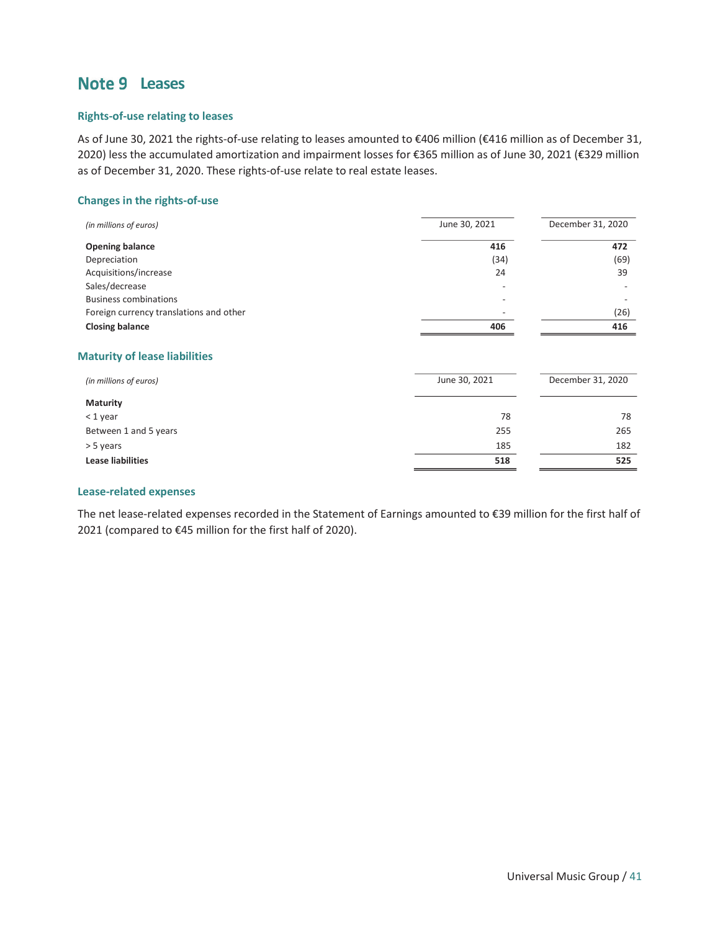## Note 9 Leases

#### Rights-of-use relating to leases

As of June 30, 2021 the rights-of-use relating to leases amounted to €406 million (€416 million as of December 31, 2020) less the accumulated amortization and impairment losses for €365 million as of June 30, 2021 (€329 million as of December 31, 2020. These rights-of-use relate to real estate leases.

#### Changes in the rights-of-use

| (in millions of euros)                  | June 30, 2021            | December 31, 2020 |
|-----------------------------------------|--------------------------|-------------------|
| <b>Opening balance</b>                  | 416                      | 472               |
| Depreciation                            | (34)                     | (69)              |
| Acquisitions/increase                   | 24                       | 39                |
| Sales/decrease                          | $\overline{\phantom{0}}$ |                   |
| <b>Business combinations</b>            | -                        |                   |
| Foreign currency translations and other | $\overline{\phantom{0}}$ | (26)              |
| <b>Closing balance</b>                  | 406                      | 416               |
|                                         |                          |                   |

#### Maturity of lease liabilities

| (in millions of euros)   | June 30, 2021 | December 31, 2020 |  |
|--------------------------|---------------|-------------------|--|
| <b>Maturity</b>          |               |                   |  |
| $<$ 1 year               | 78            | 78                |  |
| Between 1 and 5 years    | 255           | 265               |  |
| > 5 years                | 185           | 182               |  |
| <b>Lease liabilities</b> | 518           | 525               |  |

#### Lease-related expenses

The net lease-related expenses recorded in the Statement of Earnings amounted to €39 million for the first half of 2021 (compared to €45 million for the first half of 2020).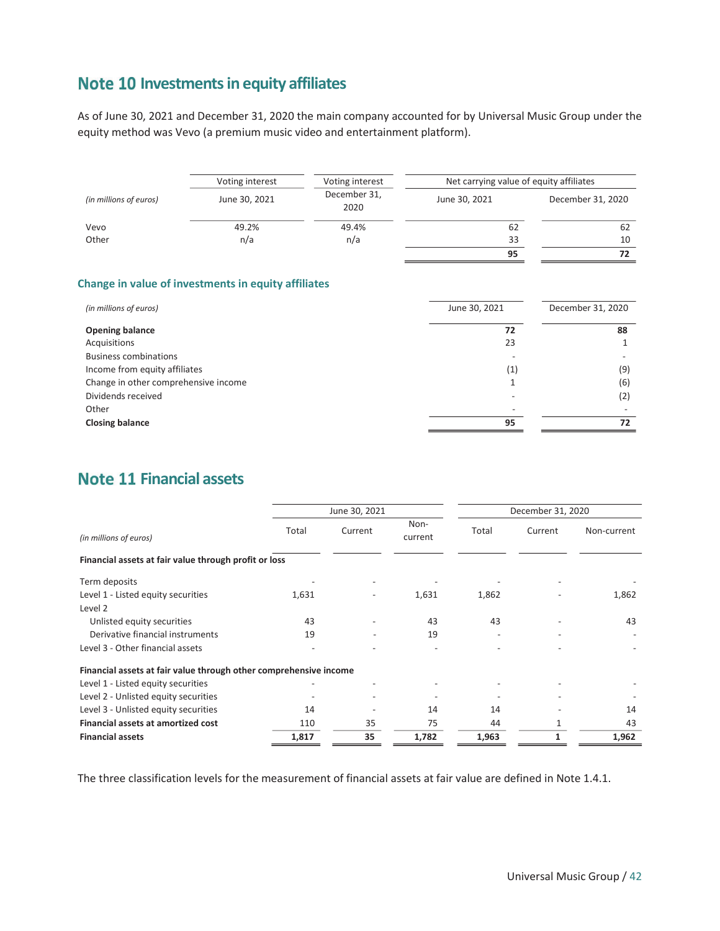## Note 10 Investments in equity affiliates

As of June 30, 2021 and December 31, 2020 the main company accounted for by Universal Music Group under the equity method was Vevo (a premium music video and entertainment platform).

|                        | Voting interest                                            | Voting interest      | Net carrying value of equity affiliates |                   |
|------------------------|------------------------------------------------------------|----------------------|-----------------------------------------|-------------------|
| (in millions of euros) | June 30, 2021                                              | December 31,<br>2020 | June 30, 2021                           | December 31, 2020 |
| Vevo                   | 49.2%                                                      | 49.4%                | 62                                      | 62                |
| Other                  | n/a                                                        | n/a                  | 33                                      | 10                |
|                        |                                                            |                      | 95                                      | 72                |
|                        |                                                            |                      |                                         |                   |
|                        | <b>Change in value of investments in equity affiliates</b> |                      |                                         |                   |

| (in millions of euros)               | June 30, 2021 | December 31, 2020 |
|--------------------------------------|---------------|-------------------|
| <b>Opening balance</b>               | 72            | 88                |
| Acquisitions                         | 23            |                   |
| <b>Business combinations</b>         |               |                   |
| Income from equity affiliates        | (1)           | (9)               |
| Change in other comprehensive income |               | (6)               |
| Dividends received                   |               | (2)               |
| Other                                |               |                   |
| <b>Closing balance</b>               | 95            | 72                |

## **Note 11 Financial assets**

|                                                                   | June 30, 2021 |         |                 | December 31, 2020 |         |             |  |
|-------------------------------------------------------------------|---------------|---------|-----------------|-------------------|---------|-------------|--|
| (in millions of euros)                                            | Total         | Current | Non-<br>current | Total             | Current | Non-current |  |
| Financial assets at fair value through profit or loss             |               |         |                 |                   |         |             |  |
| Term deposits                                                     |               |         |                 |                   |         |             |  |
| Level 1 - Listed equity securities                                | 1,631         |         | 1,631           | 1,862             |         | 1,862       |  |
| Level 2                                                           |               |         |                 |                   |         |             |  |
| Unlisted equity securities                                        | 43            |         | 43              | 43                |         | 43          |  |
| Derivative financial instruments                                  | 19            |         | 19              |                   |         |             |  |
| Level 3 - Other financial assets                                  |               |         |                 |                   |         |             |  |
| Financial assets at fair value through other comprehensive income |               |         |                 |                   |         |             |  |
| Level 1 - Listed equity securities                                |               |         |                 |                   |         |             |  |
| Level 2 - Unlisted equity securities                              |               |         |                 |                   |         |             |  |
| Level 3 - Unlisted equity securities                              | 14            |         | 14              | 14                |         | 14          |  |
| <b>Financial assets at amortized cost</b>                         | 110           | 35      | 75              | 44                |         | 43          |  |
| <b>Financial assets</b>                                           | 1,817         | 35      | 1,782           | 1,963             |         | 1,962       |  |

The three classification levels for the measurement of financial assets at fair value are defined in Note 1.4.1.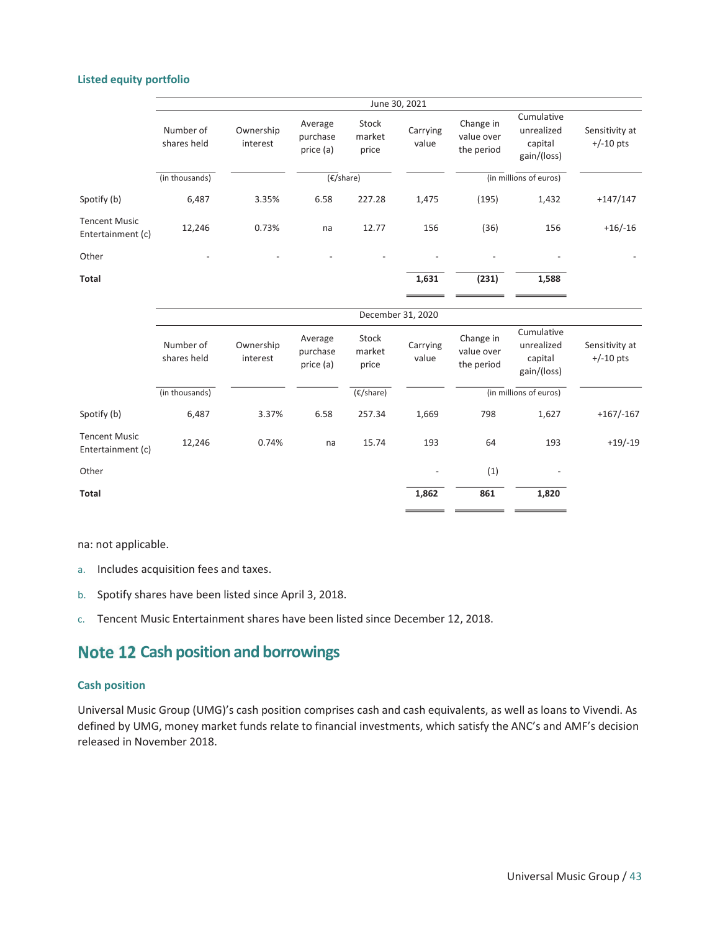#### Listed equity portfolio

|                                           |                          |                       |                                  |                          | June 30, 2021     |                                       |                                                    |                               |
|-------------------------------------------|--------------------------|-----------------------|----------------------------------|--------------------------|-------------------|---------------------------------------|----------------------------------------------------|-------------------------------|
|                                           | Number of<br>shares held | Ownership<br>interest | Average<br>purchase<br>price (a) | Stock<br>market<br>price | Carrying<br>value | Change in<br>value over<br>the period | Cumulative<br>unrealized<br>capital<br>gain/(loss) | Sensitivity at<br>$+/-10$ pts |
|                                           | (in thousands)           |                       | $(\epsilon$ /share)              |                          |                   |                                       | (in millions of euros)                             |                               |
| Spotify (b)                               | 6,487                    | 3.35%                 | 6.58                             | 227.28                   | 1,475             | (195)                                 | 1,432                                              | $+147/147$                    |
| <b>Tencent Music</b><br>Entertainment (c) | 12,246                   | 0.73%                 | na                               | 12.77                    | 156               | (36)                                  | 156                                                | $+16/-16$                     |
| Other                                     |                          |                       |                                  |                          |                   |                                       |                                                    |                               |
| <b>Total</b>                              |                          |                       |                                  |                          | 1,631             | (231)                                 | 1,588                                              |                               |
|                                           |                          |                       |                                  |                          | December 31, 2020 |                                       |                                                    |                               |
|                                           | Number of<br>shares held | Ownership<br>interest | Average<br>purchase<br>price (a) | Stock<br>market<br>price | Carrying<br>value | Change in<br>value over<br>the period | Cumulative<br>unrealized<br>capital<br>gain/(loss) | Sensitivity at<br>$+/-10$ pts |
|                                           | (in thousands)           |                       |                                  | $(E/\text{share})$       |                   |                                       | (in millions of euros)                             |                               |
| Spotify (b)                               | 6,487                    | 3.37%                 | 6.58                             | 257.34                   | 1,669             | 798                                   | 1,627                                              | $+167/ -167$                  |
| <b>Tencent Music</b><br>Entertainment (c) | 12,246                   | 0.74%                 | na                               | 15.74                    | 193               | 64                                    | 193                                                | $+19/-19$                     |
| Other                                     |                          |                       |                                  |                          |                   | (1)                                   |                                                    |                               |
| <b>Total</b>                              |                          |                       |                                  |                          | 1,862             | 861                                   | 1,820                                              |                               |

na: not applicable.

- a. Includes acquisition fees and taxes.
- b. Spotify shares have been listed since April 3, 2018.
- c. Tencent Music Entertainment shares have been listed since December 12, 2018.

## **Note 12 Cash position and borrowings**

#### Cash position

Universal Music Group (UMG)'s cash position comprises cash and cash equivalents, as well as loans to Vivendi. As defined by UMG, money market funds relate to financial investments, which satisfy the ANC's and AMF's decision released in November 2018.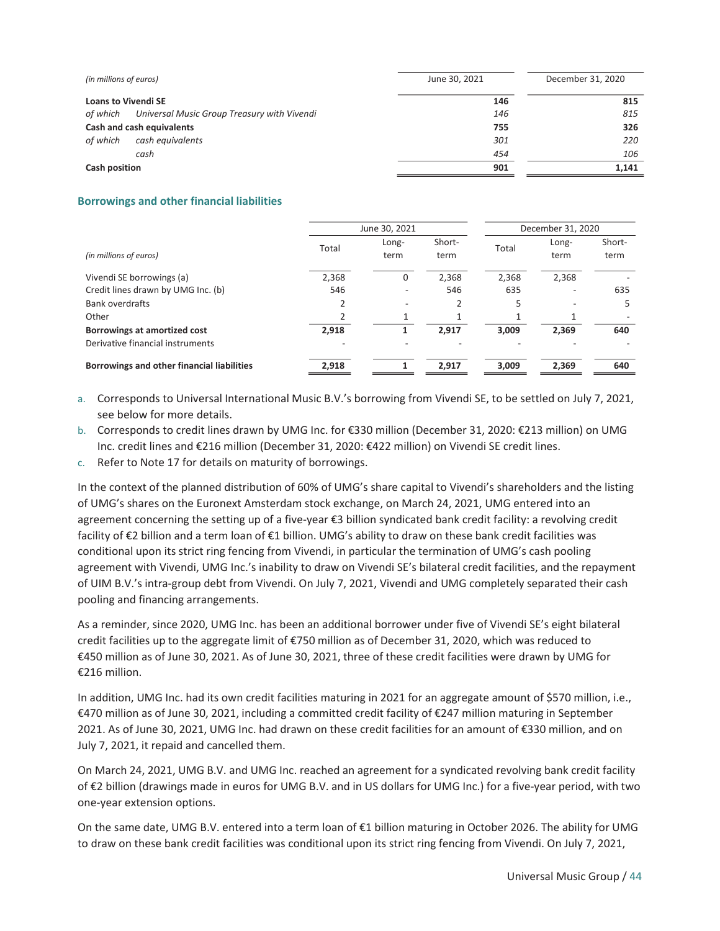| (in millions of euros)                                  | June 30, 2021 | December 31, 2020 |
|---------------------------------------------------------|---------------|-------------------|
| <b>Loans to Vivendi SE</b>                              | 146           | 815               |
| of which<br>Universal Music Group Treasury with Vivendi | 146           | 815               |
| Cash and cash equivalents                               | 755           | 326               |
| of which<br>cash equivalents                            | 301           | 220               |
| cash                                                    | 454           | 106               |
| Cash position                                           | 901           | 1,141             |

#### Borrowings and other financial liabilities

|                                            | June 30, 2021 |               |                | December 31, 2020 |                          |                |
|--------------------------------------------|---------------|---------------|----------------|-------------------|--------------------------|----------------|
| (in millions of euros)                     | Total         | Long-<br>term | Short-<br>term | Total             | Long-<br>term            | Short-<br>term |
| Vivendi SE borrowings (a)                  | 2,368         | 0             | 2,368          | 2,368             | 2,368                    |                |
| Credit lines drawn by UMG Inc. (b)         | 546           |               | 546            | 635               | $\overline{\phantom{a}}$ | 635            |
| <b>Bank overdrafts</b>                     | C             |               |                | 5                 | $\overline{\phantom{a}}$ | 5              |
| Other                                      |               |               |                |                   |                          |                |
| Borrowings at amortized cost               | 2.918         |               | 2.917          | 3.009             | 2.369                    | 640            |
| Derivative financial instruments           |               |               |                |                   |                          |                |
| Borrowings and other financial liabilities | 2,918         |               | 2.917          | 3.009             | 2,369                    | 640            |

- a. Corresponds to Universal International Music B.V.'s borrowing from Vivendi SE, to be settled on July 7, 2021, see below for more details.
- b. Corresponds to credit lines drawn by UMG Inc. for €330 million (December 31, 2020: €213 million) on UMG Inc. credit lines and €216 million (December 31, 2020: €422 million) on Vivendi SE credit lines.
- c. Refer to Note 17 for details on maturity of borrowings.

In the context of the planned distribution of 60% of UMG's share capital to Vivendi's shareholders and the listing of UMG's shares on the Euronext Amsterdam stock exchange, on March 24, 2021, UMG entered into an agreement concerning the setting up of a five-year €3 billion syndicated bank credit facility: a revolving credit facility of €2 billion and a term loan of €1 billion. UMG's ability to draw on these bank credit facilities was conditional upon its strict ring fencing from Vivendi, in particular the termination of UMG's cash pooling agreement with Vivendi, UMG Inc.'s inability to draw on Vivendi SE's bilateral credit facilities, and the repayment of UIM B.V.'s intra-group debt from Vivendi. On July 7, 2021, Vivendi and UMG completely separated their cash pooling and financing arrangements.

As a reminder, since 2020, UMG Inc. has been an additional borrower under five of Vivendi SE's eight bilateral credit facilities up to the aggregate limit of €750 million as of December 31, 2020, which was reduced to €450 million as of June 30, 2021. As of June 30, 2021, three of these credit facilities were drawn by UMG for €216 million.

In addition, UMG Inc. had its own credit facilities maturing in 2021 for an aggregate amount of \$570 million, i.e., €470 million as of June 30, 2021, including a committed credit facility of €247 million maturing in September 2021. As of June 30, 2021, UMG Inc. had drawn on these credit facilities for an amount of €330 million, and on July 7, 2021, it repaid and cancelled them.

On March 24, 2021, UMG B.V. and UMG Inc. reached an agreement for a syndicated revolving bank credit facility of €2 billion (drawings made in euros for UMG B.V. and in US dollars for UMG Inc.) for a five-year period, with two one-year extension options.

On the same date, UMG B.V. entered into a term loan of €1 billion maturing in October 2026. The ability for UMG to draw on these bank credit facilities was conditional upon its strict ring fencing from Vivendi. On July 7, 2021,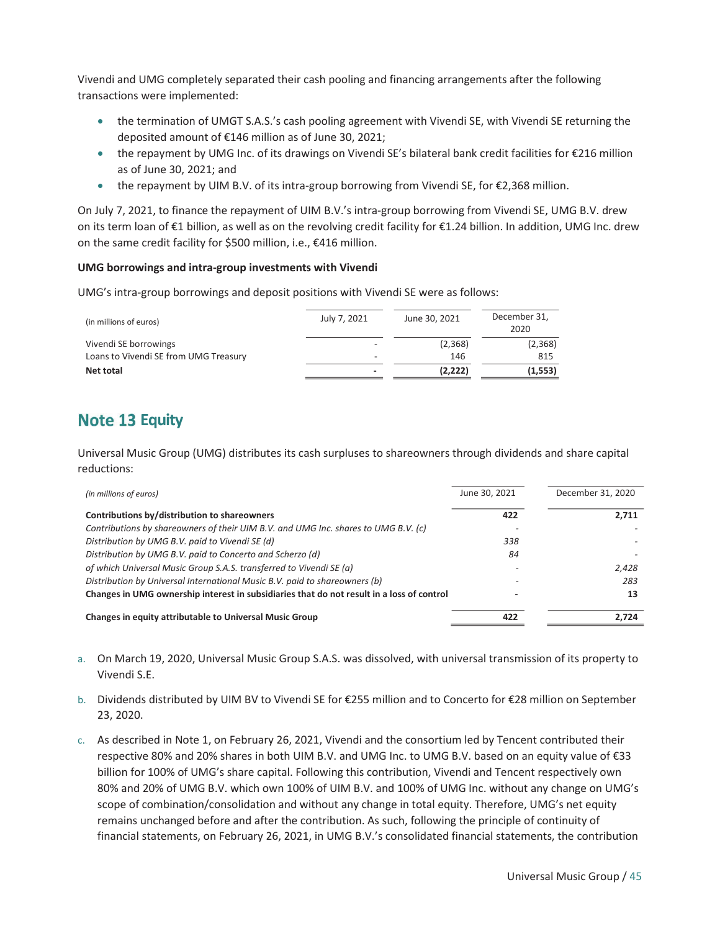Vivendi and UMG completely separated their cash pooling and financing arrangements after the following transactions were implemented:

- the termination of UMGT S.A.S.'s cash pooling agreement with Vivendi SE, with Vivendi SE returning the deposited amount of €146 million as of June 30, 2021;
- the repayment by UMG Inc. of its drawings on Vivendi SE's bilateral bank credit facilities for €216 million as of June 30, 2021; and
- the repayment by UIM B.V. of its intra-group borrowing from Vivendi SE, for  $\epsilon$ 2,368 million.

On July 7, 2021, to finance the repayment of UIM B.V.'s intra-group borrowing from Vivendi SE, UMG B.V. drew on its term loan of €1 billion, as well as on the revolving credit facility for €1.24 billion. In addition, UMG Inc. drew on the same credit facility for \$500 million, i.e., €416 million.

#### UMG borrowings and intra-group investments with Vivendi

UMG's intra-group borrowings and deposit positions with Vivendi SE were as follows:

| (in millions of euros)                | July 7, 2021             | June 30, 2021 | December 31,<br>2020 |
|---------------------------------------|--------------------------|---------------|----------------------|
| Vivendi SE borrowings                 |                          | (2,368)       | (2,368)              |
| Loans to Vivendi SE from UMG Treasury |                          | 146           | 815                  |
| Net total                             | $\overline{\phantom{a}}$ | (2,222)       | (1, 553)             |

## **Note 13 Equity**

Universal Music Group (UMG) distributes its cash surpluses to shareowners through dividends and share capital reductions:

| (in millions of euros)                                                                    | June 30, 2021 | December 31, 2020 |
|-------------------------------------------------------------------------------------------|---------------|-------------------|
| Contributions by/distribution to shareowners                                              | 422           | 2.711             |
| Contributions by shareowners of their UIM B.V. and UMG Inc. shares to UMG B.V. (c)        |               |                   |
| Distribution by UMG B.V. paid to Vivendi SE (d)                                           | 338           |                   |
| Distribution by UMG B.V. paid to Concerto and Scherzo (d)                                 | 84            |                   |
| of which Universal Music Group S.A.S. transferred to Vivendi SE (a)                       |               | 2,428             |
| Distribution by Universal International Music B.V. paid to shareowners (b)                |               | 283               |
| Changes in UMG ownership interest in subsidiaries that do not result in a loss of control |               | 13                |
| Changes in equity attributable to Universal Music Group                                   | 422           | 2.724             |

- a. On March 19, 2020, Universal Music Group S.A.S. was dissolved, with universal transmission of its property to Vivendi S.E.
- b. Dividends distributed by UIM BV to Vivendi SE for €255 million and to Concerto for €28 million on September 23, 2020.
- c. As described in Note 1, on February 26, 2021, Vivendi and the consortium led by Tencent contributed their respective 80% and 20% shares in both UIM B.V. and UMG Inc. to UMG B.V. based on an equity value of €33 billion for 100% of UMG's share capital. Following this contribution, Vivendi and Tencent respectively own 80% and 20% of UMG B.V. which own 100% of UIM B.V. and 100% of UMG Inc. without any change on UMG's scope of combination/consolidation and without any change in total equity. Therefore, UMG's net equity remains unchanged before and after the contribution. As such, following the principle of continuity of financial statements, on February 26, 2021, in UMG B.V.'s consolidated financial statements, the contribution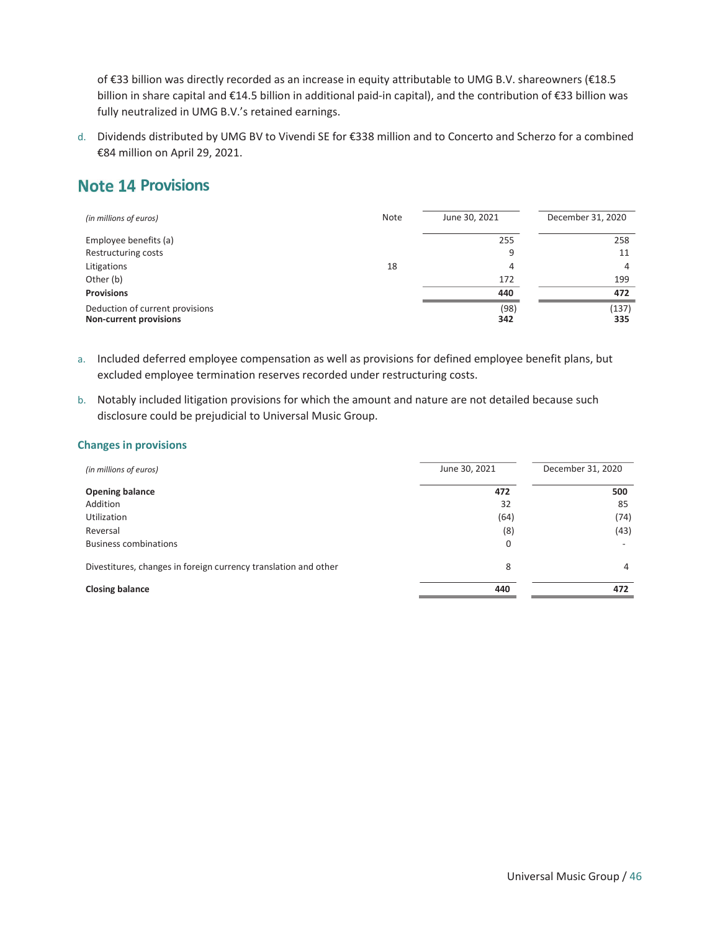of €33 billion was directly recorded as an increase in equity attributable to UMG B.V. shareowners (€18.5 billion in share capital and €14.5 billion in additional paid-in capital), and the contribution of €33 billion was fully neutralized in UMG B.V.'s retained earnings.

d. Dividends distributed by UMG BV to Vivendi SE for €338 million and to Concerto and Scherzo for a combined €84 million on April 29, 2021.

## **Note 14 Provisions**

| (in millions of euros)                                           | Note | June 30, 2021 | December 31, 2020 |
|------------------------------------------------------------------|------|---------------|-------------------|
| Employee benefits (a)                                            |      | 255           | 258               |
| Restructuring costs                                              |      | 9             | 11                |
| Litigations                                                      | 18   | 4             | 4                 |
| Other (b)                                                        |      | 172           | 199               |
| <b>Provisions</b>                                                |      | 440           | 472               |
| Deduction of current provisions<br><b>Non-current provisions</b> |      | (98)<br>342   | (137)<br>335      |

- a. Included deferred employee compensation as well as provisions for defined employee benefit plans, but excluded employee termination reserves recorded under restructuring costs.
- b. Notably included litigation provisions for which the amount and nature are not detailed because such disclosure could be prejudicial to Universal Music Group.

#### Changes in provisions

| (in millions of euros)                                          | June 30, 2021 | December 31, 2020 |
|-----------------------------------------------------------------|---------------|-------------------|
| <b>Opening balance</b>                                          | 472           | 500               |
| Addition                                                        | 32            | 85                |
| <b>Utilization</b>                                              | (64)          | (74)              |
| Reversal                                                        | (8)           | (43)              |
| <b>Business combinations</b>                                    | $\mathbf 0$   |                   |
| Divestitures, changes in foreign currency translation and other | 8             | 4                 |
| <b>Closing balance</b>                                          | 440           | 472               |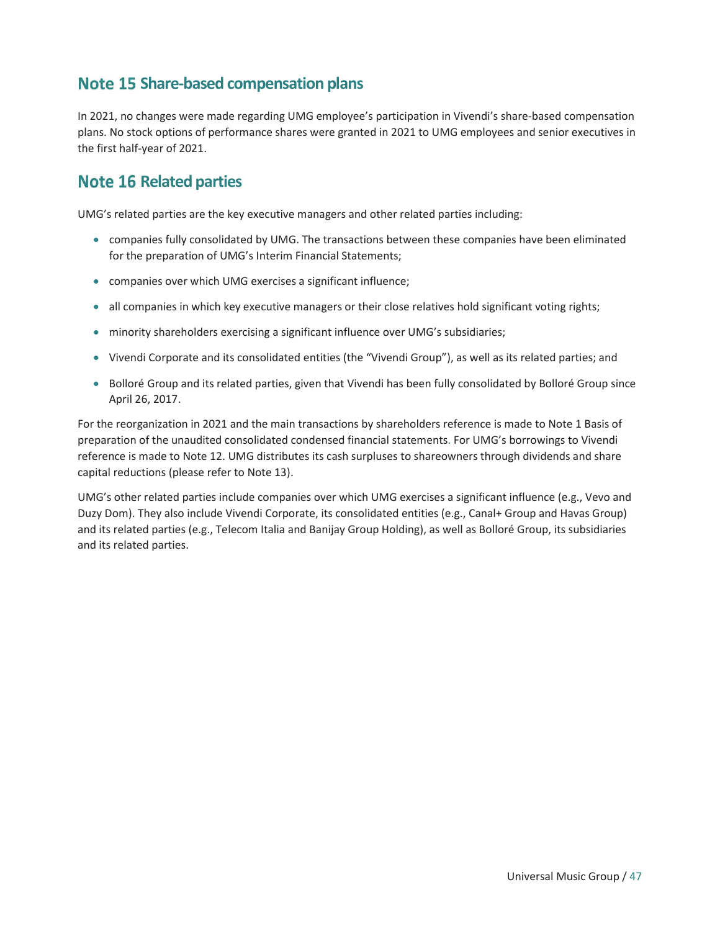## Note 15 Share-based compensation plans

In 2021, no changes were made regarding UMG employee's participation in Vivendi's share-based compensation plans. No stock options of performance shares were granted in 2021 to UMG employees and senior executives in the first half-year of 2021.

### **Note 16 Related parties**

UMG's related parties are the key executive managers and other related parties including:

- companies fully consolidated by UMG. The transactions between these companies have been eliminated for the preparation of UMG's Interim Financial Statements;
- companies over which UMG exercises a significant influence;
- all companies in which key executive managers or their close relatives hold significant voting rights;
- minority shareholders exercising a significant influence over UMG's subsidiaries;
- Vivendi Corporate and its consolidated entities (the "Vivendi Group"), as well as its related parties; and
- Bolloré Group and its related parties, given that Vivendi has been fully consolidated by Bolloré Group since April 26, 2017.

For the reorganization in 2021 and the main transactions by shareholders reference is made to Note 1 Basis of preparation of the unaudited consolidated condensed financial statements. For UMG's borrowings to Vivendi reference is made to Note 12. UMG distributes its cash surpluses to shareowners through dividends and share capital reductions (please refer to Note 13).

UMG's other related parties include companies over which UMG exercises a significant influence (e.g., Vevo and Duzy Dom). They also include Vivendi Corporate, its consolidated entities (e.g., Canal+ Group and Havas Group) and its related parties (e.g., Telecom Italia and Banijay Group Holding), as well as Bolloré Group, its subsidiaries and its related parties.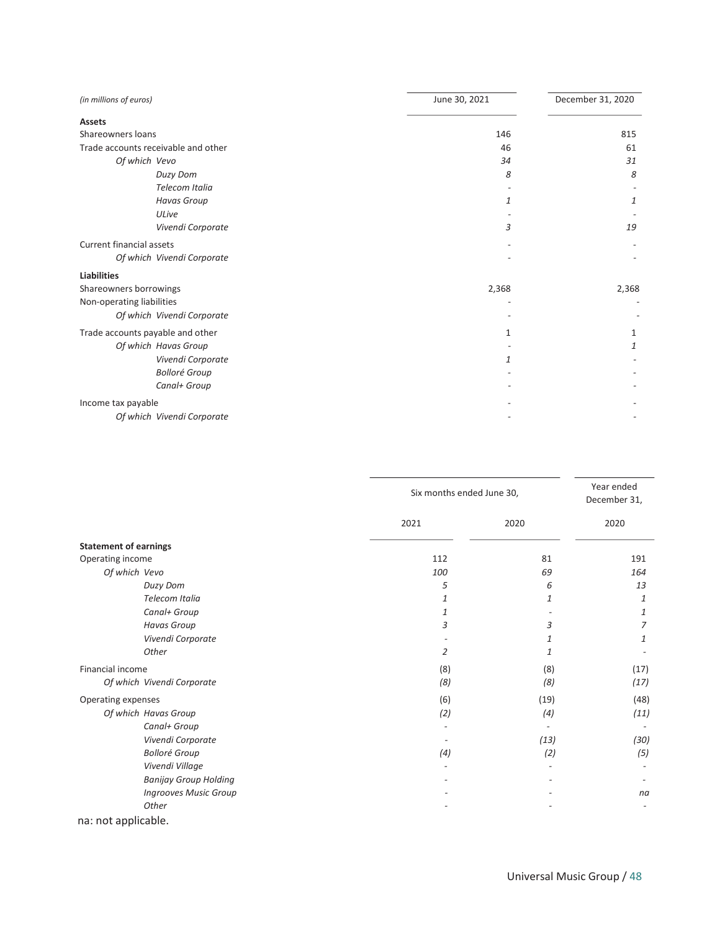| (in millions of euros)              | June 30, 2021 |       |
|-------------------------------------|---------------|-------|
| <b>Assets</b>                       |               |       |
| Shareowners loans                   | 146           | 815   |
| Trade accounts receivable and other | 46            | 61    |
| Of which Vevo                       | 34            | 31    |
| Duzy Dom                            | 8             | 8     |
| Telecom Italia                      |               |       |
| <b>Havas Group</b>                  | 1             | 1     |
| ULive                               |               |       |
| Vivendi Corporate                   | 3             | 19    |
| <b>Current financial assets</b>     |               |       |
| Of which Vivendi Corporate          |               |       |
| <b>Liabilities</b>                  |               |       |
| Shareowners borrowings              | 2,368         | 2,368 |
| Non-operating liabilities           |               |       |
| Of which Vivendi Corporate          |               |       |
| Trade accounts payable and other    | 1             | 1     |
| Of which Havas Group                |               | 1     |
| Vivendi Corporate                   | 1             |       |
| <b>Bolloré Group</b>                |               |       |
| Canal+ Group                        |               |       |
| Income tax payable                  |               |       |
| Of which Vivendi Corporate          |               |       |

|                              |      | Six months ended June 30, |      |
|------------------------------|------|---------------------------|------|
|                              | 2021 | 2020                      | 2020 |
| <b>Statement of earnings</b> |      |                           |      |
| Operating income             | 112  | 81                        | 191  |
| Of which Vevo                | 100  | 69                        | 164  |
| Duzy Dom                     | 5    | 6                         | 13   |
| Telecom Italia               | 1    | 1                         | 1    |
| Canal+ Group                 | 1    |                           | 1    |
| <b>Havas Group</b>           | 3    | 3                         | 7    |
| Vivendi Corporate            |      | 1                         | 1    |
| Other                        | 2    | 1                         |      |
| Financial income             | (8)  | (8)                       | (17) |
| Of which Vivendi Corporate   | (8)  | (8)                       | (17) |
| Operating expenses           | (6)  | (19)                      | (48) |
| Of which Havas Group         | (2)  | (4)                       | (11) |
| Canal+ Group                 |      |                           |      |
| Vivendi Corporate            |      | (13)                      | (30) |
| <b>Bolloré Group</b>         | (4)  | (2)                       | (5)  |
| Vivendi Village              |      |                           |      |
| <b>Banijay Group Holding</b> |      |                           |      |
| <b>Ingrooves Music Group</b> |      |                           | na   |
| Other                        |      |                           |      |
|                              |      |                           |      |

na: not applicable.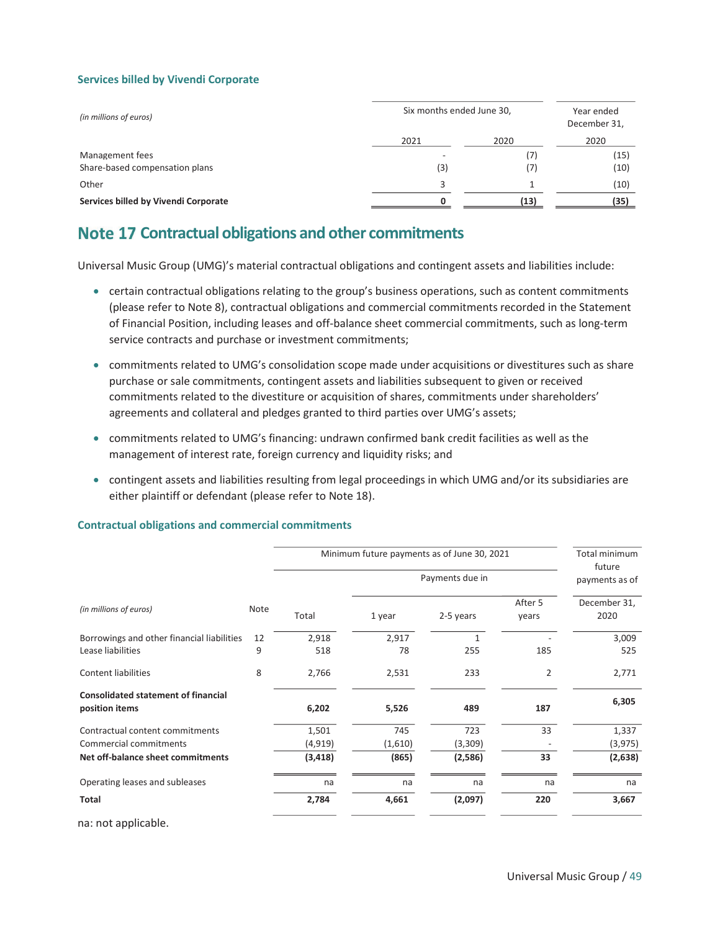#### Services billed by Vivendi Corporate

| (in millions of euros)               | Six months ended June 30, | Year ended<br>December 31, |      |
|--------------------------------------|---------------------------|----------------------------|------|
|                                      | 2021                      | 2020                       | 2020 |
| Management fees                      |                           | (7)                        | (15) |
| Share-based compensation plans       | (3)                       | (7)                        | (10) |
| Other                                | 3                         |                            | (10) |
| Services billed by Vivendi Corporate |                           | (13)                       | (35) |

## Note 17 Contractual obligations and other commitments

Universal Music Group (UMG)'s material contractual obligations and contingent assets and liabilities include:

- certain contractual obligations relating to the group's business operations, such as content commitments (please refer to Note 8), contractual obligations and commercial commitments recorded in the Statement of Financial Position, including leases and off-balance sheet commercial commitments, such as long-term service contracts and purchase or investment commitments;
- commitments related to UMG's consolidation scope made under acquisitions or divestitures such as share purchase or sale commitments, contingent assets and liabilities subsequent to given or received commitments related to the divestiture or acquisition of shares, commitments under shareholders' agreements and collateral and pledges granted to third parties over UMG's assets;
- x commitments related to UMG's financing: undrawn confirmed bank credit facilities as well as the management of interest rate, foreign currency and liquidity risks; and
- contingent assets and liabilities resulting from legal proceedings in which UMG and/or its subsidiaries are either plaintiff or defendant (please refer to Note 18).

#### Contractual obligations and commercial commitments

|                                                              |      | Minimum future payments as of June 30, 2021 | Total minimum<br>future |                 |                  |                      |
|--------------------------------------------------------------|------|---------------------------------------------|-------------------------|-----------------|------------------|----------------------|
|                                                              |      |                                             |                         | Payments due in |                  | payments as of       |
| (in millions of euros)                                       | Note | Total                                       | 1 year                  | 2-5 years       | After 5<br>years | December 31,<br>2020 |
| Borrowings and other financial liabilities                   | 12   | 2,918                                       | 2,917                   | 1               |                  | 3,009                |
| Lease liabilities                                            | 9    | 518                                         | 78                      | 255             | 185              | 525                  |
| <b>Content liabilities</b>                                   | 8    | 2,766                                       | 2,531                   | 233             | $\overline{2}$   | 2,771                |
| <b>Consolidated statement of financial</b><br>position items |      | 6,202                                       | 5,526                   | 489             | 187              | 6,305                |
| Contractual content commitments                              |      | 1,501                                       | 745                     | 723             | 33               | 1,337                |
| Commercial commitments                                       |      | (4,919)                                     | (1,610)                 | (3,309)         |                  | (3, 975)             |
| Net off-balance sheet commitments                            |      | (3, 418)                                    | (865)                   | (2,586)         | 33               | (2,638)              |
| Operating leases and subleases                               |      | na                                          | na                      | na              | na               | na                   |
| Total                                                        |      | 2,784                                       | 4,661                   | (2,097)         | 220              | 3,667                |
| na: not applicable.                                          |      |                                             |                         |                 |                  |                      |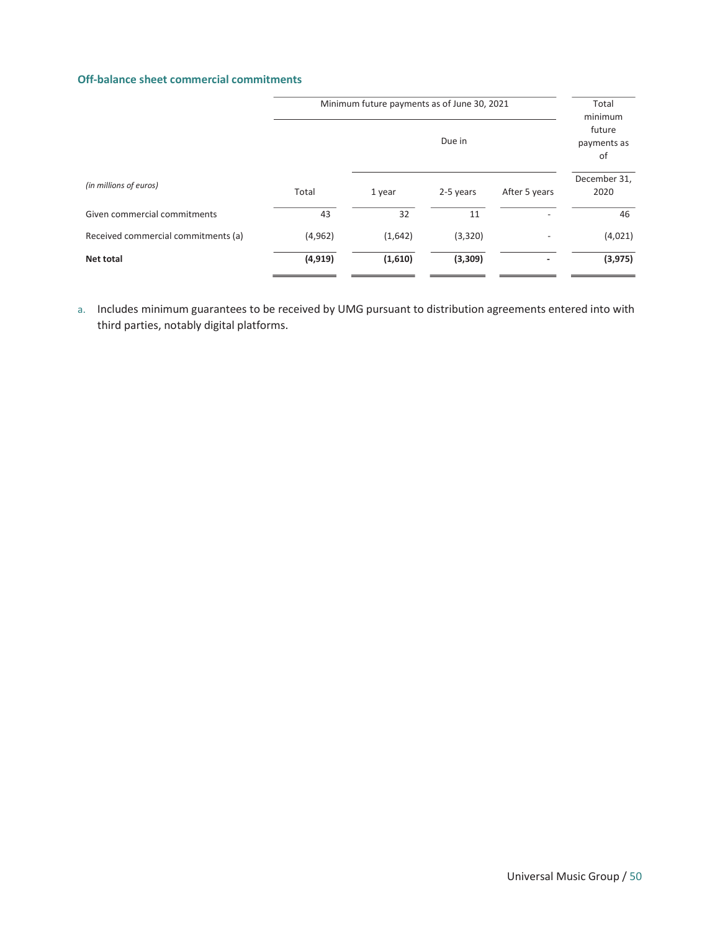#### Off-balance sheet commercial commitments

| Minimum future payments as of June 30, 2021 |         |                             |                          | Total<br>minimum     |
|---------------------------------------------|---------|-----------------------------|--------------------------|----------------------|
|                                             |         | future<br>payments as<br>of |                          |                      |
| Total                                       | 1 year  | 2-5 years                   | After 5 years            | December 31,<br>2020 |
| 43                                          | 32      | 11                          | $\overline{\phantom{a}}$ | 46                   |
| (4,962)                                     | (1,642) | (3,320)                     | $\overline{\phantom{a}}$ | (4,021)              |
| (4, 919)                                    | (1,610) | (3,309)                     |                          | (3, 975)             |
|                                             |         |                             | Due in                   |                      |

a. Includes minimum guarantees to be received by UMG pursuant to distribution agreements entered into with third parties, notably digital platforms.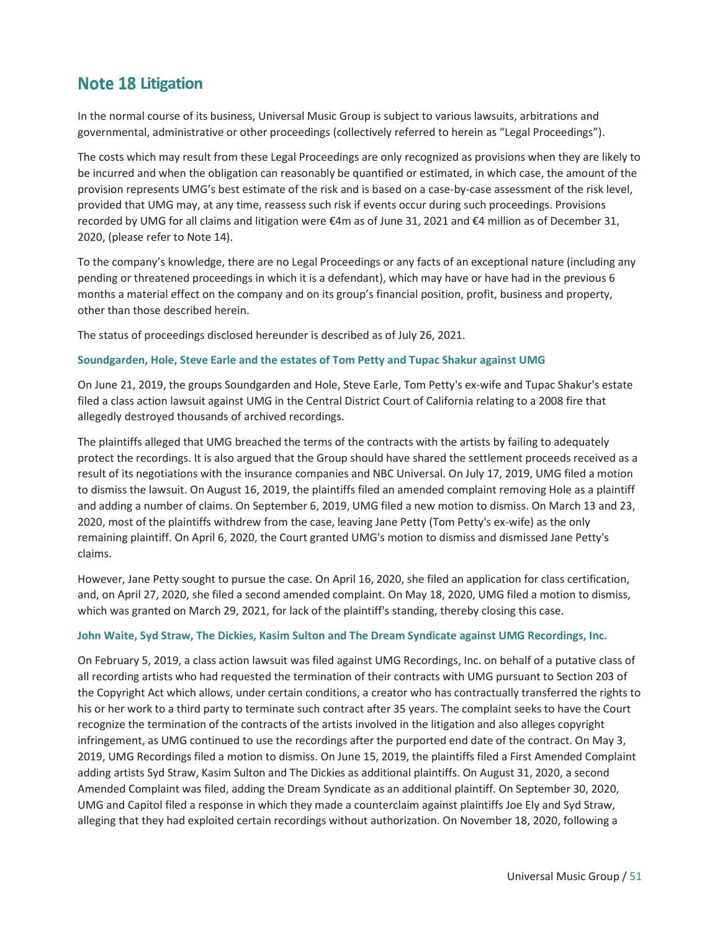## **Note 18 Litigation**

In the normal course of its business, Universal Music Group is subject to various lawsuits, arbitrations and governmental, administrative or other proceedings (collectively referred to herein as "Legal Proceedings").

The costs which may result from these Legal Proceedings are only recognized as provisions when they are likely to be incurred and when the obligation can reasonably be quantified or estimated, in which case, the amount of the provision represents UMG's best estimate of the risk and is based on a case-by-case assessment of the risk level, provided that UMG may, at any time, reassess such risk if events occur during such proceedings. Provisions recorded by UMG for all claims and litigation were €4m as of June 31, 2021 and €4 million as of December 31, 2020, (please refer to Note 14).

To the company's knowledge, there are no Legal Proceedings or any facts of an exceptional nature (including any pending or threatened proceedings in which it is a defendant), which may have or have had in the previous 6 months a material effect on the company and on its group's financial position, profit, business and property, other than those described herein.

The status of proceedings disclosed hereunder is described as of July 26, 2021.

#### Soundgarden, Hole, Steve Earle and the estates of Tom Petty and Tupac Shakur against UMG

On June 21, 2019, the groups Soundgarden and Hole, Steve Earle, Tom Petty's ex-wife and Tupac Shakur's estate filed a class action lawsuit against UMG in the Central District Court of California relating to a 2008 fire that allegedly destroyed thousands of archived recordings.

The plaintiffs alleged that UMG breached the terms of the contracts with the artists by failing to adequately protect the recordings. It is also argued that the Group should have shared the settlement proceeds received as a result of its negotiations with the insurance companies and NBC Universal. On July 17, 2019, UMG filed a motion to dismiss the lawsuit. On August 16, 2019, the plaintiffs filed an amended complaint removing Hole as a plaintiff and adding a number of claims. On September 6, 2019, UMG filed a new motion to dismiss. On March 13 and 23, 2020, most of the plaintiffs withdrew from the case, leaving Jane Petty (Tom Petty's ex-wife) as the only remaining plaintiff. On April 6, 2020, the Court granted UMG's motion to dismiss and dismissed Jane Petty's claims.

However, Jane Petty sought to pursue the case. On April 16, 2020, she filed an application for class certification, and, on April 27, 2020, she filed a second amended complaint. On May 18, 2020, UMG filed a motion to dismiss, which was granted on March 29, 2021, for lack of the plaintiff's standing, thereby closing this case.

#### John Waite, Syd Straw, The Dickies, Kasim Sulton and The Dream Syndicate against UMG Recordings, Inc.

On February 5, 2019, a class action lawsuit was filed against UMG Recordings, Inc. on behalf of a putative class of all recording artists who had requested the termination of their contracts with UMG pursuant to Section 203 of the Copyright Act which allows, under certain conditions, a creator who has contractually transferred the rights to his or her work to a third party to terminate such contract after 35 years. The complaint seeks to have the Court recognize the termination of the contracts of the artists involved in the litigation and also alleges copyright infringement, as UMG continued to use the recordings after the purported end date of the contract. On May 3, 2019, UMG Recordings filed a motion to dismiss. On June 15, 2019, the plaintiffs filed a First Amended Complaint adding artists Syd Straw, Kasim Sulton and The Dickies as additional plaintiffs. On August 31, 2020, a second Amended Complaint was filed, adding the Dream Syndicate as an additional plaintiff. On September 30, 2020, UMG and Capitol filed a response in which they made a counterclaim against plaintiffs Joe Ely and Syd Straw, alleging that they had exploited certain recordings without authorization. On November 18, 2020, following a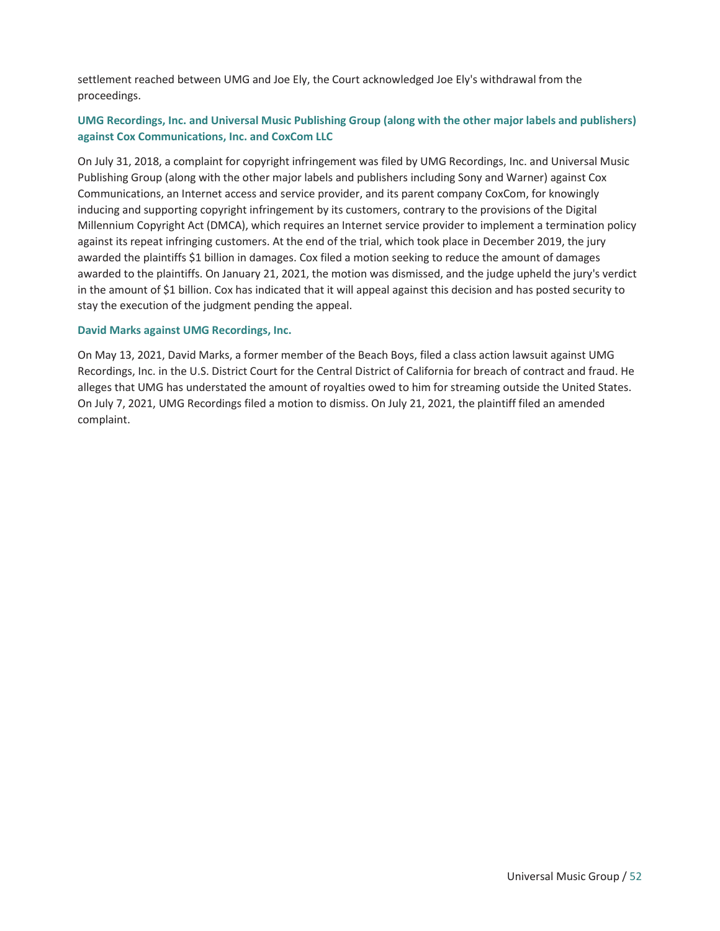settlement reached between UMG and Joe Ely, the Court acknowledged Joe Ely's withdrawal from the proceedings.

#### UMG Recordings, Inc. and Universal Music Publishing Group (along with the other major labels and publishers) against Cox Communications, Inc. and CoxCom LLC

On July 31, 2018, a complaint for copyright infringement was filed by UMG Recordings, Inc. and Universal Music Publishing Group (along with the other major labels and publishers including Sony and Warner) against Cox Communications, an Internet access and service provider, and its parent company CoxCom, for knowingly inducing and supporting copyright infringement by its customers, contrary to the provisions of the Digital Millennium Copyright Act (DMCA), which requires an Internet service provider to implement a termination policy against its repeat infringing customers. At the end of the trial, which took place in December 2019, the jury awarded the plaintiffs \$1 billion in damages. Cox filed a motion seeking to reduce the amount of damages awarded to the plaintiffs. On January 21, 2021, the motion was dismissed, and the judge upheld the jury's verdict in the amount of \$1 billion. Cox has indicated that it will appeal against this decision and has posted security to stay the execution of the judgment pending the appeal.

#### David Marks against UMG Recordings, Inc.

On May 13, 2021, David Marks, a former member of the Beach Boys, filed a class action lawsuit against UMG Recordings, Inc. in the U.S. District Court for the Central District of California for breach of contract and fraud. He alleges that UMG has understated the amount of royalties owed to him for streaming outside the United States. On July 7, 2021, UMG Recordings filed a motion to dismiss. On July 21, 2021, the plaintiff filed an amended complaint.